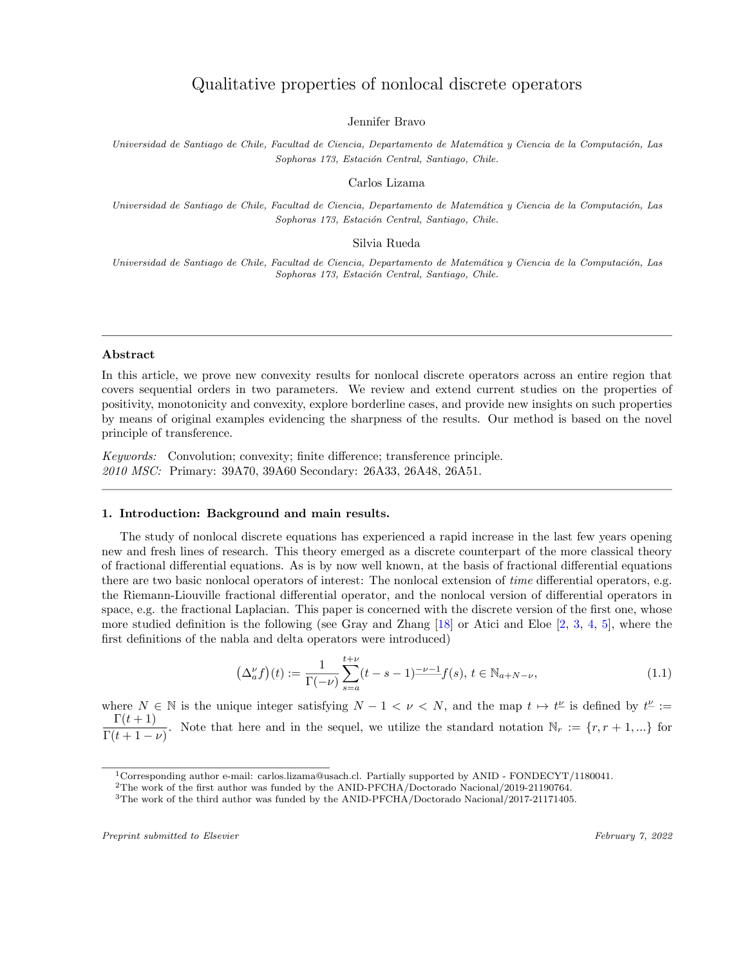# Qualitative properties of nonlocal discrete operators

Jennifer Bravo

Universidad de Santiago de Chile, Facultad de Ciencia, Departamento de Matemática y Ciencia de la Computación, Las *Sophoras 173, Estaci´on Central, Santiago, Chile.*

Carlos Lizama

Universidad de Santiago de Chile, Facultad de Ciencia, Departamento de Matemática y Ciencia de la Computación, Las *Sophoras 173, Estaci´on Central, Santiago, Chile.*

Silvia Rueda

Universidad de Santiago de Chile, Facultad de Ciencia, Departamento de Matemática y Ciencia de la Computación, Las *Sophoras 173, Estaci´on Central, Santiago, Chile.*

# Abstract

In this article, we prove new convexity results for nonlocal discrete operators across an entire region that covers sequential orders in two parameters. We review and extend current studies on the properties of positivity, monotonicity and convexity, explore borderline cases, and provide new insights on such properties by means of original examples evidencing the sharpness of the results. Our method is based on the novel principle of transference.

*Keywords:* Convolution; convexity; finite difference; transference principle. *2010 MSC:* Primary: 39A70, 39A60 Secondary: 26A33, 26A48, 26A51.

# 1. Introduction: Background and main results.

The study of nonlocal discrete equations has experienced a rapid increase in the last few years opening new and fresh lines of research. This theory emerged as a discrete counterpart of the more classical theory of fractional differential equations. As is by now well known, at the basis of fractional differential equations there are two basic nonlocal operators of interest: The nonlocal extension of *time* differential operators, e.g. the Riemann-Liouville fractional differential operator, and the nonlocal version of differential operators in space, e.g. the fractional Laplacian. This paper is concerned with the discrete version of the first one, whose more studied definition is the following (see Gray and Zhang [\[18](#page-34-0)] or Atici and Eloe [[2,](#page-33-0) [3](#page-33-1), [4,](#page-33-2) [5](#page-33-3)], where the first definitions of the nabla and delta operators were introduced)

<span id="page-0-0"></span>
$$
\left(\Delta_a^{\nu}f\right)(t) := \frac{1}{\Gamma(-\nu)} \sum_{s=a}^{t+\nu} (t-s-1)^{-\nu-1} f(s), \ t \in \mathbb{N}_{a+N-\nu},\tag{1.1}
$$

where  $N \in \mathbb{N}$  is the unique integer satisfying  $N - 1 < \nu < N$ , and the map  $t \mapsto t^{\underline{\nu}}$  is defined by  $t^{\underline{\nu}} :=$  $\Gamma(t+1)$  $\frac{1}{\Gamma(t+1-\nu)}$ . Note that here and in the sequel, we utilize the standard notation  $\mathbb{N}_r := \{r, r+1, ...\}$  for

<sup>1</sup>Corresponding author e-mail: carlos.lizama@usach.cl. Partially supported by ANID - FONDECYT/1180041.

<sup>2</sup>The work of the first author was funded by the ANID-PFCHA/Doctorado Nacional/2019-21190764.

<sup>3</sup>The work of the third author was funded by the ANID-PFCHA/Doctorado Nacional/2017-21171405.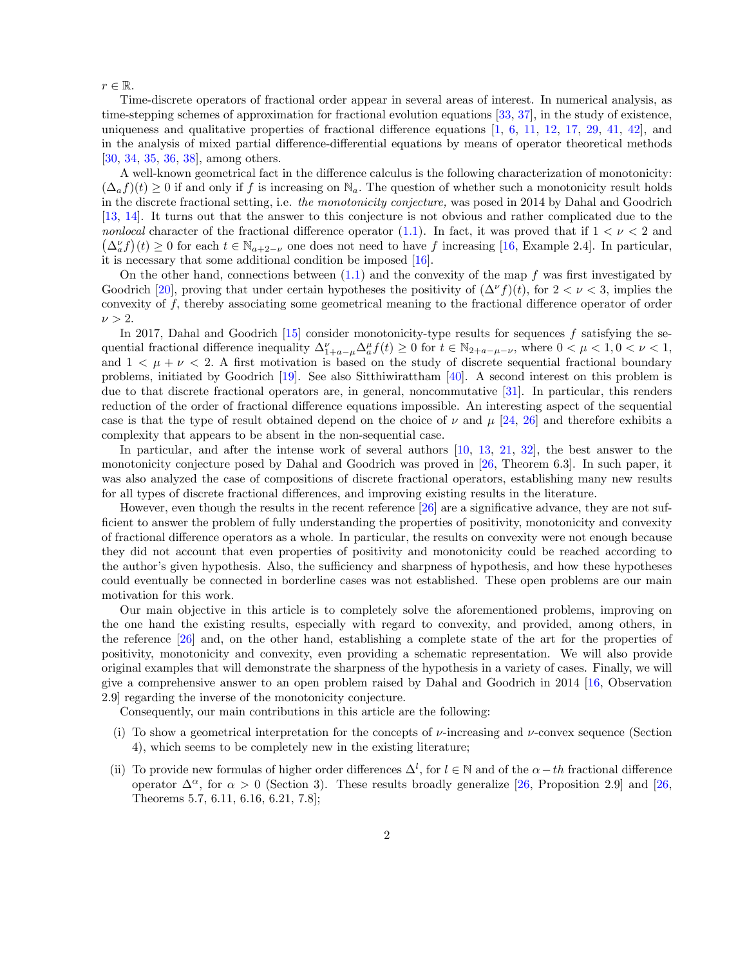*r* ∈ R*.*

Time-discrete operators of fractional order appear in several areas of interest. In numerical analysis, as time-stepping schemes of approximation for fractional evolution equations [\[33,](#page-35-0) [37\]](#page-35-1), in the study of existence, uniqueness and qualitative properties of fractional difference equations  $[1, 6, 11, 12, 17, 29, 41, 42]$  $[1, 6, 11, 12, 17, 29, 41, 42]$  $[1, 6, 11, 12, 17, 29, 41, 42]$  $[1, 6, 11, 12, 17, 29, 41, 42]$  $[1, 6, 11, 12, 17, 29, 41, 42]$  $[1, 6, 11, 12, 17, 29, 41, 42]$  $[1, 6, 11, 12, 17, 29, 41, 42]$  $[1, 6, 11, 12, 17, 29, 41, 42]$  $[1, 6, 11, 12, 17, 29, 41, 42]$  $[1, 6, 11, 12, 17, 29, 41, 42]$  $[1, 6, 11, 12, 17, 29, 41, 42]$  $[1, 6, 11, 12, 17, 29, 41, 42]$  $[1, 6, 11, 12, 17, 29, 41, 42]$  $[1, 6, 11, 12, 17, 29, 41, 42]$  $[1, 6, 11, 12, 17, 29, 41, 42]$ , and in the analysis of mixed partial difference-differential equations by means of operator theoretical methods [\[30](#page-35-5), [34](#page-35-6), [35](#page-35-7), [36](#page-35-8), [38](#page-35-9)], among others.

A well-known geometrical fact in the difference calculus is the following characterization of monotonicity:  $(\Delta_a f)(t) \geq 0$  if and only if *f* is increasing on  $\mathbb{N}_a$ . The question of whether such a monotonicity result holds in the discrete fractional setting, i.e. *the monotonicity conjecture,* was posed in 2014 by Dahal and Goodrich [\[13](#page-34-4), [14\]](#page-34-5). It turns out that the answer to this conjecture is not obvious and rather complicated due to the *nonlocal* character of the fractional difference operator [\(1.1](#page-0-0)). In fact, it was proved that if  $1 < v < 2$  and  $(\Delta_a^{\nu} f)(t) \geq 0$  for each  $t \in \mathbb{N}_{a+2-\nu}$  one does not need to have *f* increasing [\[16](#page-34-6), Example 2.4]. In particular, it is necessary that some additional condition be imposed [\[16](#page-34-6)].

On the other hand, connections between ([1.1\)](#page-0-0) and the convexity of the map *f* was first investigated by Goodrich [[20\]](#page-34-7), proving that under certain hypotheses the positivity of  $(\Delta^{\nu} f)(t)$ , for  $2 < \nu < 3$ , implies the convexity of *f,* thereby associating some geometrical meaning to the fractional difference operator of order  $\nu > 2$ .

In 2017, Dahal and Goodrich [\[15](#page-34-8)] consider monotonicity-type results for sequences *f* satisfying the sequential fractional difference inequality  $\Delta_{1+a-\mu}^{\nu} \Delta_a^{\mu} f(t) \ge 0$  for  $t \in \mathbb{N}_{2+a-\mu-\nu}$ , where  $0 < \mu < 1, 0 < \nu < 1$ , and  $1 < \mu + \nu < 2$ . A first motivation is based on the study of discrete sequential fractional boundary problems, initiated by Goodrich [\[19](#page-34-9)]. See also Sitthiwirattham [\[40](#page-35-10)]. A second interest on this problem is due to that discrete fractional operators are, in general, noncommutative [[31\]](#page-35-11). In particular, this renders reduction of the order of fractional difference equations impossible. An interesting aspect of the sequential case is that the type of result obtained depend on the choice of  $\nu$  and  $\mu$  [\[24](#page-34-10), [26\]](#page-34-11) and therefore exhibits a complexity that appears to be absent in the non-sequential case.

In particular, and after the intense work of several authors [[10,](#page-33-6) [13](#page-34-4), [21,](#page-34-12) [32](#page-35-12)], the best answer to the monotonicity conjecture posed by Dahal and Goodrich was proved in [[26,](#page-34-11) Theorem 6.3]. In such paper, it was also analyzed the case of compositions of discrete fractional operators, establishing many new results for all types of discrete fractional differences, and improving existing results in the literature.

However, even though the results in the recent reference [[26\]](#page-34-11) are a significative advance, they are not sufficient to answer the problem of fully understanding the properties of positivity, monotonicity and convexity of fractional difference operators as a whole. In particular, the results on convexity were not enough because they did not account that even properties of positivity and monotonicity could be reached according to the author's given hypothesis. Also, the sufficiency and sharpness of hypothesis, and how these hypotheses could eventually be connected in borderline cases was not established. These open problems are our main motivation for this work.

Our main objective in this article is to completely solve the aforementioned problems, improving on the one hand the existing results, especially with regard to convexity, and provided, among others, in the reference [\[26](#page-34-11)] and, on the other hand, establishing a complete state of the art for the properties of positivity, monotonicity and convexity, even providing a schematic representation. We will also provide original examples that will demonstrate the sharpness of the hypothesis in a variety of cases. Finally, we will give a comprehensive answer to an open problem raised by Dahal and Goodrich in 2014 [[16,](#page-34-6) Observation 2.9] regarding the inverse of the monotonicity conjecture.

Consequently, our main contributions in this article are the following:

- (i) To show a geometrical interpretation for the concepts of  $\nu$ -increasing and  $\nu$ -convex sequence (Section 4), which seems to be completely new in the existing literature;
- (ii) To provide new formulas of higher order differences  $\Delta^l$ , for  $l \in \mathbb{N}$  and of the  $\alpha th$  fractional difference operator  $\Delta^{\alpha}$ , for  $\alpha > 0$  (Section 3). These results broadly generalize [\[26](#page-34-11), Proposition 2.9] and [26, Theorems 5.7, 6.11, 6.16, 6.21, 7.8];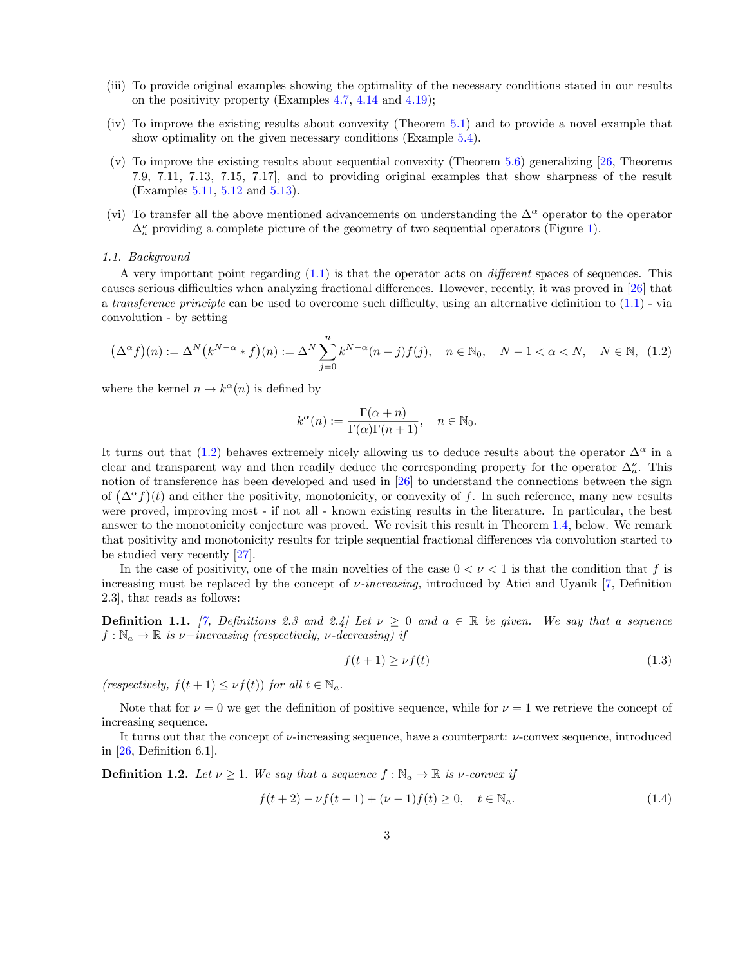- (iii) To provide original examples showing the optimality of the necessary conditions stated in our results on the positivity property (Examples [4.7](#page-28-0), [4.14](#page-17-0) and [4.19](#page-19-0));
- (iv) To improve the existing results about convexity (Theorem [5.1](#page-21-0)) and to provide a novel example that show optimality on the given necessary conditions (Example [5.4\)](#page-23-0).
- (v) To improve the existing results about sequential convexity (Theorem [5.6\)](#page-24-0) generalizing [[26,](#page-34-11) Theorems 7.9, 7.11, 7.13, 7.15, 7.17], and to providing original examples that show sharpness of the result (Examples [5.11](#page-28-1), [5.12](#page-30-0) and [5.13](#page-30-1)).
- (vi) To transfer all the above mentioned advancements on understanding the  $\Delta^{\alpha}$  operator to the operator  $\Delta_a^{\nu}$  providing a complete picture of the geometry of two sequential operators (Figure [1](#page-4-0)).

### *1.1. Background*

A very important point regarding ([1.1\)](#page-0-0) is that the operator acts on *di*ff*erent* spaces of sequences. This causes serious difficulties when analyzing fractional differences. However, recently, it was proved in [\[26\]](#page-34-11) that a *transference principle* can be used to overcome such difficulty, using an alternative definition to ([1.1\)](#page-0-0) - via convolution - by setting

<span id="page-2-0"></span>
$$
(\Delta^{\alpha} f)(n) := \Delta^N (k^{N-\alpha} * f)(n) := \Delta^N \sum_{j=0}^n k^{N-\alpha} (n-j) f(j), \quad n \in \mathbb{N}_0, \quad N-1 < \alpha < N, \quad N \in \mathbb{N}, \tag{1.2}
$$

where the kernel  $n \mapsto k^{\alpha}(n)$  is defined by

$$
k^{\alpha}(n) := \frac{\Gamma(\alpha + n)}{\Gamma(\alpha)\Gamma(n+1)}, \quad n \in \mathbb{N}_0.
$$

It turns out that [\(1.2\)](#page-2-0) behaves extremely nicely allowing us to deduce results about the operator  $\Delta^{\alpha}$  in a clear and transparent way and then readily deduce the corresponding property for the operator  $\Delta_a^{\nu}$ . This notion of transference has been developed and used in [\[26](#page-34-11)] to understand the connections between the sign of  $(\Delta^{\alpha} f)(t)$  and either the positivity, monotonicity, or convexity of *f*. In such reference, many new results were proved, improving most - if not all - known existing results in the literature. In particular, the best answer to the monotonicity conjecture was proved. We revisit this result in Theorem [1.4,](#page-23-0) below. We remark that positivity and monotonicity results for triple sequential fractional differences via convolution started to be studied very recently [\[27](#page-34-13)].

In the case of positivity, one of the main novelties of the case  $0 < \nu < 1$  is that the condition that f is increasing must be replaced by the concept of ν*-increasing,* introduced by Atici and Uyanik [\[7](#page-33-7), Definition 2.3], that reads as follows:

**Definition 1.1.** [\[7](#page-33-7), Definitions 2.3 and 2.4] Let  $\nu \geq 0$  and  $a \in \mathbb{R}$  be given. We say that a sequence  $f: \mathbb{N}_a \to \mathbb{R}$  *is*  $\nu$ *-increasing* (*respectively,*  $\nu$ *-decreasing*) *if* 

$$
f(t+1) \ge \nu f(t) \tag{1.3}
$$

*(respectively,*  $f(t+1) \leq \nu f(t)$ ) *for all*  $t \in \mathbb{N}_a$ *.* 

Note that for  $\nu = 0$  we get the definition of positive sequence, while for  $\nu = 1$  we retrieve the concept of increasing sequence.

It turns out that the concept of  $\nu$ -increasing sequence, have a counterpart:  $\nu$ -convex sequence, introduced in  $[26,$  $[26,$  Definition 6.1].

**Definition 1.2.** Let  $\nu \geq 1$ . We say that a sequence  $f : \mathbb{N}_a \to \mathbb{R}$  is  $\nu$ -convex if

$$
f(t+2) - \nu f(t+1) + (\nu - 1)f(t) \ge 0, \quad t \in \mathbb{N}_a.
$$
 (1.4)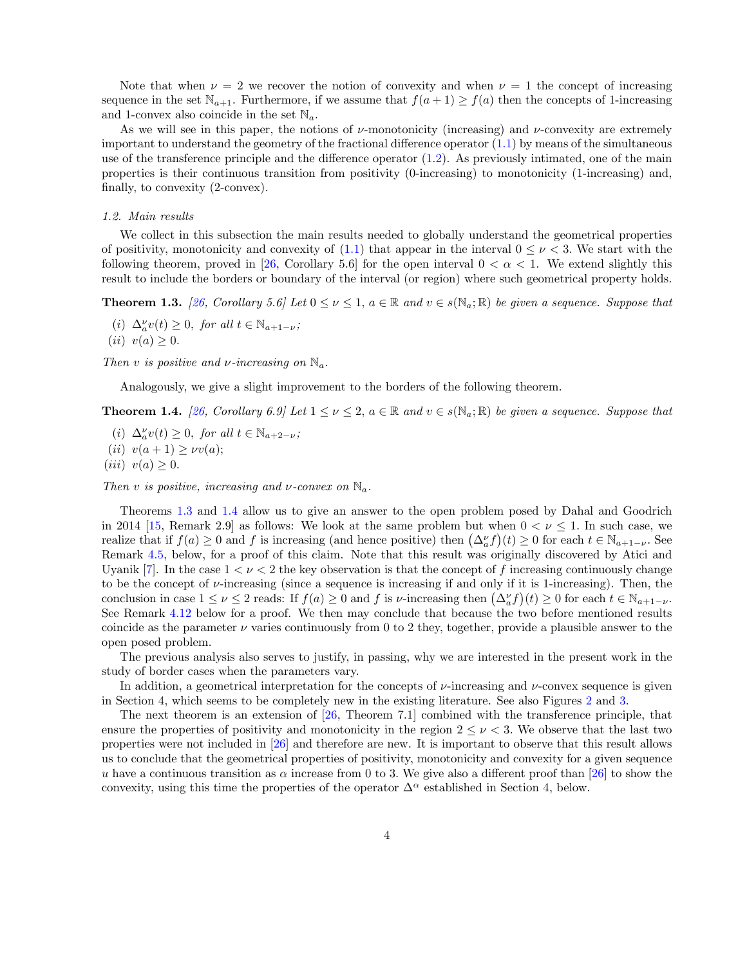Note that when  $\nu = 2$  we recover the notion of convexity and when  $\nu = 1$  the concept of increasing sequence in the set  $\mathbb{N}_{a+1}$ . Furthermore, if we assume that  $f(a+1) \ge f(a)$  then the concepts of 1-increasing and 1-convex also coincide in the set N*a.*

As we will see in this paper, the notions of  $\nu$ -monotonicity (increasing) and  $\nu$ -convexity are extremely important to understand the geometry of the fractional difference operator  $(1.1)$  by means of the simultaneous use of the transference principle and the difference operator ([1.2](#page-2-0)). As previously intimated, one of the main properties is their continuous transition from positivity (0-increasing) to monotonicity (1-increasing) and, finally, to convexity (2-convex).

## *1.2. Main results*

We collect in this subsection the main results needed to globally understand the geometrical properties of positivity, monotonicity and convexity of  $(1.1)$  $(1.1)$  that appear in the interval  $0 \leq \nu \leq 3$ . We start with the following theorem, proved in [\[26](#page-34-11), Corollary 5.6] for the open interval  $0 < \alpha < 1$ . We extend slightly this result to include the borders or boundary of the interval (or region) where such geometrical property holds.

**Theorem 1.3.** [\[26](#page-34-11), Corollary 5.6] Let  $0 \leq \nu \leq 1$ ,  $a \in \mathbb{R}$  and  $v \in s(\mathbb{N}_a; \mathbb{R})$  be given a sequence. Suppose that

 $(i)$   $\Delta_a^{\nu}v(t) \geq 0$ , *for all*  $t \in \mathbb{N}_{a+1-\nu}$ ;  $(iii)$   $v(a) > 0.$ 

*Then v is positive and*  $\nu$ *-increasing on*  $\mathbb{N}_a$ *.* 

Analogously, we give a slight improvement to the borders of the following theorem.

**Theorem 1.4.** [\[26](#page-34-11), Corollary 6.9] Let  $1 \leq \nu \leq 2$ ,  $a \in \mathbb{R}$  and  $v \in s(\mathbb{N}_a;\mathbb{R})$  be given a sequence. Suppose that

 $(i)$   $\Delta_a^{\nu}v(t) \geq 0$ , *for all*  $t \in \mathbb{N}_{a+2-\nu}$ ;  $(iii)$   $v(a+1) \geq \nu v(a);$  $(iii)$   $v(a) \geq 0.$ 

*Then v is positive, increasing and v-convex on*  $\mathbb{N}_a$ .

Theorems [1.3](#page-22-0) and [1.4](#page-23-0) allow us to give an answer to the open problem posed by Dahal and Goodrich in 2014 [\[15](#page-34-8), Remark 2.9] as follows: We look at the same problem but when  $0 < \nu \leq 1$ . In such case, we realize that if  $f(a) \geq 0$  and *f* is increasing (and hence positive) then  $(\Delta_a^{\nu} f)(t) \geq 0$  for each  $t \in \mathbb{N}_{a+1-\nu}$ . See Remark [4.5](#page-24-1), below, for a proof of this claim. Note that this result was originally discovered by Atici and Uyanik  $[7]$  $[7]$ . In the case  $1 < \nu < 2$  the key observation is that the concept of f increasing continuously change to be the concept of  $\nu$ -increasing (since a sequence is increasing if and only if it is 1-increasing). Then, the conclusion in case  $1 \leq \nu \leq 2$  reads: If  $f(a) \geq 0$  and *f* is  $\nu$ -increasing then  $(\Delta_a^{\nu} f)(t) \geq 0$  for each  $t \in \mathbb{N}_{a+1-\nu}$ . See Remark [4.12](#page-30-0) below for a proof. We then may conclude that because the two before mentioned results coincide as the parameter  $\nu$  varies continuously from 0 to 2 they, together, provide a plausible answer to the open posed problem.

The previous analysis also serves to justify, in passing, why we are interested in the present work in the study of border cases when the parameters vary.

In addition, a geometrical interpretation for the concepts of  $\nu$ -increasing and  $\nu$ -convex sequence is given in Section 4, which seems to be completely new in the existing literature. See also Figures [2](#page-14-0) and [3](#page-16-0).

The next theorem is an extension of [\[26](#page-34-11), Theorem 7.1] combined with the transference principle, that ensure the properties of positivity and monotonicity in the region  $2 \leq \nu < 3$ . We observe that the last two properties were not included in [\[26](#page-34-11)] and therefore are new. It is important to observe that this result allows us to conclude that the geometrical properties of positivity, monotonicity and convexity for a given sequence *u* have a continuous transition as  $\alpha$  increase from 0 to 3. We give also a different proof than [\[26](#page-34-11)] to show the convexity, using this time the properties of the operator  $\Delta^{\alpha}$  established in Section 4, below.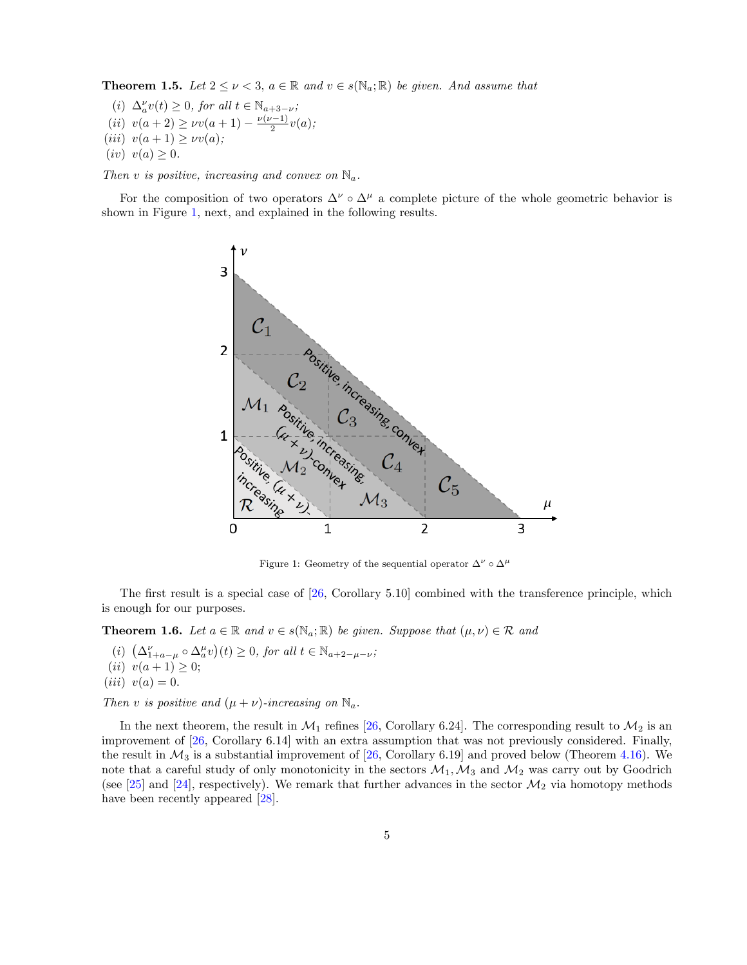**Theorem 1.5.** Let  $2 \leq \nu < 3$ ,  $a \in \mathbb{R}$  and  $v \in s(\mathbb{N}_a; \mathbb{R})$  be given. And assume that

 $(i)$   $\Delta_a^{\nu}v(t) \geq 0$ , for all  $t \in \mathbb{N}_{a+3-\nu}$ ;  $(iii)$   $v(a+2) \geq \nu v(a+1) - \frac{\nu(\nu-1)}{2}v(a);$  $(iii)$   $v(a+1) \geq v v(a);$  $(iv)$   $v(a) \geq 0.$ 

*Then v is positive, increasing and convex on*  $\mathbb{N}_a$ .

For the composition of two operators  $\Delta^{\nu} \circ \Delta^{\mu}$  a complete picture of the whole geometric behavior is shown in Figure [1,](#page-4-0) next, and explained in the following results.



<span id="page-4-0"></span>Figure 1: Geometry of the sequential operator  $\Delta^{\nu} \circ \Delta^{\mu}$ 

The first result is a special case of [\[26](#page-34-11), Corollary 5.10] combined with the transference principle, which is enough for our purposes.

**Theorem 1.6.** *Let*  $a \in \mathbb{R}$  *and*  $v \in s(\mathbb{N}_a; \mathbb{R})$  *be given. Suppose that*  $(\mu, \nu) \in \mathcal{R}$  *and* 

 $(\iota)$   $(\Delta_{1+a-\mu}^{\nu} \circ \Delta_a^{\mu} v)(t) \geq 0$ , for all  $t \in \mathbb{N}_{a+2-\mu-\nu}$ ; (*ii*)  $v(a+1) \geq 0$ ;  $(iii)$   $v(a) = 0.$ 

*Then v is positive and*  $(\mu + \nu)$ *-increasing on*  $\mathbb{N}_a$ *.* 

In the next theorem, the result in  $\mathcal{M}_1$  refines [\[26](#page-34-11), Corollary 6.24]. The corresponding result to  $\mathcal{M}_2$  is an improvement of  $[26, Corollary 6.14]$  $[26, Corollary 6.14]$  $[26, Corollary 6.14]$  with an extra assumption that was not previously considered. Finally, the result in  $\mathcal{M}_3$  is a substantial improvement of [\[26](#page-34-11), Corollary 6.19] and proved below (Theorem [4.16](#page-18-0)). We note that a careful study of only monotonicity in the sectors  $M_1, M_3$  and  $M_2$  was carry out by Goodrich (see [\[25](#page-34-14)] and [\[24](#page-34-10)], respectively). We remark that further advances in the sector  $\mathcal{M}_2$  via homotopy methods have been recently appeared [\[28](#page-34-15)].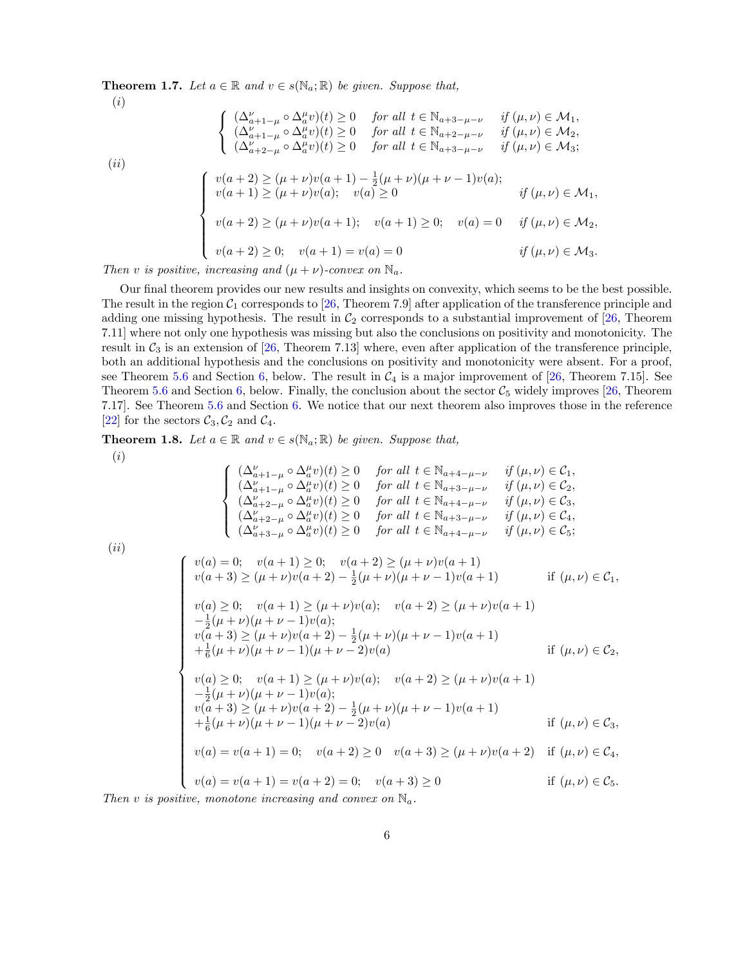**Theorem 1.7.** *Let*  $a \in \mathbb{R}$  *and*  $v \in s(\mathbb{N}_a; \mathbb{R})$  *be given. Suppose that,* (*i*)

$$
\begin{cases}\n(\Delta_{a+1-\mu}^{\nu} \circ \Delta_{a}^{\mu}v)(t) \ge 0 & \text{for all } t \in \mathbb{N}_{a+3-\mu-\nu} & \text{if } (\mu, \nu) \in \mathcal{M}_1, \\
(\Delta_{a+1-\mu}^{\nu} \circ \Delta_a^{\mu}v)(t) \ge 0 & \text{for all } t \in \mathbb{N}_{a+2-\mu-\nu} & \text{if } (\mu, \nu) \in \mathcal{M}_2, \\
(\Delta_{a+2-\mu}^{\nu} \circ \Delta_a^{\mu}v)(t) \ge 0 & \text{for all } t \in \mathbb{N}_{a+3-\mu-\nu} & \text{if } (\mu, \nu) \in \mathcal{M}_3; \\
(vi)\n\end{cases}
$$
\n
$$
\begin{cases}\nv(a+2) \ge (\mu + \nu)v(a+1) - \frac{1}{2}(\mu + \nu)(\mu + \nu - 1)v(a); \\
v(a+1) \ge (\mu + \nu)v(a); & v(a) \ge 0 \\
v(a+2) \ge (\mu + \nu)v(a+1); & v(a+1) \ge 0; \quad v(a) = 0 & \text{if } (\mu, \nu) \in \mathcal{M}_2, \\
v(a+2) \ge 0; & v(a+1) = v(a) = 0\n\end{cases}
$$
\n
$$
if (\mu, \nu) \in \mathcal{M}_3.
$$

*Then v is positive, increasing* and  $(\mu + \nu)$ *-convex on*  $\mathbb{N}_a$ *.* 

Our final theorem provides our new results and insights on convexity, which seems to be the best possible. The result in the region  $C_1$  corresponds to [[26,](#page-34-11) Theorem 7.9] after application of the transference principle and adding one missing hypothesis. The result in  $C_2$  corresponds to a substantial improvement of [\[26](#page-34-11), Theorem 7.11] where not only one hypothesis was missing but also the conclusions on positivity and monotonicity. The result in *C*<sup>3</sup> is an extension of [[26,](#page-34-11) Theorem 7.13] where, even after application of the transference principle, both an additional hypothesis and the conclusions on positivity and monotonicity were absent. For a proof, see Theorem [5.6](#page-24-0) and Section [6](#page-31-0), below. The result in  $C_4$  is a major improvement of [\[26](#page-34-11), Theorem 7.15]. See Theorem [5.6](#page-24-0) and Section [6,](#page-31-0) below. Finally, the conclusion about the sector  $\mathcal{C}_5$  widely improves [[26,](#page-34-11) Theorem 7.17]. See Theorem [5.6](#page-24-0) and Section [6.](#page-31-0) We notice that our next theorem also improves those in the reference [\[22](#page-34-16)] for the sectors  $C_3$ ,  $C_2$  and  $C_4$ .

**Theorem 1.8.** *Let*  $a \in \mathbb{R}$  *and*  $v \in s(\mathbb{N}_a;\mathbb{R})$  *be given. Suppose that,* 

 $\sqrt{ }$  $\int$ 

 $\left\lfloor \right\rfloor$ 

(*i*)

$$
(\Delta_{a+1-\mu}^{\nu} \circ \Delta_a^{\mu} v)(t) \ge 0 \quad \text{for all } t \in \mathbb{N}_{a+4-\mu-\nu} \quad \text{if } (\mu, \nu) \in C_1,
$$
  
\n
$$
(\Delta_{a+1-\mu}^{\nu} \circ \Delta_a^{\mu} v)(t) \ge 0 \quad \text{for all } t \in \mathbb{N}_{a+3-\mu-\nu} \quad \text{if } (\mu, \nu) \in C_2,
$$
  
\n
$$
(\Delta_{a+2-\mu}^{\nu} \circ \Delta_a^{\mu} v)(t) \ge 0 \quad \text{for all } t \in \mathbb{N}_{a+4-\mu-\nu} \quad \text{if } (\mu, \nu) \in C_3,
$$
  
\n
$$
(\Delta_{a+2-\mu}^{\nu} \circ \Delta_a^{\mu} v)(t) \ge 0 \quad \text{for all } t \in \mathbb{N}_{a+3-\mu-\nu} \quad \text{if } (\mu, \nu) \in C_4,
$$
  
\n
$$
(\Delta_{a+3-\mu}^{\nu} \circ \Delta_a^{\mu} v)(t) \ge 0 \quad \text{for all } t \in \mathbb{N}_{a+4-\mu-\nu} \quad \text{if } (\mu, \nu) \in C_5;
$$

(*ii*)

$$
\begin{cases}\nv(a) = 0; & v(a+1) \ge 0; \quad v(a+2) \ge (\mu + \nu)v(a+1) \\
v(a+3) \ge (\mu + \nu)v(a+2) - \frac{1}{2}(\mu + \nu)(\mu + \nu - 1)v(a+1) & \text{if } (\mu, \nu) \in \mathcal{C}_1, \\
v(a) \ge 0; & v(a+1) \ge (\mu + \nu)v(a); \quad v(a+2) \ge (\mu + \nu)v(a+1) \\
-\frac{1}{2}(\mu + \nu)(\mu + \nu - 1)v(a); \\
v(a+3) \ge (\mu + \nu)v(a+2) - \frac{1}{2}(\mu + \nu)(\mu + \nu - 1)v(a+1) \\
+\frac{1}{6}(\mu + \nu)(\mu + \nu - 1)(\mu + \nu - 2)v(a) & \text{if } (\mu, \nu) \in \mathcal{C}_2, \\
v(a) \ge 0; & v(a+1) \ge (\mu + \nu)v(a); \quad v(a+2) \ge (\mu + \nu)v(a+1) \\
-\frac{1}{2}(\mu + \nu)(\mu + \nu - 1)v(a); \\
v(a+3) \ge (\mu + \nu)v(a+2) - \frac{1}{2}(\mu + \nu)(\mu + \nu - 1)v(a+1) & \text{if } (\mu, \nu) \in \mathcal{C}_3, \\
v(a) = v(a+1) = 0; \quad v(a+2) \ge 0 \quad v(a+3) \ge (\mu + \nu)v(a+2) & \text{if } (\mu, \nu) \in \mathcal{C}_4, \\
v(a) = v(a+1) = v(a+2) = 0; \quad v(a+3) \ge 0 & \text{if } (\mu, \nu) \in \mathcal{C}_5.\n\end{cases}
$$

*Then*  $v$  *is positive, monotone increasing and convex on*  $\mathbb{N}_a$ *.*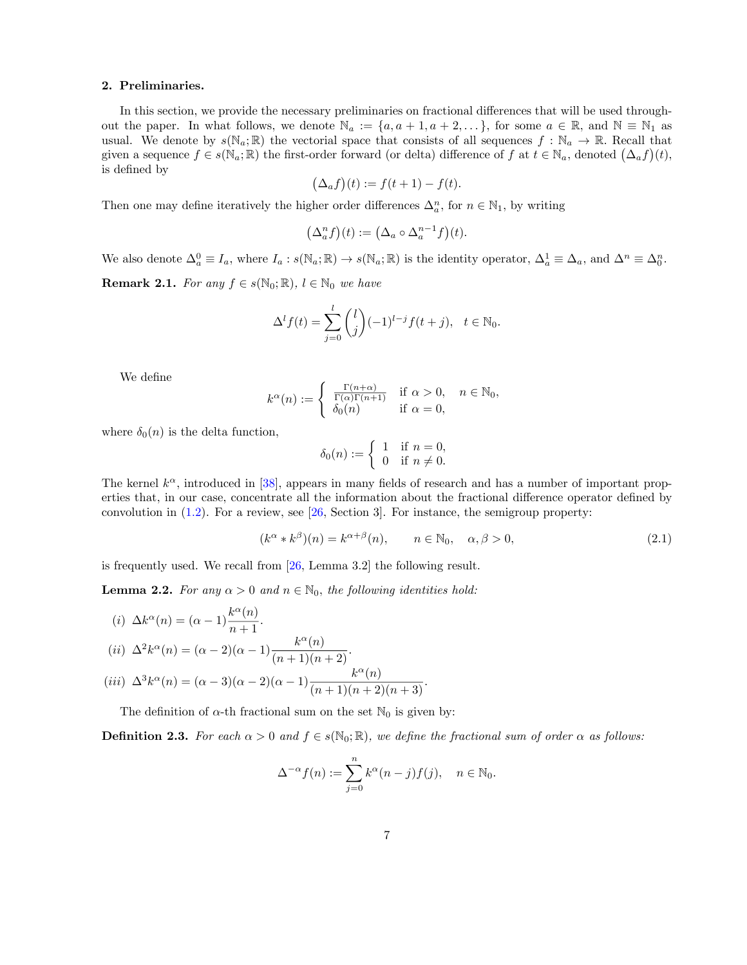## 2. Preliminaries.

In this section, we provide the necessary preliminaries on fractional differences that will be used throughout the paper. In what follows, we denote  $\mathbb{N}_a := \{a, a+1, a+2, \ldots\}$ , for some  $a \in \mathbb{R}$ , and  $\mathbb{N} \equiv \mathbb{N}_1$  as usual. We denote by  $s(\mathbb{N}_a;\mathbb{R})$  the vectorial space that consists of all sequences  $f:\mathbb{N}_a\to\mathbb{R}$ . Recall that given a sequence  $f \in s(\mathbb{N}_a; \mathbb{R})$  the first-order forward (or delta) difference of  $f$  at  $t \in \mathbb{N}_a$ , denoted  $(\Delta_a f)(t)$ , is defined by

$$
(\Delta_a f)(t) := f(t+1) - f(t).
$$

Then one may define iteratively the higher order differences  $\Delta_a^n$ , for  $n \in \mathbb{N}_1$ , by writing

$$
\left(\Delta_a^n f\right)(t) := \left(\Delta_a \circ \Delta_a^{n-1} f\right)(t).
$$

We also denote  $\Delta_a^0 \equiv I_a$ , where  $I_a: s(\mathbb{N}_a; \mathbb{R}) \to s(\mathbb{N}_a; \mathbb{R})$  is the identity operator,  $\Delta_a^1 \equiv \Delta_a$ , and  $\Delta^n \equiv \Delta_0^n$ . **Remark 2.1.** *For any*  $f \in s(\mathbb{N}_0; \mathbb{R})$ ,  $l \in \mathbb{N}_0$  *we have* 

$$
\Delta^{l} f(t) = \sum_{j=0}^{l} {l \choose j} (-1)^{l-j} f(t+j), \quad t \in \mathbb{N}_{0}.
$$

We define

$$
k^{\alpha}(n) := \begin{cases} \frac{\Gamma(n+\alpha)}{\Gamma(\alpha)\Gamma(n+1)} & \text{if } \alpha > 0, \quad n \in \mathbb{N}_0, \\ \delta_0(n) & \text{if } \alpha = 0, \end{cases}
$$

where  $\delta_0(n)$  is the delta function,

$$
\delta_0(n) := \begin{cases} 1 & \text{if } n = 0, \\ 0 & \text{if } n \neq 0. \end{cases}
$$

The kernel  $k^{\alpha}$ , introduced in [[38\]](#page-35-9), appears in many fields of research and has a number of important properties that, in our case, concentrate all the information about the fractional difference operator defined by convolution in  $(1.2)$ . For a review, see [\[26](#page-34-11), Section 3]. For instance, the semigroup property:

<span id="page-6-0"></span>
$$
(k^{\alpha} * k^{\beta})(n) = k^{\alpha + \beta}(n), \qquad n \in \mathbb{N}_0, \quad \alpha, \beta > 0,
$$
\n
$$
(2.1)
$$

is frequently used. We recall from [\[26](#page-34-11), Lemma 3.2] the following result.

**Lemma 2.2.** *For any*  $\alpha > 0$  *and*  $n \in \mathbb{N}_0$ *, the following identities hold:* 

$$
(i) \ \Delta k^{\alpha}(n) = (\alpha - 1) \frac{k^{\alpha}(n)}{n+1}.
$$

$$
(ii) \ \Delta^2 k^{\alpha}(n) = (\alpha - 2)(\alpha - 1) \frac{k^{\alpha}(n)}{(n+1)(n+2)}.
$$

$$
(iii) \ \Delta^3 k^{\alpha}(n) = (\alpha - 3)(\alpha - 2)(\alpha - 1) \frac{k^{\alpha}(n)}{(n+1)(n+2)(n+3)}.
$$

The definition of  $\alpha$ -th fractional sum on the set  $\mathbb{N}_0$  is given by:

**Definition 2.3.** For each  $\alpha > 0$  and  $f \in s(\mathbb{N}_0; \mathbb{R})$ , we define the fractional sum of order  $\alpha$  as follows:

$$
\Delta^{-\alpha} f(n) := \sum_{j=0}^{n} k^{\alpha} (n-j) f(j), \quad n \in \mathbb{N}_0.
$$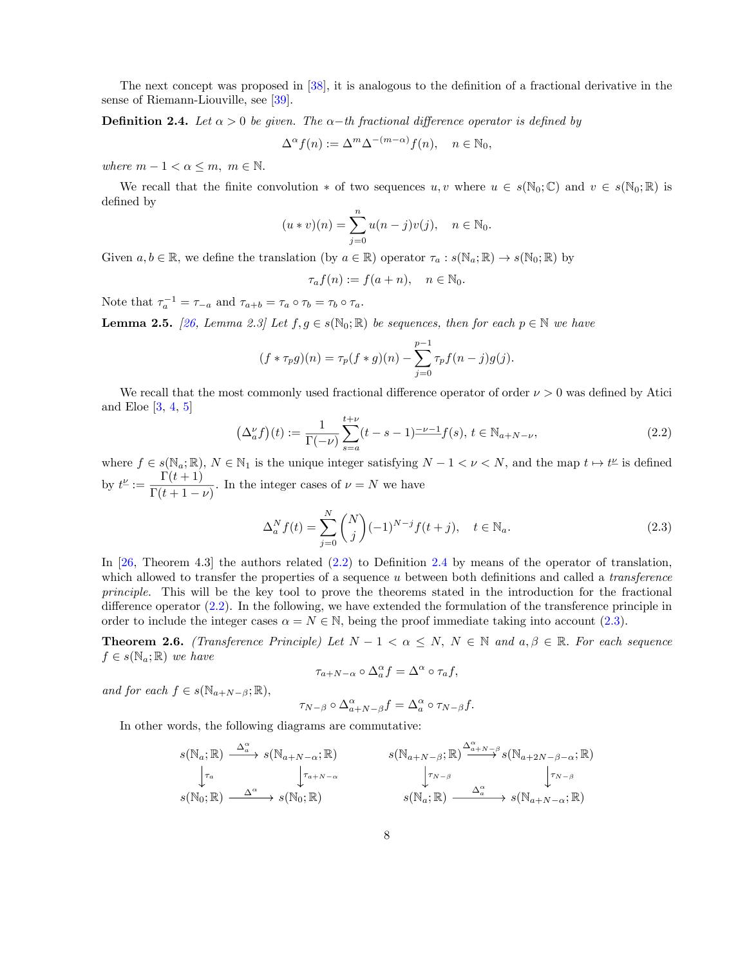The next concept was proposed in [[38\]](#page-35-9), it is analogous to the definition of a fractional derivative in the sense of Riemann-Liouville, see [[39\]](#page-35-13).

**Definition 2.4.** Let  $\alpha > 0$  be given. The  $\alpha$ -th fractional difference operator is defined by

$$
\Delta^{\alpha} f(n) := \Delta^m \Delta^{-(m-\alpha)} f(n), \quad n \in \mathbb{N}_0,
$$

*where*  $m - 1 < \alpha \leq m$ ,  $m \in \mathbb{N}$ .

We recall that the finite convolution  $*$  of two sequences  $u, v$  where  $u \in s(\mathbb{N}_0;\mathbb{C})$  and  $v \in s(\mathbb{N}_0;\mathbb{R})$  is defined by

$$
(u * v)(n) = \sum_{j=0}^{n} u(n-j)v(j), \quad n \in \mathbb{N}_{0}.
$$

Given  $a, b \in \mathbb{R}$ , we define the translation (by  $a \in \mathbb{R}$ ) operator  $\tau_a : s(\mathbb{N}_a; \mathbb{R}) \to s(\mathbb{N}_0; \mathbb{R})$  by

$$
\tau_a f(n) := f(a+n), \quad n \in \mathbb{N}_0.
$$

Note that  $\tau_a^{-1} = \tau_{-a}$  and  $\tau_{a+b} = \tau_a \circ \tau_b = \tau_b \circ \tau_a$ .

**Lemma 2.5.** *[[26](#page-34-11), Lemma 2.3] Let*  $f, g \in s(\mathbb{N}_0; \mathbb{R})$  *be sequences, then for each*  $p \in \mathbb{N}$  *we have* 

$$
(f * \tau_p g)(n) = \tau_p(f * g)(n) - \sum_{j=0}^{p-1} \tau_p f(n-j)g(j).
$$

We recall that the most commonly used fractional difference operator of order  $\nu > 0$  was defined by Atici and Eloe [\[3](#page-33-1), [4](#page-33-2), [5](#page-33-3)]

<span id="page-7-0"></span>
$$
\left(\Delta_a^{\nu}f\right)(t) := \frac{1}{\Gamma(-\nu)} \sum_{s=a}^{t+\nu} (t-s-1)^{-\nu-1} f(s), \ t \in \mathbb{N}_{a+N-\nu},\tag{2.2}
$$

where  $f \in s(\mathbb{N}_a;\mathbb{R})$ ,  $N \in \mathbb{N}_1$  is the unique integer satisfying  $N-1 < \nu < N$ , and the map  $t \mapsto t^{\nu}$  is defined by  $t^{\underline{\nu}} := \frac{\Gamma(t+1)}{\Gamma(t+1)}$  $\frac{1}{\Gamma(t+1-\nu)}$ . In the integer cases of  $\nu = N$  we have

<span id="page-7-1"></span>
$$
\Delta_a^N f(t) = \sum_{j=0}^N \binom{N}{j} (-1)^{N-j} f(t+j), \quad t \in \mathbb{N}_a.
$$
\n(2.3)

In [[26](#page-34-11), Theorem 4.3] the authors related ([2.2](#page-7-0)) to Definition [2.4](#page-23-0) by means of the operator of translation, which allowed to transfer the properties of a sequence *u* between both definitions and called a *transference principle.* This will be the key tool to prove the theorems stated in the introduction for the fractional difference operator [\(2.2](#page-7-0)). In the following, we have extended the formulation of the transference principle in order to include the integer cases  $\alpha = N \in \mathbb{N}$ , being the proof immediate taking into account ([2.3](#page-7-1)).

**Theorem 2.6.** *(Transference Principle)* Let  $N - 1 < \alpha \leq N$ ,  $N \in \mathbb{N}$  and  $a, \beta \in \mathbb{R}$ . For each sequence  $f \in s(\mathbb{N}_a;\mathbb{R})$  *we have* 

$$
\tau_{a+N-\alpha} \circ \Delta_a^{\alpha} f = \Delta^{\alpha} \circ \tau_a f,
$$

*and for each*  $f \in s(\mathbb{N}_{a+N-\beta}; \mathbb{R})$ ,

$$
\tau_{N-\beta} \circ \Delta_{a+N-\beta}^{\alpha} f = \Delta_a^{\alpha} \circ \tau_{N-\beta} f.
$$

In other words, the following diagrams are commutative:

$$
s(\mathbb{N}_a; \mathbb{R}) \xrightarrow{\Delta_a^{\alpha}} s(\mathbb{N}_{a+N-\alpha}; \mathbb{R}) \qquad s(\mathbb{N}_{a+N-\beta}; \mathbb{R}) \xrightarrow{\Delta_{a+N-\beta}^{\alpha}} s(\mathbb{N}_{a+2N-\beta-\alpha}; \mathbb{R})
$$
  
\n
$$
s(\mathbb{N}_0; \mathbb{R}) \xrightarrow{\Delta^{\alpha}} s(\mathbb{N}_0; \mathbb{R}) \qquad s(\mathbb{N}_a; \mathbb{R}) \xrightarrow{\Delta_a^{\alpha}} s(\mathbb{N}_{a+N-\alpha}; \mathbb{R})
$$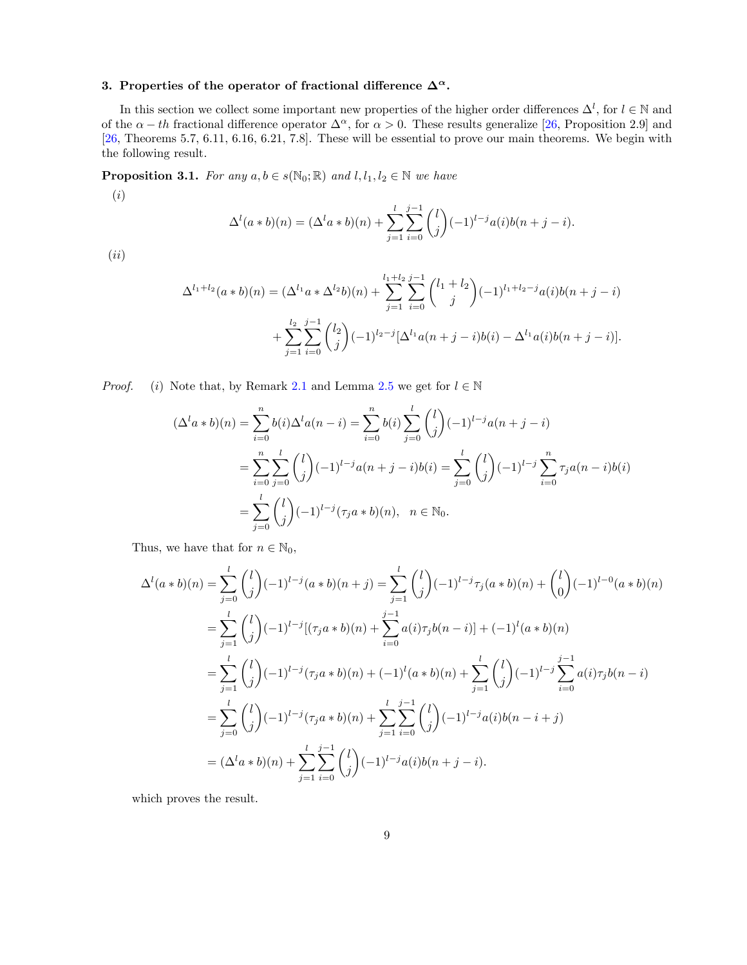# 3. Properties of the operator of fractional difference  $\Delta^{\alpha}$ .

In this section we collect some important new properties of the higher order differences  $\Delta^l$ , for  $l \in \mathbb{N}$  and of the  $\alpha - th$  fractional difference operator  $\Delta^{\alpha}$ , for  $\alpha > 0$ . These results generalize [[26,](#page-34-11) Proposition 2.9] and [\[26](#page-34-11), Theorems 5.7, 6.11, 6.16, 6.21, 7.8]. These will be essential to prove our main theorems. We begin with the following result.

**Proposition 3.1.** *For any*  $a, b \in s(\mathbb{N}_0; \mathbb{R})$  *and*  $l, l_1, l_2 \in \mathbb{N}$  *we have* 

(*i*)

$$
\Delta^{l}(a * b)(n) = (\Delta^{l} a * b)(n) + \sum_{j=1}^{l} \sum_{i=0}^{j-1} {l \choose j} (-1)^{l-j} a(i) b(n+j-i).
$$

(*ii*)

$$
\Delta^{l_1+l_2}(a*b)(n) = (\Delta^{l_1}a*\Delta^{l_2}b)(n) + \sum_{j=1}^{l_1+l_2} \sum_{i=0}^{j-1} {l_1+l_2 \choose j} (-1)^{l_1+l_2-j} a(i)b(n+j-i) + \sum_{j=1}^{l_2} \sum_{i=0}^{j-1} {l_2 \choose j} (-1)^{l_2-j} [\Delta^{l_1}a(n+j-i)b(i) - \Delta^{l_1}a(i)b(n+j-i)].
$$

*Proof.* (*i*) Note that, by Remark [2.1](#page-21-0) and Lemma [2.5](#page-24-1) we get for  $l \in \mathbb{N}$ 

$$
(\Delta^{l} a * b)(n) = \sum_{i=0}^{n} b(i) \Delta^{l} a(n-i) = \sum_{i=0}^{n} b(i) \sum_{j=0}^{l} {l \choose j} (-1)^{l-j} a(n+j-i)
$$
  
= 
$$
\sum_{i=0}^{n} \sum_{j=0}^{l} {l \choose j} (-1)^{l-j} a(n+j-i) b(i) = \sum_{j=0}^{l} {l \choose j} (-1)^{l-j} \sum_{i=0}^{n} \tau_{j} a(n-i) b(i)
$$
  
= 
$$
\sum_{j=0}^{l} {l \choose j} (-1)^{l-j} (\tau_{j} a * b)(n), \quad n \in \mathbb{N}_{0}.
$$

Thus, we have that for  $n \in \mathbb{N}_0$ ,

$$
\Delta^{l}(a * b)(n) = \sum_{j=0}^{l} {l \choose j} (-1)^{l-j} (a * b)(n+j) = \sum_{j=1}^{l} {l \choose j} (-1)^{l-j} \tau_{j}(a * b)(n) + {l \choose 0} (-1)^{l-0} (a * b)(n)
$$
  
\n
$$
= \sum_{j=1}^{l} {l \choose j} (-1)^{l-j} [(\tau_{j}a * b)(n) + \sum_{i=0}^{j-1} a(i)\tau_{j}b(n-i)] + (-1)^{l} (a * b)(n)
$$
  
\n
$$
= \sum_{j=1}^{l} {l \choose j} (-1)^{l-j} (\tau_{j}a * b)(n) + (-1)^{l} (a * b)(n) + \sum_{j=1}^{l} {l \choose j} (-1)^{l-j} \sum_{i=0}^{j-1} a(i)\tau_{j}b(n-i)
$$
  
\n
$$
= \sum_{j=0}^{l} {l \choose j} (-1)^{l-j} (\tau_{j}a * b)(n) + \sum_{j=1}^{l} \sum_{i=0}^{j-1} {l \choose j} (-1)^{l-j} a(i)b(n-i+j)
$$
  
\n
$$
= (\Delta^{l} a * b)(n) + \sum_{j=1}^{l} \sum_{i=0}^{j-1} {l \choose j} (-1)^{l-j} a(i)b(n+j-i).
$$

which proves the result.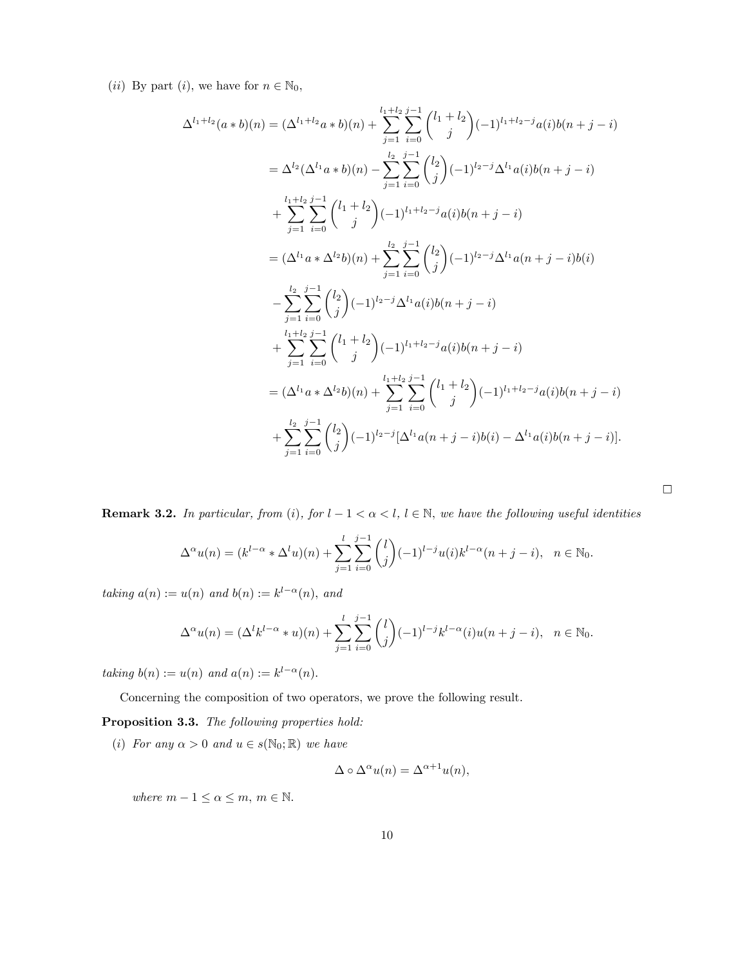(*ii*) By part (*i*), we have for  $n \in \mathbb{N}_0$ ,

$$
\Delta^{l_1+l_2}(a * b)(n) = (\Delta^{l_1+l_2}a * b)(n) + \sum_{j=1}^{l_1+l_2}\sum_{i=0}^{j-1} {l_1+l_2 \choose j}(-1)^{l_1+l_2-j}a(i)b(n+j-i)
$$
  
\n
$$
= \Delta^{l_2}(\Delta^{l_1}a * b)(n) - \sum_{j=1}^{l_2}\sum_{i=0}^{j-1} {l_2 \choose j}(-1)^{l_2-j}\Delta^{l_1}a(i)b(n+j-i)
$$
  
\n
$$
+ \sum_{j=1}^{l_1+l_2}\sum_{i=0}^{j-1} {l_1+l_2 \choose j}(-1)^{l_1+l_2-j}a(i)b(n+j-i)
$$
  
\n
$$
= (\Delta^{l_1}a * \Delta^{l_2}b)(n) + \sum_{j=1}^{l_2}\sum_{i=0}^{j-1} {l_2 \choose j}(-1)^{l_2-j}\Delta^{l_1}a(n+j-i)b(i)
$$
  
\n
$$
- \sum_{j=1}^{l_2}\sum_{i=0}^{j-1} {l_2 \choose j}(-1)^{l_2-j}\Delta^{l_1}a(i)b(n+j-i)
$$
  
\n
$$
+ \sum_{j=1}^{l_1+l_2}\sum_{i=0}^{j-1} {l_1+l_2 \choose j}(-1)^{l_1+l_2-j}a(i)b(n+j-i)
$$
  
\n
$$
= (\Delta^{l_1}a * \Delta^{l_2}b)(n) + \sum_{j=1}^{l_1+l_2}\sum_{i=0}^{j-1} {l_1+l_2 \choose j}(-1)^{l_1+l_2-j}a(i)b(n+j-i)
$$
  
\n
$$
+ \sum_{j=1}^{l_2}\sum_{i=0}^{j-1} {l_2 \choose j}(-1)^{l_2-j}[\Delta^{l_1}a(n+j-i)b(i) - \Delta^{l_1}a(i)b(n+j-i)].
$$

**Remark 3.2.** In particular, from (i), for  $l - 1 < \alpha < l$ ,  $l \in \mathbb{N}$ , we have the following useful identities

$$
\Delta^{\alpha}u(n) = (k^{l-\alpha} * \Delta^l u)(n) + \sum_{j=1}^l \sum_{i=0}^{j-1} \binom{l}{j} (-1)^{l-j} u(i) k^{l-\alpha} (n+j-i), \quad n \in \mathbb{N}_0.
$$

*taking*  $a(n) := u(n)$  *and*  $b(n) := k^{l-\alpha}(n)$ *, and* 

$$
\Delta^{\alpha}u(n) = (\Delta^l k^{l-\alpha} * u)(n) + \sum_{j=1}^l \sum_{i=0}^{j-1} {l \choose j} (-1)^{l-j} k^{l-\alpha} (i) u(n+j-i), \quad n \in \mathbb{N}_0.
$$

*taking*  $b(n) := u(n)$  *and*  $a(n) := k^{l-\alpha}(n)$ *.* 

Concerning the composition of two operators, we prove the following result.

Proposition 3.3. *The following properties hold:*

(*i*) *For any*  $\alpha > 0$  *and*  $u \in s(\mathbb{N}_0; \mathbb{R})$  *we have* 

$$
\Delta \circ \Delta^{\alpha} u(n) = \Delta^{\alpha+1} u(n),
$$

*where*  $m - 1 \leq \alpha \leq m$ ,  $m \in \mathbb{N}$ .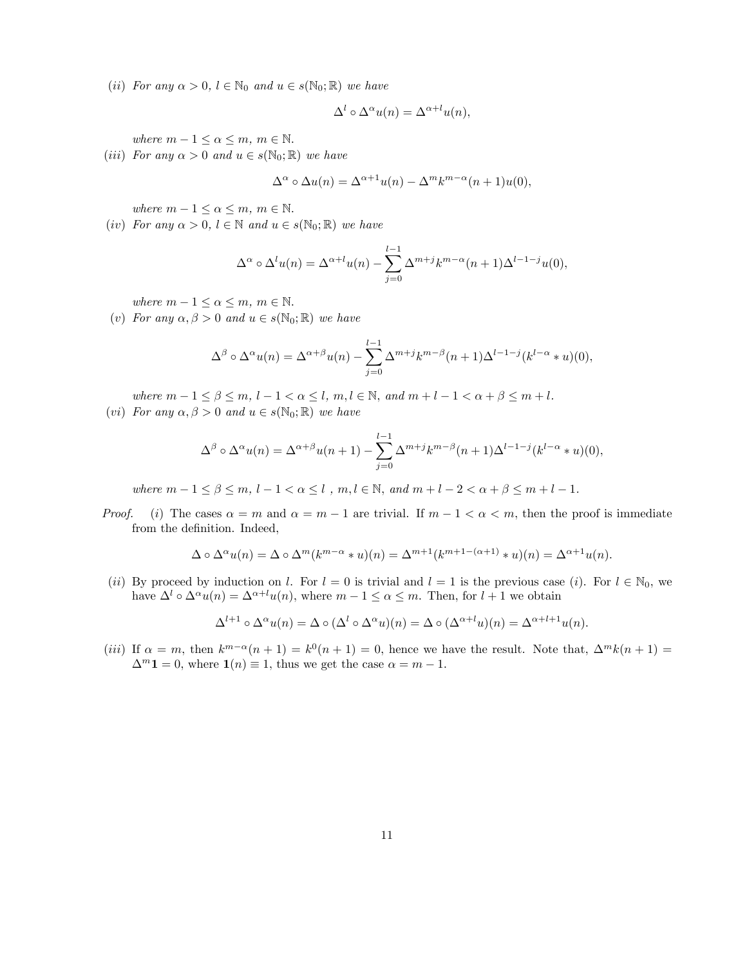(*ii*) *For* any  $\alpha > 0$ ,  $l \in \mathbb{N}_0$  and  $u \in s(\mathbb{N}_0; \mathbb{R})$  *we have* 

$$
\Delta^l \circ \Delta^{\alpha} u(n) = \Delta^{\alpha + l} u(n),
$$

*where*  $m - 1 \leq \alpha \leq m$ ,  $m \in \mathbb{N}$ .

(*iii*) *For* any  $\alpha > 0$  *and*  $u \in s(\mathbb{N}_0; \mathbb{R})$  *we have* 

$$
\Delta^{\alpha} \circ \Delta u(n) = \Delta^{\alpha+1} u(n) - \Delta^m k^{m-\alpha} (n+1) u(0),
$$

*where*  $m - 1 \leq \alpha \leq m$ ,  $m \in \mathbb{N}$ .

(*iv*) *For any*  $\alpha > 0$ ,  $l \in \mathbb{N}$  *and*  $u \in s(\mathbb{N}_0; \mathbb{R})$  *we have* 

$$
\Delta^{\alpha} \circ \Delta^{l} u(n) = \Delta^{\alpha+l} u(n) - \sum_{j=0}^{l-1} \Delta^{m+j} k^{m-\alpha} (n+1) \Delta^{l-1-j} u(0),
$$

*where*  $m - 1 \leq \alpha \leq m$ ,  $m \in \mathbb{N}$ .

(*v*) *For any*  $\alpha, \beta > 0$  *and*  $u \in s(\mathbb{N}_0; \mathbb{R})$  *we have* 

$$
\Delta^{\beta} \circ \Delta^{\alpha} u(n) = \Delta^{\alpha+\beta} u(n) - \sum_{j=0}^{l-1} \Delta^{m+j} k^{m-\beta} (n+1) \Delta^{l-1-j} (k^{l-\alpha} * u)(0),
$$

*where*  $m-1 \leq \beta \leq m, l-1 < \alpha \leq l, m, l \in \mathbb{N}, \text{ and } m+l-1 < \alpha+\beta \leq m+l.$ 

(*vi*) *For any*  $\alpha, \beta > 0$  *and*  $u \in s(\mathbb{N}_0; \mathbb{R})$  *we have* 

$$
\Delta^{\beta} \circ \Delta^{\alpha} u(n) = \Delta^{\alpha+\beta} u(n+1) - \sum_{j=0}^{l-1} \Delta^{m+j} k^{m-\beta} (n+1) \Delta^{l-1-j} (k^{l-\alpha} * u)(0),
$$

*where*  $m - 1 \le \beta \le m, l - 1 < \alpha \le l$ ,  $m, l \in \mathbb{N}$ , and  $m + l - 2 < \alpha + \beta \le m + l - 1$ .

*Proof.* (*i*) The cases  $\alpha = m$  and  $\alpha = m - 1$  are trivial. If  $m - 1 < \alpha < m$ , then the proof is immediate from the definition. Indeed,

$$
\Delta \circ \Delta^{\alpha} u(n) = \Delta \circ \Delta^m (k^{m-\alpha} * u)(n) = \Delta^{m+1} (k^{m+1-(\alpha+1)} * u)(n) = \Delta^{\alpha+1} u(n).
$$

(*ii*) By proceed by induction on *l*. For  $l = 0$  is trivial and  $l = 1$  is the previous case (*i*). For  $l \in \mathbb{N}_0$ , we have  $\Delta^l \circ \Delta^{\alpha} u(n) = \Delta^{\alpha+l} u(n)$ , where  $m-1 \leq \alpha \leq m$ . Then, for  $l+1$  we obtain

$$
\Delta^{l+1} \circ \Delta^{\alpha} u(n) = \Delta \circ (\Delta^l \circ \Delta^{\alpha} u)(n) = \Delta \circ (\Delta^{\alpha+l} u)(n) = \Delta^{\alpha+l+1} u(n).
$$

(*iii*) If  $\alpha = m$ , then  $k^{m-\alpha}(n+1) = k^0(n+1) = 0$ , hence we have the result. Note that,  $\Delta^m k(n+1) =$  $\Delta^m$ **1** = 0, where **1**(*n*)  $\equiv$  1, thus we get the case  $\alpha = m - 1$ .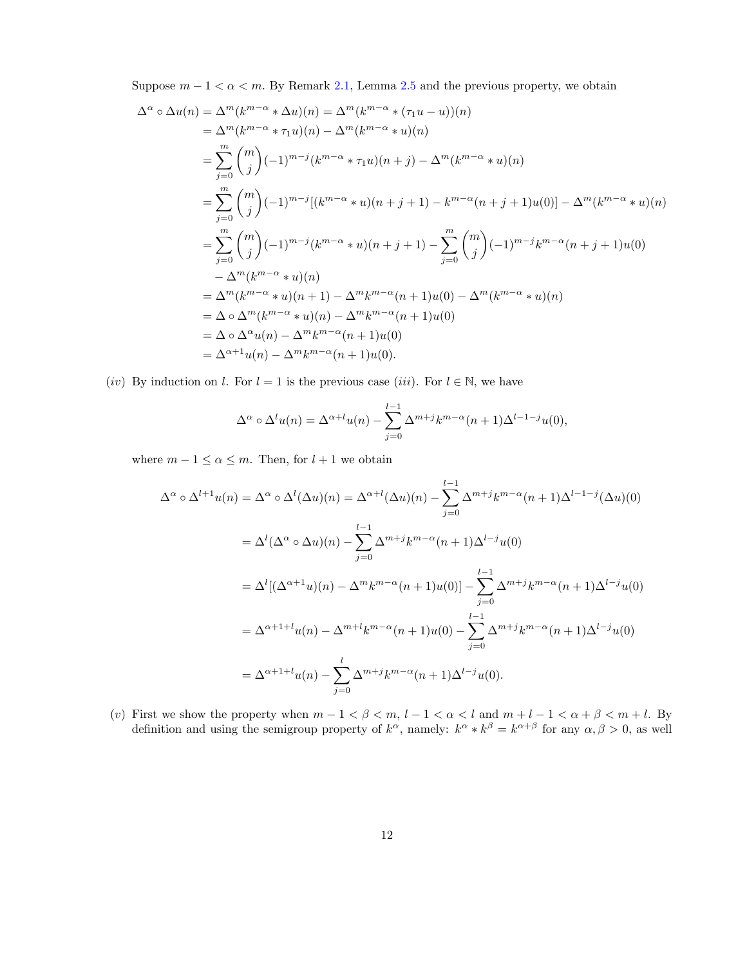Suppose  $m-1 < \alpha < m$ . By Remark [2.1,](#page-21-0) Lemma [2.5](#page-24-1) and the previous property, we obtain

$$
\Delta^{\alpha} \circ \Delta u(n) = \Delta^{m}(k^{m-\alpha} * \Delta u)(n) = \Delta^{m}(k^{m-\alpha} * (\tau_{1} u - u))(n)
$$
  
\n
$$
= \Delta^{m}(k^{m-\alpha} * \tau_{1} u)(n) - \Delta^{m}(k^{m-\alpha} * u)(n)
$$
  
\n
$$
= \sum_{j=0}^{m} {m \choose j} (-1)^{m-j} (k^{m-\alpha} * \tau_{1} u)(n+j) - \Delta^{m}(k^{m-\alpha} * u)(n)
$$
  
\n
$$
= \sum_{j=0}^{m} {m \choose j} (-1)^{m-j} [(k^{m-\alpha} * u)(n+j+1) - k^{m-\alpha}(n+j+1)u(0)] - \Delta^{m}(k^{m-\alpha} * u)(n)
$$
  
\n
$$
= \sum_{j=0}^{m} {m \choose j} (-1)^{m-j} (k^{m-\alpha} * u)(n+j+1) - \sum_{j=0}^{m} {m \choose j} (-1)^{m-j} k^{m-\alpha}(n+j+1)u(0)
$$
  
\n
$$
- \Delta^{m}(k^{m-\alpha} * u)(n)
$$
  
\n
$$
= \Delta^{\alpha} (k^{m-\alpha} * u)(n+1) - \Delta^{m} k^{m-\alpha}(n+1)u(0) - \Delta^{m}(k^{m-\alpha} * u)(n)
$$
  
\n
$$
= \Delta^{\alpha} \circ \Delta^{m}(k^{m-\alpha} * u)(n) - \Delta^{m} k^{m-\alpha}(n+1)u(0)
$$
  
\n
$$
= \Delta^{\alpha} \Delta^{\alpha} u(n) - \Delta^{m} k^{m-\alpha}(n+1)u(0)
$$
  
\n
$$
= \Delta^{\alpha+1} u(n) - \Delta^{m} k^{m-\alpha}(n+1)u(0).
$$

(*iv*) By induction on *l*. For  $l = 1$  is the previous case (*iii*). For  $l \in \mathbb{N}$ , we have

$$
\Delta^{\alpha} \circ \Delta^{l} u(n) = \Delta^{\alpha+l} u(n) - \sum_{j=0}^{l-1} \Delta^{m+j} k^{m-\alpha} (n+1) \Delta^{l-1-j} u(0),
$$

where  $m - 1 \le \alpha \le m$ . Then, for  $l + 1$  we obtain

$$
\Delta^{\alpha} \circ \Delta^{l+1} u(n) = \Delta^{\alpha} \circ \Delta^{l}(\Delta u)(n) = \Delta^{\alpha+l}(\Delta u)(n) - \sum_{j=0}^{l-1} \Delta^{m+j} k^{m-\alpha} (n+1) \Delta^{l-1-j}(\Delta u)(0)
$$
  
\n
$$
= \Delta^{l}(\Delta^{\alpha} \circ \Delta u)(n) - \sum_{j=0}^{l-1} \Delta^{m+j} k^{m-\alpha} (n+1) \Delta^{l-j} u(0)
$$
  
\n
$$
= \Delta^{l}[(\Delta^{\alpha+1} u)(n) - \Delta^{m} k^{m-\alpha} (n+1) u(0)] - \sum_{j=0}^{l-1} \Delta^{m+j} k^{m-\alpha} (n+1) \Delta^{l-j} u(0)
$$
  
\n
$$
= \Delta^{\alpha+1+l} u(n) - \Delta^{m+l} k^{m-\alpha} (n+1) u(0) - \sum_{j=0}^{l-1} \Delta^{m+j} k^{m-\alpha} (n+1) \Delta^{l-j} u(0)
$$
  
\n
$$
= \Delta^{\alpha+1+l} u(n) - \sum_{j=0}^{l} \Delta^{m+j} k^{m-\alpha} (n+1) \Delta^{l-j} u(0).
$$

(*v*) First we show the property when  $m-1 < \beta < m, l-1 < \alpha < l$  and  $m+l-1 < \alpha + \beta < m+l$ . By definition and using the semigroup property of  $k^{\alpha}$ , namely:  $k^{\alpha} * k^{\beta} = k^{\alpha+\beta}$  for any  $\alpha, \beta > 0$ , as well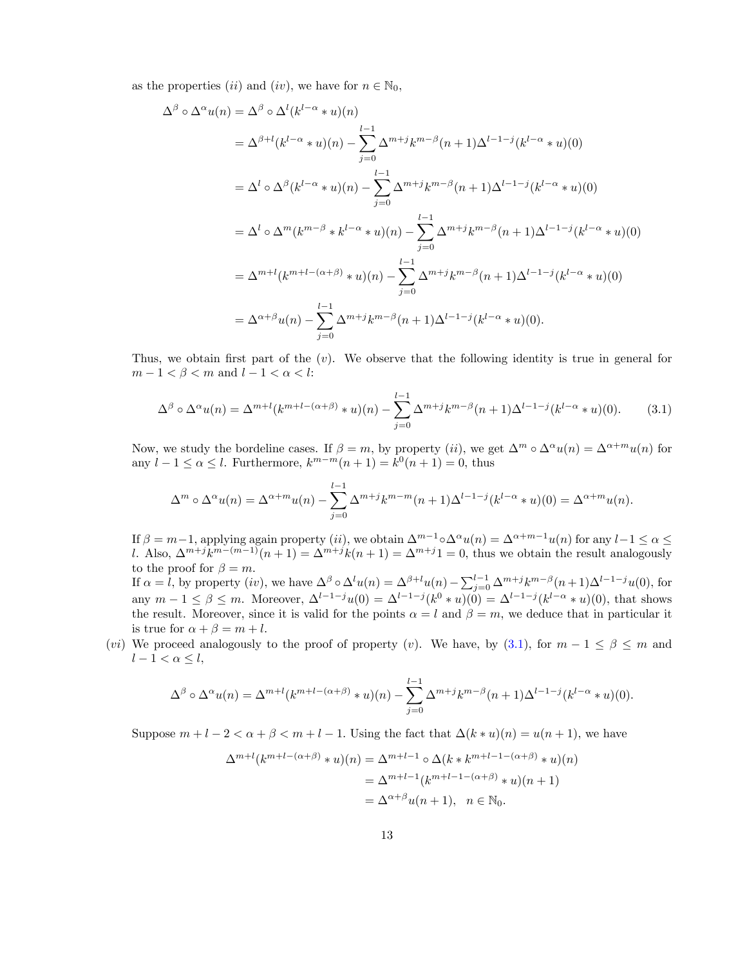as the properties (*ii*) and (*iv*), we have for  $n \in \mathbb{N}_0$ ,

$$
\Delta^{\beta} \circ \Delta^{\alpha} u(n) = \Delta^{\beta} \circ \Delta^{l} (k^{l-\alpha} * u)(n)
$$
  
\n
$$
= \Delta^{\beta+l} (k^{l-\alpha} * u)(n) - \sum_{j=0}^{l-1} \Delta^{m+j} k^{m-\beta} (n+1) \Delta^{l-1-j} (k^{l-\alpha} * u)(0)
$$
  
\n
$$
= \Delta^{l} \circ \Delta^{\beta} (k^{l-\alpha} * u)(n) - \sum_{j=0}^{l-1} \Delta^{m+j} k^{m-\beta} (n+1) \Delta^{l-1-j} (k^{l-\alpha} * u)(0)
$$
  
\n
$$
= \Delta^{l} \circ \Delta^{m} (k^{m-\beta} * k^{l-\alpha} * u)(n) - \sum_{j=0}^{l-1} \Delta^{m+j} k^{m-\beta} (n+1) \Delta^{l-1-j} (k^{l-\alpha} * u)(0)
$$
  
\n
$$
= \Delta^{m+l} (k^{m+l-(\alpha+\beta)} * u)(n) - \sum_{j=0}^{l-1} \Delta^{m+j} k^{m-\beta} (n+1) \Delta^{l-1-j} (k^{l-\alpha} * u)(0)
$$
  
\n
$$
= \Delta^{\alpha+\beta} u(n) - \sum_{j=0}^{l-1} \Delta^{m+j} k^{m-\beta} (n+1) \Delta^{l-1-j} (k^{l-\alpha} * u)(0).
$$

Thus, we obtain first part of the  $(v)$ . We observe that the following identity is true in general for  $m-1 < \beta < m$  and  $l-1 < \alpha < l$ :

<span id="page-12-0"></span>
$$
\Delta^{\beta} \circ \Delta^{\alpha} u(n) = \Delta^{m+l} (k^{m+l-(\alpha+\beta)} * u)(n) - \sum_{j=0}^{l-1} \Delta^{m+j} k^{m-\beta} (n+1) \Delta^{l-1-j} (k^{l-\alpha} * u)(0).
$$
 (3.1)

Now, we study the bordeline cases. If  $\beta = m$ , by property (*ii*), we get  $\Delta^m \circ \Delta^{\alpha} u(n) = \Delta^{\alpha+m} u(n)$  for any  $l - 1 \le \alpha \le l$ . Furthermore,  $k^{m-m}(n+1) = k^0(n+1) = 0$ , thus

$$
\Delta^m \circ \Delta^{\alpha} u(n) = \Delta^{\alpha+m} u(n) - \sum_{j=0}^{l-1} \Delta^{m+j} k^{m-m} (n+1) \Delta^{l-1-j}(k^{l-\alpha} * u)(0) = \Delta^{\alpha+m} u(n).
$$

If  $\beta = m-1$ , applying again property (*ii*), we obtain  $\Delta^{m-1} \circ \Delta^{\alpha} u(n) = \Delta^{\alpha+m-1} u(n)$  for any  $l-1 \leq \alpha \leq$ *l*. Also,  $\Delta^{m+j}k^{m-(m-1)}(n+1) = \Delta^{m+j}k(n+1) = \Delta^{m+j}1 = 0$ , thus we obtain the result analogously to the proof for  $\beta = m$ .

If  $\alpha = l$ , by property (iv), we have  $\Delta^{\beta} \circ \Delta^l u(n) = \Delta^{\beta+l} u(n) - \sum_{j=0}^{l-1} \Delta^{m+j} k^{m-\beta} (n+1) \Delta^{l-1-j} u(0)$ , for any  $m - 1 \le \beta \le m$ . Moreover,  $\Delta^{l-1-j}u(0) = \Delta^{l-1-j}(k^0 * u)(0) = \Delta^{l-1-j}(k^{l-\alpha} * u)(0)$ , that shows the result. Moreover, since it is valid for the points  $\alpha = l$  and  $\beta = m$ , we deduce that in particular it is true for  $\alpha + \beta = m + l$ .

(*vi*) We proceed analogously to the proof of property (*v*). We have, by ([3.1](#page-12-0)), for  $m-1 \leq \beta \leq m$  and  $l - 1 < \alpha \leq l$ ,

$$
\Delta^{\beta} \circ \Delta^{\alpha} u(n) = \Delta^{m+l} (k^{m+l-(\alpha+\beta)} \ast u)(n) - \sum_{j=0}^{l-1} \Delta^{m+j} k^{m-\beta} (n+1) \Delta^{l-1-j} (k^{l-\alpha} \ast u)(0).
$$

Suppose  $m+l-2 < \alpha+\beta < m+l-1$ . Using the fact that  $\Delta(k*u)(n) = u(n+1)$ , we have

$$
\Delta^{m+l}(k^{m+l-(\alpha+\beta)} * u)(n) = \Delta^{m+l-1} \circ \Delta(k * k^{m+l-1-(\alpha+\beta)} * u)(n)
$$

$$
= \Delta^{m+l-1}(k^{m+l-1-(\alpha+\beta)} * u)(n+1)
$$

$$
= \Delta^{\alpha+\beta} u(n+1), \quad n \in \mathbb{N}_0.
$$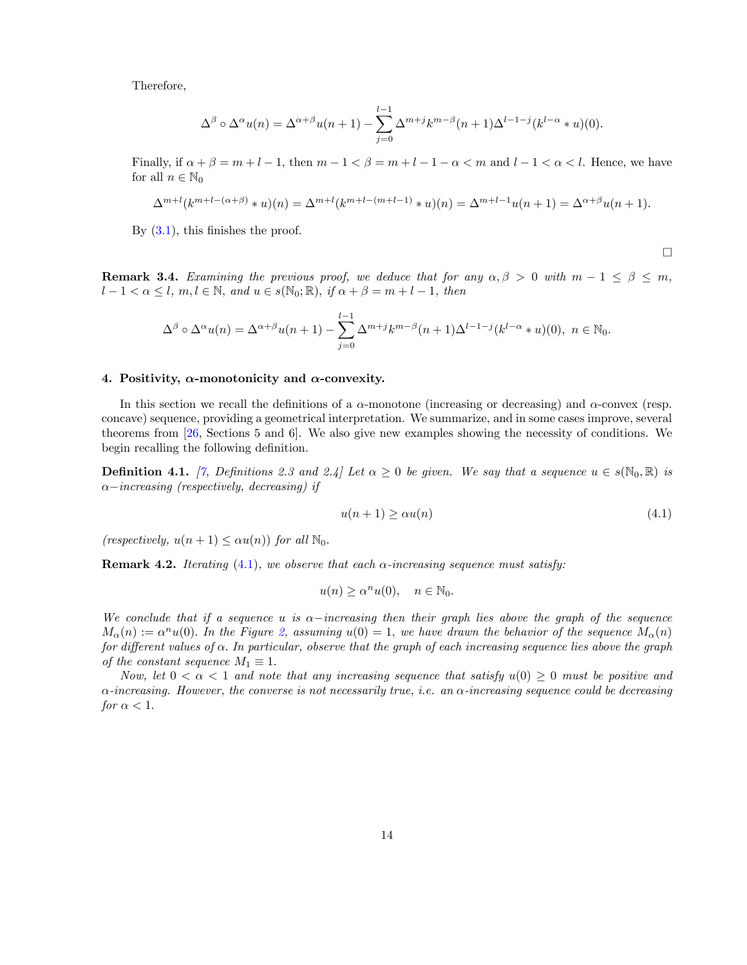Therefore,

$$
\Delta^{\beta} \circ \Delta^{\alpha} u(n) = \Delta^{\alpha+\beta} u(n+1) - \sum_{j=0}^{l-1} \Delta^{m+j} k^{m-\beta} (n+1) \Delta^{l-1-j} (k^{l-\alpha} * u)(0).
$$

Finally, if  $\alpha + \beta = m + l - 1$ , then  $m - 1 < \beta = m + l - 1 - \alpha < m$  and  $l - 1 < \alpha < l$ . Hence, we have for all  $n \in \mathbb{N}_0$ 

$$
\Delta^{m+l}(k^{m+l-(\alpha+\beta)}*u)(n) = \Delta^{m+l}(k^{m+l-(m+l-1)}*u)(n) = \Delta^{m+l-1}u(n+1) = \Delta^{\alpha+\beta}u(n+1).
$$

By ([3.1](#page-12-0)), this finishes the proof.

 $\Box$ 

**Remark 3.4.** *Examining* the *previous proof, we* deduce that for any  $\alpha, \beta > 0$  with  $m - 1 \leq \beta \leq m$ ,  $l-1 < \alpha \leq l, m, l \in \mathbb{N}, and u \in s(\mathbb{N}_0;\mathbb{R}), if \alpha + \beta = m + l - 1, then$ 

$$
\Delta^{\beta} \circ \Delta^{\alpha} u(n) = \Delta^{\alpha+\beta} u(n+1) - \sum_{j=0}^{l-1} \Delta^{m+j} k^{m-\beta} (n+1) \Delta^{l-1-j} (k^{l-\alpha} * u)(0), \quad n \in \mathbb{N}_0.
$$

### 4. Positivity,  $\alpha$ -monotonicity and  $\alpha$ -convexity.

In this section we recall the definitions of a  $\alpha$ -monotone (increasing or decreasing) and  $\alpha$ -convex (resp. concave) sequence, providing a geometrical interpretation. We summarize, and in some cases improve, several theorems from [[26,](#page-34-11) Sections 5 and 6]. We also give new examples showing the necessity of conditions. We begin recalling the following definition.

**Definition 4.1.** [[7,](#page-33-7) Definitions 2.3 and 2.4] Let  $\alpha \ge 0$  be given. We say that a sequence  $u \in s(\mathbb{N}_0, \mathbb{R})$  is α−*increasing (respectively, decreasing) if*

<span id="page-13-0"></span>
$$
u(n+1) \ge \alpha u(n) \tag{4.1}
$$

*(respectively,*  $u(n+1) \leq \alpha u(n)$ *) for all*  $\mathbb{N}_0$ *.* 

**Remark 4.2.** *Iterating* [\(4.1\)](#page-13-0), we observe that each  $\alpha$ -increasing sequence must satisfy:

$$
u(n) \ge \alpha^n u(0), \quad n \in \mathbb{N}_0.
$$

We conclude that if a sequence u is  $\alpha$ -increasing then their graph lies above the graph of the sequence  $M_{\alpha}(n) := \alpha^{n} u(0)$ . In the Figure [2,](#page-14-0) assuming  $u(0) = 1$ , we have drawn the behavior of the sequence  $M_{\alpha}(n)$ for different values of  $\alpha$ . In particular, observe that the graph of each increasing sequence lies above the graph *of the constant sequence*  $M_1 \equiv 1$ *.* 

*Now,* let  $0 < \alpha < 1$  and note that any increasing sequence that satisfy  $u(0) \geq 0$  *must* be positive and α*-increasing. However, the converse is not necessarily true, i.e. an* α*-increasing sequence could be decreasing for*  $\alpha < 1$ *.*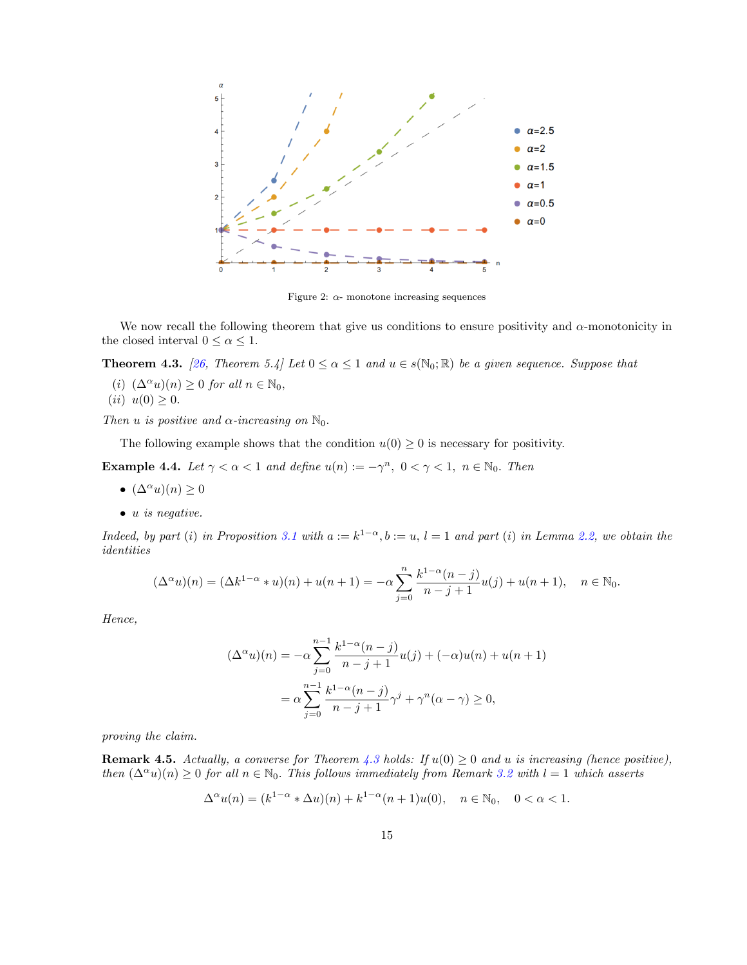

<span id="page-14-0"></span>Figure 2:  $\alpha$ - monotone increasing sequences

We now recall the following theorem that give us conditions to ensure positivity and  $\alpha$ -monotonicity in the closed interval  $0 \leq \alpha \leq 1$ .

**Theorem 4.3.** [[26](#page-34-11), Theorem 5.4] Let  $0 \le \alpha \le 1$  and  $u \in s(\mathbb{N}_0;\mathbb{R})$  be a given sequence. Suppose that

(*i*)  $(\Delta^{\alpha} u)(n) \ge 0$  *for all*  $n \in \mathbb{N}_0$ ,<br>(*ii*)  $u(0) > 0$ 

$$
(ii) u(0) \ge 0.
$$

*Then u is positive and*  $\alpha$ *-increasing on*  $\mathbb{N}_0$ *.* 

The following example shows that the condition  $u(0) \geq 0$  is necessary for positivity.

**Example 4.4.** Let  $\gamma < \alpha < 1$  and define  $u(n) := -\gamma^n$ ,  $0 < \gamma < 1$ ,  $n \in \mathbb{N}_0$ . Then

- $(\Delta^{\alpha} u)(n) \geq 0$
- *• u is negative.*

Indeed, by part (i) in Proposition [3.1](#page-21-0) with  $a := k^{1-\alpha}, b := u, l = 1$  and part (i) in Lemma [2.2,](#page-22-1) we obtain the *identities*

$$
(\Delta^{\alpha} u)(n) = (\Delta k^{1-\alpha} * u)(n) + u(n+1) = -\alpha \sum_{j=0}^{n} \frac{k^{1-\alpha}(n-j)}{n-j+1} u(j) + u(n+1), \quad n \in \mathbb{N}_0.
$$

*Hence,*

$$
(\Delta^{\alpha}u)(n) = -\alpha \sum_{j=0}^{n-1} \frac{k^{1-\alpha}(n-j)}{n-j+1} u(j) + (-\alpha)u(n) + u(n+1)
$$
  
=  $\alpha \sum_{j=0}^{n-1} \frac{k^{1-\alpha}(n-j)}{n-j+1} \gamma^j + \gamma^n(\alpha - \gamma) \ge 0,$ 

*proving the claim.*

**Remark 4.5.** Actually, a converse for Theorem [4.3](#page-22-0) holds: If  $u(0) \geq 0$  and  $u$  is increasing (hence positive), *then*  $(\Delta^{\alpha} u)(n) \ge 0$  *for all*  $n \in \mathbb{N}_0$ *. This follows immediately from Remark [3.2](#page-22-1) with*  $l = 1$  *which asserts* 

$$
\Delta^{\alpha} u(n) = (k^{1-\alpha} * \Delta u)(n) + k^{1-\alpha}(n+1)u(0), \quad n \in \mathbb{N}_0, \quad 0 < \alpha < 1.
$$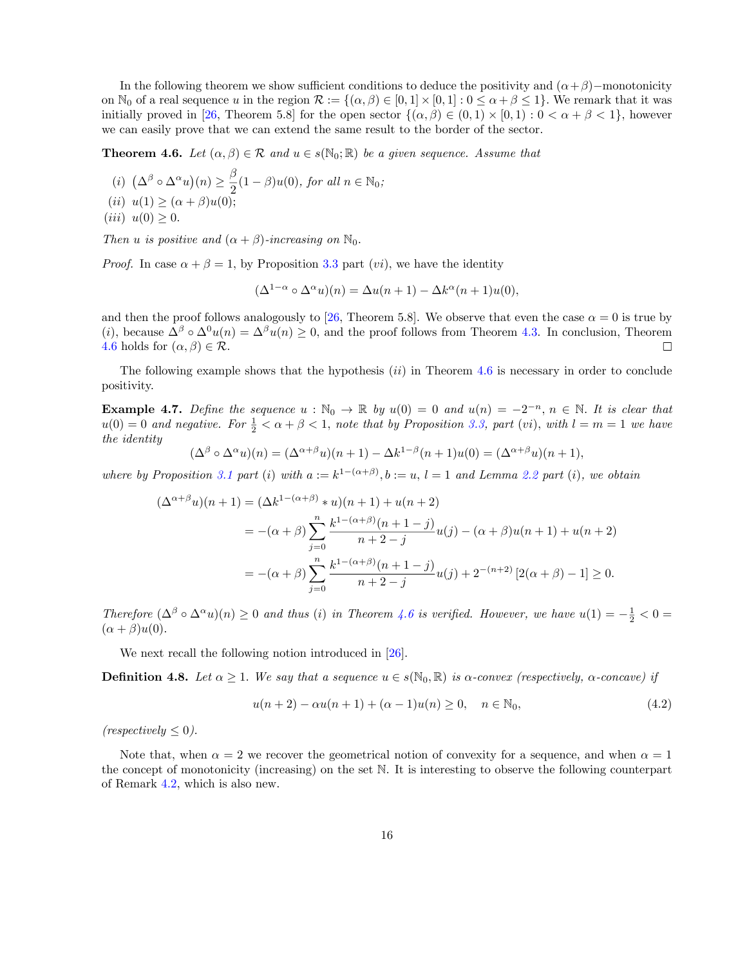In the following theorem we show sufficient conditions to deduce the positivity and  $(\alpha + \beta)$ −monotonicity on  $\mathbb{N}_0$  of a real sequence *u* in the region  $\mathcal{R} := \{(\alpha, \beta) \in [0,1] \times [0,1] : 0 \leq \alpha + \beta \leq 1\}$ . We remark that it was initially proved in [[26,](#page-34-11) Theorem 5.8] for the open sector  $\{(\alpha,\beta) \in (0,1) \times [0,1) : 0 < \alpha + \beta < 1\}$ , however we can easily prove that we can extend the same result to the border of the sector.

**Theorem 4.6.** *Let*  $(\alpha, \beta) \in \mathcal{R}$  *and*  $u \in s(\mathbb{N}_0; \mathbb{R})$  *be a given sequence. Assume that* 

 $\left(\Delta^{\beta} \circ \Delta^{\alpha} u\right)(n) \geq \frac{\beta}{2}(1-\beta)u(0), \text{ for all } n \in \mathbb{N}_0;$  $(ii) u(1) \geq (\alpha + \beta)u(0);$  $(iii) u(0) \geq 0.$ 

*Then u is positive and*  $(\alpha + \beta)$ *-increasing on*  $\mathbb{N}_0$ *.* 

*Proof.* In case  $\alpha + \beta = 1$ , by Proposition [3.3](#page-22-0) part (*vi*), we have the identity

$$
(\Delta^{1-\alpha} \circ \Delta^{\alpha} u)(n) = \Delta u(n+1) - \Delta k^{\alpha}(n+1)u(0),
$$

and then the proof follows analogously to [\[26](#page-34-11), Theorem 5.8]. We observe that even the case  $\alpha = 0$  is true by (*i*), because  $\Delta^{\beta} \circ \Delta^{0} u(n) = \Delta^{\beta} u(n) \ge 0$ , and the proof follows from Theorem [4.3.](#page-22-0) In conclusion, Theorem 4.6 holds for  $(\alpha, \beta) \in \mathcal{R}$ . [4.6](#page-24-0) holds for  $(\alpha, \beta) \in \mathcal{R}$ .

The following example shows that the hypothesis (*ii*) in Theorem [4.6](#page-24-0) is necessary in order to conclude positivity.

**Example 4.7.** Define the sequence  $u : \mathbb{N}_0 \to \mathbb{R}$  by  $u(0) = 0$  and  $u(n) = -2^{-n}, n \in \mathbb{N}$ . It is clear that  $u(0) = 0$  and negative. For  $\frac{1}{2} < \alpha + \beta < 1$ , note that by Proposition [3.3,](#page-22-0) part (vi), with  $l = m = 1$  we have *the identity*

$$
(\Delta^{\beta} \circ \Delta^{\alpha} u)(n) = (\Delta^{\alpha+\beta} u)(n+1) - \Delta k^{1-\beta}(n+1)u(0) = (\Delta^{\alpha+\beta} u)(n+1),
$$

where by Proposition [3.1](#page-21-0) part (i) with  $a := k^{1-(\alpha+\beta)}$ ,  $b := u$ ,  $l = 1$  and Lemma [2.2](#page-22-1) part (i), we obtain

$$
(\Delta^{\alpha+\beta}u)(n+1) = (\Delta k^{1-(\alpha+\beta)} * u)(n+1) + u(n+2)
$$
  
= -(\alpha+\beta) \sum\_{j=0}^{n} \frac{k^{1-(\alpha+\beta)}(n+1-j)}{n+2-j} u(j) - (\alpha+\beta)u(n+1) + u(n+2)  
= -(\alpha+\beta) \sum\_{j=0}^{n} \frac{k^{1-(\alpha+\beta)}(n+1-j)}{n+2-j} u(j) + 2^{-(n+2)} [2(\alpha+\beta)-1] \ge 0.

*Therefore*  $(\Delta^{\beta} \circ \Delta^{\alpha} u)(n) \ge 0$  *and thus (i) in Theorem [4.6](#page-24-0) is verified. However, we have*  $u(1) = -\frac{1}{2} < 0$  $(\alpha + \beta)u(0)$ .

We next recall the following notion introduced in [[26\]](#page-34-11).

**Definition 4.8.** Let  $\alpha \geq 1$ . We say that a sequence  $u \in s(\mathbb{N}_0, \mathbb{R})$  is  $\alpha$ -convex (respectively,  $\alpha$ -concave) if

$$
u(n+2) - \alpha u(n+1) + (\alpha - 1)u(n) \ge 0, \quad n \in \mathbb{N}_0,
$$
\n(4.2)

 $(respectively \leq 0)$ .

Note that, when  $\alpha = 2$  we recover the geometrical notion of convexity for a sequence, and when  $\alpha = 1$ the concept of monotonicity (increasing) on the set N. It is interesting to observe the following counterpart of Remark [4.2,](#page-22-1) which is also new.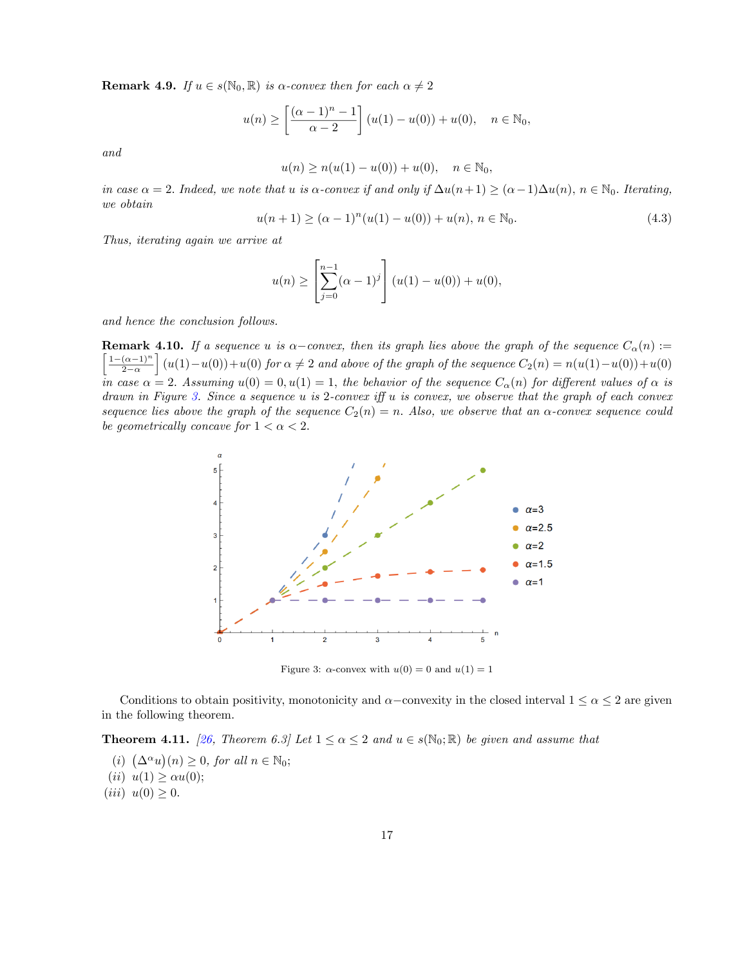**Remark 4.9.** *If*  $u \in s(\mathbb{N}_0, \mathbb{R})$  *is*  $\alpha$ *-convex then for each*  $\alpha \neq 2$ 

$$
u(n) \ge \left[\frac{(\alpha - 1)^n - 1}{\alpha - 2}\right] (u(1) - u(0)) + u(0), \quad n \in \mathbb{N}_0,
$$

*and*

$$
u(n) \ge n(u(1) - u(0)) + u(0), \quad n \in \mathbb{N}_0,
$$

in case  $\alpha = 2$ . Indeed, we note that u is  $\alpha$ -convex if and only if  $\Delta u(n+1) \geq (\alpha - 1)\Delta u(n)$ ,  $n \in \mathbb{N}_0$ . Iterating, *we obtain*

$$
u(n+1) \ge (\alpha - 1)^n (u(1) - u(0)) + u(n), \ n \in \mathbb{N}_0.
$$
\n(4.3)

*Thus, iterating again we arrive at*

$$
u(n) \ge \left[\sum_{j=0}^{n-1} (\alpha - 1)^j\right] (u(1) - u(0)) + u(0),
$$

*and hence the conclusion follows.*

**Remark 4.10.** If a sequence u is  $\alpha$ -convex, then its graph lies above the graph of the sequence  $C_{\alpha}(n)$  :=  $1-(\alpha-1)^n$  $2-\alpha$  $\int (u(1) - u(0)) + u(0)$  for  $\alpha \neq 2$  *and above of the graph of the sequence*  $C_2(n) = n(u(1) - u(0)) + u(0)$  $\bar{m}$  case  $\alpha = 2$ . Assuming  $u(0) = 0, u(1) = 1$ , the behavior of the sequence  $C_{\alpha}(n)$  for different values of  $\alpha$  is drawn in Figure [3.](#page-16-0) Since a sequence  $u$  is 2-convex iff  $u$  is convex, we observe that the graph of each convex sequence lies above the graph of the sequence  $C_2(n) = n$ . Also, we observe that an  $\alpha$ -convex sequence could *be geometrically concave for*  $1 < \alpha < 2$ *.* 



<span id="page-16-0"></span>Figure 3:  $\alpha$ -convex with  $u(0) = 0$  and  $u(1) = 1$ 

Conditions to obtain positivity, monotonicity and  $\alpha$ –convexity in the closed interval  $1 \leq \alpha \leq 2$  are given in the following theorem.

**Theorem 4.11.** [[26,](#page-34-11) Theorem 6.3] Let  $1 \leq \alpha \leq 2$  and  $u \in s(\mathbb{N}_0;\mathbb{R})$  be given and assume that

- $(i)$   $(\Delta^{\alpha}u)(n) \geq 0$ , for all  $n \in \mathbb{N}_0$ ;
- (*ii*)  $u(1) \ge \alpha u(0);$
- $(iii) u(0) \geq 0.$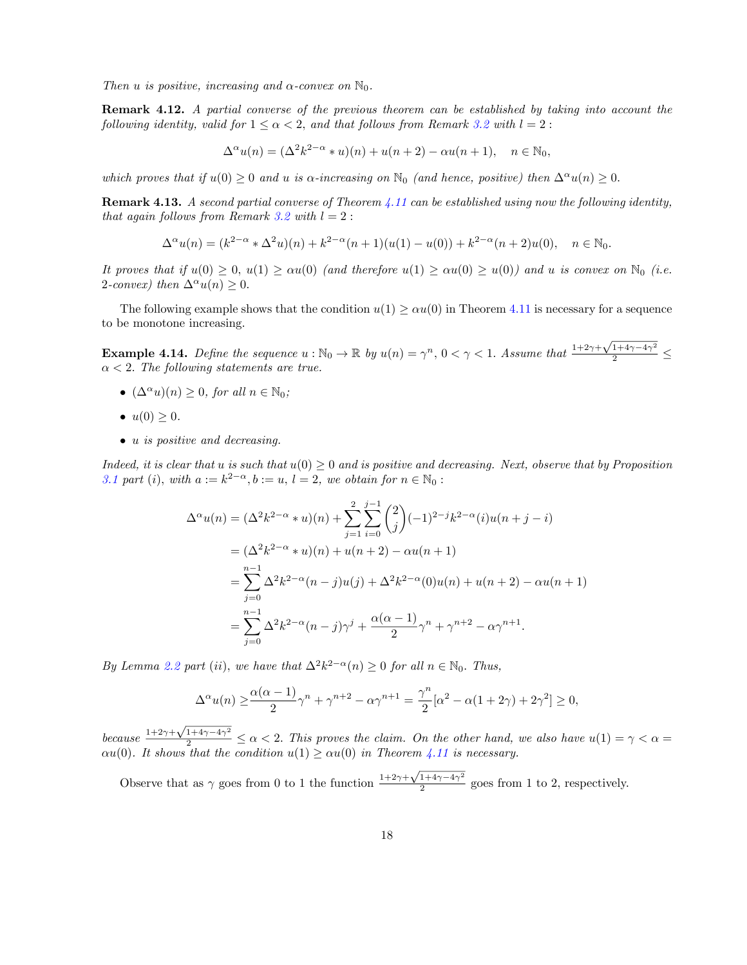*Then u is positive, increasing and*  $\alpha$ -*convex on*  $\mathbb{N}_0$ *.* 

Remark 4.12. *A partial converse of the previous theorem can be established by taking into account the following identity, valid for*  $1 \leq \alpha < 2$ *, and that follows from Remark* [3.2](#page-22-1) *with*  $l = 2$ :

$$
\Delta^{\alpha}u(n) = (\Delta^2 k^{2-\alpha} * u)(n) + u(n+2) - \alpha u(n+1), \quad n \in \mathbb{N}_0,
$$

*which proves that if*  $u(0) \geq 0$  *and u is*  $\alpha$ *-increasing on*  $\mathbb{N}_0$  *(and hence, positive) then*  $\Delta^{\alpha}u(n) \geq 0$ .

Remark 4.13. *A second partial converse of Theorem [4.11](#page-28-1) can be established using now the following identity, that again follows from Remark* [3.2](#page-22-1) *with*  $l = 2$ :

$$
\Delta^{\alpha}u(n) = (k^{2-\alpha} * \Delta^2 u)(n) + k^{2-\alpha}(n+1)(u(1) - u(0)) + k^{2-\alpha}(n+2)u(0), \quad n \in \mathbb{N}_0.
$$

It proves that if  $u(0) \geq 0$ ,  $u(1) \geq \alpha u(0)$  (and therefore  $u(1) \geq \alpha u(0) \geq u(0)$ ) and u is convex on  $\mathbb{N}_0$  (i.e. 2*-convex*) *then*  $\Delta^{\alpha} u(n) \geq 0$ *.* 

The following example shows that the condition  $u(1) \geq \alpha u(0)$  in Theorem [4.11](#page-28-1) is necessary for a sequence to be monotone increasing.

<span id="page-17-0"></span>Example 4.14. *Define the sequence*  $u : \mathbb{N}_0 \to \mathbb{R}$  by  $u(n) = \gamma^n$ ,  $0 < \gamma < 1$ . Assume that  $\frac{1+2\gamma+\sqrt{1+4\gamma-4\gamma^2}}{2} \leq$  $\alpha < 2$ . The following statements are true.

- $(\Delta^{\alpha} u)(n) \geq 0$ *, for all*  $n \in \mathbb{N}_0$ *;*
- $u(0) \geq 0$ .
- *• u is positive and decreasing.*

Indeed, it is clear that u is such that  $u(0) \geq 0$  and is positive and decreasing. Next, observe that by Proposition *[3.1](#page-21-0) part* (*i*)*, with*  $a := k^{2-\alpha}, b := u, l = 2$ *, we obtain for*  $n \in \mathbb{N}_0$ :

$$
\Delta^{\alpha}u(n) = (\Delta^2 k^{2-\alpha} * u)(n) + \sum_{j=1}^{2} \sum_{i=0}^{j-1} {2 \choose j} (-1)^{2-j} k^{2-\alpha} (i)u(n+j-i)
$$
  
= 
$$
(\Delta^2 k^{2-\alpha} * u)(n) + u(n+2) - \alpha u(n+1)
$$
  
= 
$$
\sum_{j=0}^{n-1} \Delta^2 k^{2-\alpha} (n-j)u(j) + \Delta^2 k^{2-\alpha} (0)u(n) + u(n+2) - \alpha u(n+1)
$$
  
= 
$$
\sum_{j=0}^{n-1} \Delta^2 k^{2-\alpha} (n-j)\gamma^j + \frac{\alpha(\alpha-1)}{2}\gamma^n + \gamma^{n+2} - \alpha \gamma^{n+1}.
$$

*By Lemma* [2.2](#page-22-1) *part* (*ii*), *we have that*  $\Delta^2 k^{2-\alpha}(n) \geq 0$  *for all*  $n \in \mathbb{N}_0$ . *Thus,* 

$$
\Delta^{\alpha}u(n) \ge \frac{\alpha(\alpha-1)}{2}\gamma^{n} + \gamma^{n+2} - \alpha\gamma^{n+1} = \frac{\gamma^{n}}{2}[\alpha^{2} - \alpha(1+2\gamma) + 2\gamma^{2}] \ge 0,
$$

*because*  $\frac{1+2\gamma+\sqrt{1+4\gamma-4\gamma^2}}{2} \le \alpha < 2$ . This proves the *claim.* On the *other hand,* we also *have*  $u(1) = \gamma < \alpha =$  $\alpha u(0)$ *. It shows that the condition*  $u(1) \geq \alpha u(0)$  *in Theorem [4.11](#page-28-1) is necessary.* 

Observe that as  $\gamma$  goes from 0 to 1 the function  $\frac{1+2\gamma+\sqrt{1+4\gamma-4\gamma^2}}{2}$  goes from 1 to 2, respectively.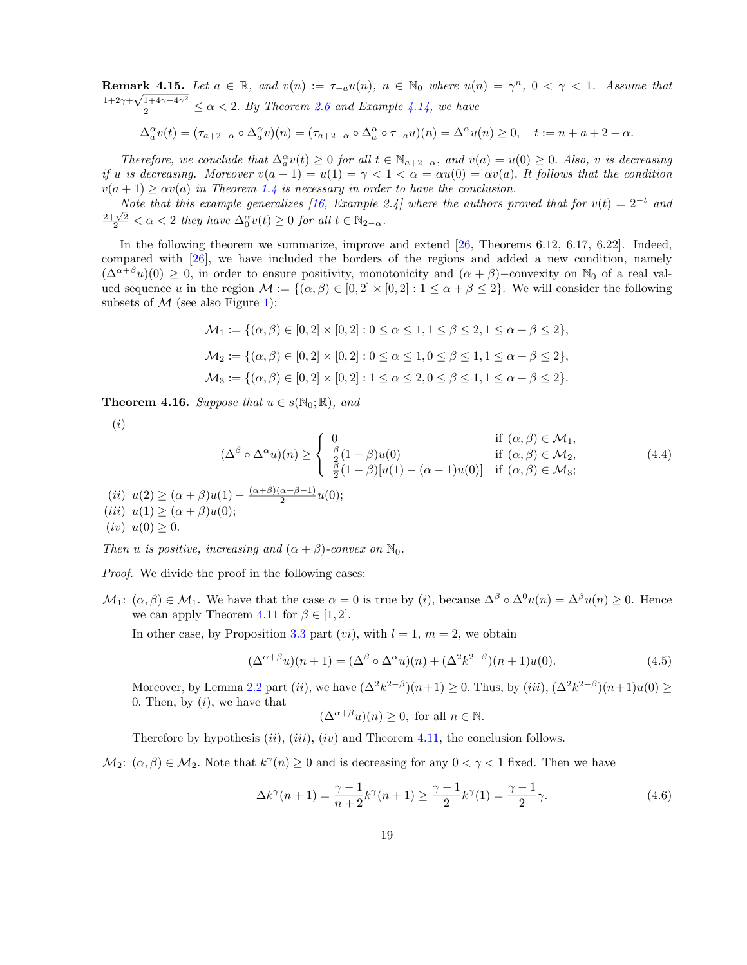**Remark 4.15.** Let  $a \in \mathbb{R}$ , and  $v(n) := \tau_{-a}u(n)$ ,  $n \in \mathbb{N}_0$  where  $u(n) = \gamma^n$ ,  $0 < \gamma < 1$ . Assume that  $\frac{1+2\gamma+\sqrt{1+4\gamma-4\gamma^2}}{2} \le \alpha < 2$ . By Theorem [2.6](#page-24-0) and Example [4.14](#page-17-0), we have

$$
\Delta_a^{\alpha}v(t)=(\tau_{a+2-\alpha}\circ\Delta_a^{\alpha}v)(n)=(\tau_{a+2-\alpha}\circ\Delta_a^{\alpha}\circ\tau_{-a}u)(n)=\Delta^{\alpha}u(n)\geq 0, \quad t:=n+a+2-\alpha.
$$

Therefore, we conclude that  $\Delta_a^{\alpha}v(t) \geq 0$  for all  $t \in \mathbb{N}_{a+2-\alpha}$ , and  $v(a) = u(0) \geq 0$ . Also, v is decreasing if u is decreasing. Moreover  $v(a + 1) = u(1) = \gamma < 1 < \alpha = \alpha u(0) = \alpha v(a)$ . It follows that the condition  $v(a+1) \geq \alpha v(a)$  *in Theorem [1.4](#page-23-0) is necessary in order to have the conclusion.* 

Note that this example generalizes [\[16,](#page-34-6) Example 2.4] where the authors proved that for  $v(t) = 2^{-t}$  and  $\frac{2+\sqrt{2}}{2} < \alpha < 2$  *they have*  $\Delta_0^{\alpha} v(t) \geq 0$  *for all*  $t \in \mathbb{N}_{2-\alpha}$ *.* 

In the following theorem we summarize, improve and extend [[26,](#page-34-11) Theorems 6.12, 6.17, 6.22]. Indeed, compared with [[26\]](#page-34-11), we have included the borders of the regions and added a new condition, namely  $(\Delta^{\alpha+\beta}u)(0) \geq 0$ , in order to ensure positivity, monotonicity and  $(\alpha+\beta)$ –convexity on N<sub>0</sub> of a real valued sequence *u* in the region  $\mathcal{M} := \{(\alpha, \beta) \in [0, 2] \times [0, 2] : 1 \leq \alpha + \beta \leq 2\}$ . We will consider the following subsets of  $M$  (see also Figure [1\)](#page-4-0):

$$
\mathcal{M}_1 := \{ (\alpha, \beta) \in [0, 2] \times [0, 2] : 0 \le \alpha \le 1, 1 \le \beta \le 2, 1 \le \alpha + \beta \le 2 \},\
$$
  

$$
\mathcal{M}_2 := \{ (\alpha, \beta) \in [0, 2] \times [0, 2] : 0 \le \alpha \le 1, 0 \le \beta \le 1, 1 \le \alpha + \beta \le 2 \},\
$$
  

$$
\mathcal{M}_3 := \{ (\alpha, \beta) \in [0, 2] \times [0, 2] : 1 \le \alpha \le 2, 0 \le \beta \le 1, 1 \le \alpha + \beta \le 2 \}.
$$

<span id="page-18-0"></span>**Theorem 4.16.** *Suppose that*  $u \in s(\mathbb{N}_0; \mathbb{R})$ *, and* 

<span id="page-18-2"></span>(*i*)

$$
(\Delta^{\beta} \circ \Delta^{\alpha} u)(n) \geq \begin{cases} 0 & \text{if } (\alpha, \beta) \in \mathcal{M}_1, \\ \frac{\beta}{2}(1-\beta)u(0) & \text{if } (\alpha, \beta) \in \mathcal{M}_2, \\ \frac{\beta}{2}(1-\beta)[u(1) - (\alpha - 1)u(0)] & \text{if } (\alpha, \beta) \in \mathcal{M}_3; \end{cases}
$$
  
\n(ii)  $u(2) \geq (\alpha + \beta)u(1) - \frac{(\alpha + \beta)(\alpha + \beta - 1)}{2}u(0);$   
\n(iii)  $u(1) \geq (\alpha + \beta)u(0);$   
\n(iv)  $u(0) > 0.$  (4.4)

*Then u is positive, increasing* and  $(\alpha + \beta)$ *-convex on*  $\mathbb{N}_0$ *.* 

*Proof.* We divide the proof in the following cases:

 $M_1: (\alpha, \beta) \in \mathcal{M}_1$ . We have that the case  $\alpha = 0$  is true by (*i*), because  $\Delta^{\beta} \circ \Delta^0 u(n) = \Delta^{\beta} u(n) \geq 0$ . Hence we can apply Theorem [4.11](#page-28-1) for  $\beta \in [1, 2]$ .

In other case, by Proposition [3.3](#page-22-0) part  $(vi)$ , with  $l = 1$ ,  $m = 2$ , we obtain

<span id="page-18-3"></span>
$$
(\Delta^{\alpha+\beta}u)(n+1) = (\Delta^{\beta} \circ \Delta^{\alpha}u)(n) + (\Delta^2 k^{2-\beta})(n+1)u(0). \tag{4.5}
$$

Moreover, by Lemma [2.2](#page-22-1) part (*ii*), we have  $(\Delta^2 k^{2-\beta})(n+1) \ge 0$ . Thus, by (*iii*),  $(\Delta^2 k^{2-\beta})(n+1)u(0) \ge$ 0*.* Then, by (*i*), we have that

$$
(\Delta^{\alpha+\beta}u)(n)\geq 0, \text{ for all } n \in \mathbb{N}.
$$

Therefore by hypothesis (*ii*)*,* (*iii*), (*iv*) and Theorem [4.11](#page-28-1), the conclusion follows.

 $M_2$ :  $(\alpha, \beta) \in M_2$ . Note that  $k^{\gamma}(n) \geq 0$  and is decreasing for any  $0 < \gamma < 1$  fixed. Then we have

<span id="page-18-1"></span>
$$
\Delta k^{\gamma}(n+1) = \frac{\gamma - 1}{n+2} k^{\gamma}(n+1) \ge \frac{\gamma - 1}{2} k^{\gamma}(1) = \frac{\gamma - 1}{2} \gamma.
$$
 (4.6)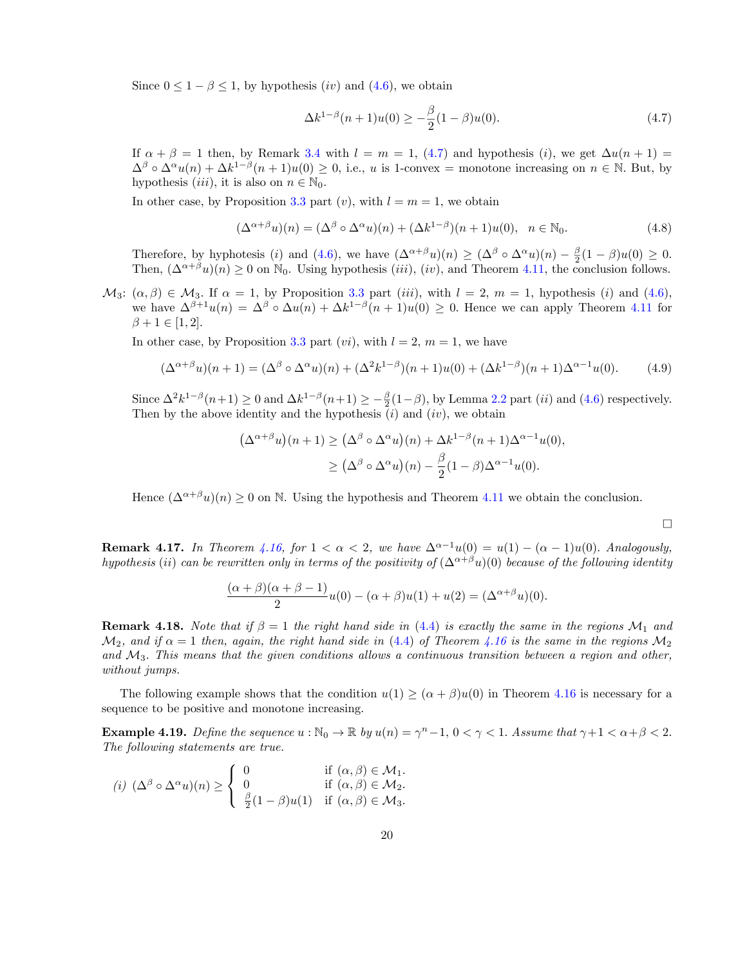Since  $0 \leq 1 - \beta \leq 1$ , by hypothesis *(iv)* and  $(4.6)$ , we obtain

<span id="page-19-1"></span>
$$
\Delta k^{1-\beta}(n+1)u(0) \ge -\frac{\beta}{2}(1-\beta)u(0). \tag{4.7}
$$

If  $\alpha + \beta = 1$  then, by Remark [3.4](#page-23-0) with  $l = m = 1$ , ([4.7\)](#page-19-1) and hypothesis (*i*), we get  $\Delta u(n + 1) =$  $\Delta^{\beta} \circ \Delta^{\alpha} u(n) + \Delta k^{1-\beta}(n+1)u(0) \geq 0$ , i.e., *u* is 1-convex = monotone increasing on  $n \in \mathbb{N}$ . But, by hypothesis *(iii)*, it is also on  $n \in \mathbb{N}_0$ .

In other case, by Proposition [3.3](#page-22-0) part  $(v)$ , with  $l = m = 1$ , we obtain

<span id="page-19-2"></span>
$$
(\Delta^{\alpha+\beta}u)(n) = (\Delta^{\beta} \circ \Delta^{\alpha}u)(n) + (\Delta k^{1-\beta})(n+1)u(0), \quad n \in \mathbb{N}_0.
$$
\n(4.8)

Therefore, by hyphotesis (*i*) and ([4.6](#page-18-1)), we have  $(\Delta^{\alpha+\beta}u)(n) \geq (\Delta^{\beta} \circ \Delta^{\alpha}u)(n) - \frac{\beta}{2}(1-\beta)u(0) \geq 0$ . Then,  $(\Delta^{\alpha+\beta}u)(n) \geq 0$  on  $\mathbb{N}_0$ . Using hypothesis *(iii)*, *(iv)*, and Theorem [4.11](#page-28-1), the conclusion follows.

 $M_3$ :  $(\alpha, \beta) \in M_3$ . If  $\alpha = 1$ , by Proposition [3.3](#page-22-0) part *(iii)*, with  $l = 2$ ,  $m = 1$ , hypothesis *(i)* and ([4.6](#page-18-1)), we have  $\Delta^{\beta+1}u(n) = \Delta^{\beta} \circ \Delta u(n) + \Delta k^{1-\beta}(n+1)u(0) \geq 0$ . Hence we can apply Theorem [4.11](#page-28-1) for  $\beta + 1 \in [1, 2].$ 

In other case, by Proposition [3.3](#page-22-0) part  $(vi)$ , with  $l = 2$ ,  $m = 1$ , we have

<span id="page-19-3"></span>
$$
(\Delta^{\alpha+\beta}u)(n+1) = (\Delta^{\beta} \circ \Delta^{\alpha}u)(n) + (\Delta^2 k^{1-\beta})(n+1)u(0) + (\Delta k^{1-\beta})(n+1)\Delta^{\alpha-1}u(0).
$$
 (4.9)

Since  $\Delta^2 k^{1-\beta}(n+1) \ge 0$  and  $\Delta k^{1-\beta}(n+1) \ge -\frac{\beta}{2}(1-\beta)$ , by Lemma [2.2](#page-22-1) part *(ii)* and ([4.6\)](#page-18-1) respectively. Then by the above identity and the hypothesis  $(i)$  and  $(iv)$ , we obtain

$$
(\Delta^{\alpha+\beta}u)(n+1) \geq (\Delta^{\beta} \circ \Delta^{\alpha}u)(n) + \Delta k^{1-\beta}(n+1)\Delta^{\alpha-1}u(0),
$$
  
 
$$
\geq (\Delta^{\beta} \circ \Delta^{\alpha}u)(n) - \frac{\beta}{2}(1-\beta)\Delta^{\alpha-1}u(0).
$$

Hence  $(\Delta^{\alpha+\beta}u)(n) \geq 0$  on N. Using the hypothesis and Theorem [4.11](#page-28-1) we obtain the conclusion.

**Remark 4.17.** *In Theorem [4.16,](#page-18-0) for*  $1 < \alpha < 2$ *, we have*  $\Delta^{\alpha-1}u(0) = u(1) - (\alpha - 1)u(0)$ *. Analogously,* hypothesis (ii) can be rewritten only in terms of the positivity of  $(\Delta^{\alpha+\beta}u)(0)$  because of the following identity

$$
\frac{(\alpha + \beta)(\alpha + \beta - 1)}{2}u(0) - (\alpha + \beta)u(1) + u(2) = (\Delta^{\alpha + \beta}u)(0).
$$

**Remark 4.18.** *Note that* if  $\beta = 1$  *the right hand side in* ([4.4\)](#page-18-2) *is exactly the same in the regions*  $\mathcal{M}_1$  *and*  $\mathcal{M}_2$ , and if  $\alpha = 1$  then, again, the right hand side in ([4.4\)](#page-18-2) of Theorem [4.16](#page-18-0) is the same in the regions  $\mathcal{M}_2$ and  $\mathcal{M}_3$ . This means that the given conditions allows a continuous transition between a region and other, *without jumps.*

The following example shows that the condition  $u(1) \geq (\alpha + \beta)u(0)$  in Theorem [4.16](#page-18-0) is necessary for a sequence to be positive and monotone increasing.

<span id="page-19-0"></span>**Example 4.19.** *Define the sequence*  $u : \mathbb{N}_0 \to \mathbb{R}$  *by*  $u(n) = \gamma^n - 1$ ,  $0 < \gamma < 1$ *. Assume that*  $\gamma + 1 < \alpha + \beta < 2$ *. The following statements are true.*

$$
(i) \ (\Delta^{\beta} \circ \Delta^{\alpha} u)(n) \geq \begin{cases} 0 & \text{if } (\alpha, \beta) \in \mathcal{M}_1. \\ 0 & \text{if } (\alpha, \beta) \in \mathcal{M}_2. \\ \frac{\beta}{2}(1-\beta)u(1) & \text{if } (\alpha, \beta) \in \mathcal{M}_3. \end{cases}
$$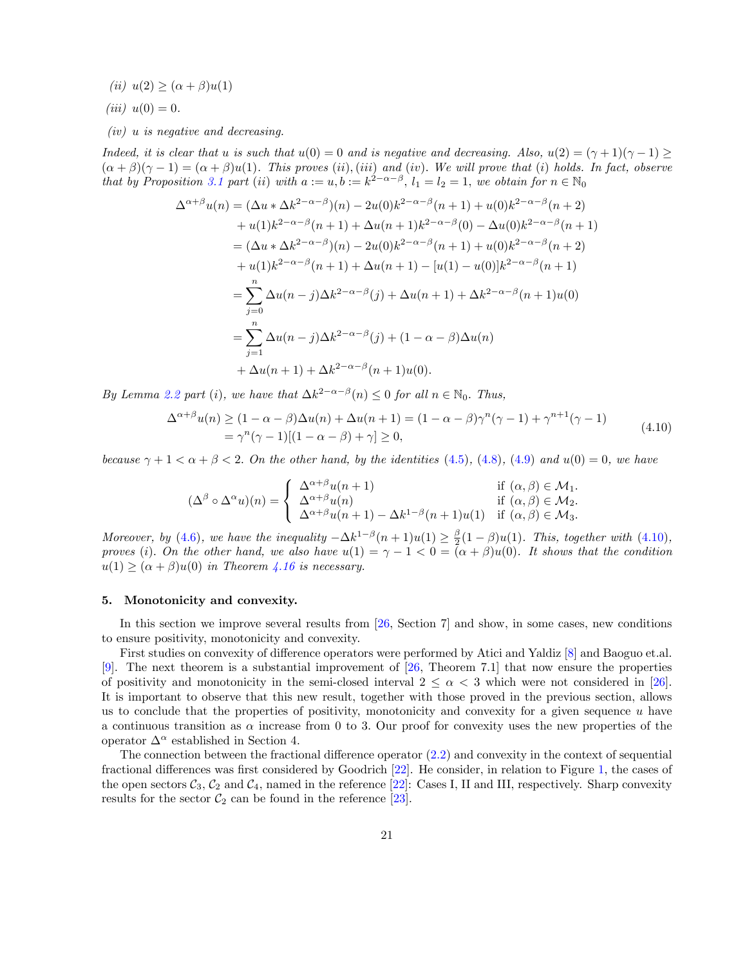$(iii) u(2) \geq (\alpha + \beta)u(1)$ 

$$
(iii) u(0) = 0.
$$

*(iv) u is negative and decreasing.*

Indeed, it is clear that u is such that  $u(0) = 0$  and is negative and decreasing. Also,  $u(2) = (\gamma + 1)(\gamma - 1) \ge$  $(\alpha + \beta)(\gamma - 1) = (\alpha + \beta)u(1)$ . This proves (ii), (iii) and (iv). We will prove that (i) holds. In fact, observe that by Proposition [3.1](#page-21-0) part (ii) with  $a := u, b := k^{2-\alpha-\beta}$ ,  $l_1 = l_2 = 1$ , we obtain for  $n \in \mathbb{N}_0$ 

$$
\Delta^{\alpha+\beta}u(n) = (\Delta u * \Delta k^{2-\alpha-\beta})(n) - 2u(0)k^{2-\alpha-\beta}(n+1) + u(0)k^{2-\alpha-\beta}(n+2) \n+ u(1)k^{2-\alpha-\beta}(n+1) + \Delta u(n+1)k^{2-\alpha-\beta}(0) - \Delta u(0)k^{2-\alpha-\beta}(n+1) \n= (\Delta u * \Delta k^{2-\alpha-\beta})(n) - 2u(0)k^{2-\alpha-\beta}(n+1) + u(0)k^{2-\alpha-\beta}(n+2) \n+ u(1)k^{2-\alpha-\beta}(n+1) + \Delta u(n+1) - [u(1) - u(0)]k^{2-\alpha-\beta}(n+1) \n= \sum_{j=0}^{n} \Delta u(n-j) \Delta k^{2-\alpha-\beta}(j) + \Delta u(n+1) + \Delta k^{2-\alpha-\beta}(n+1)u(0) \n= \sum_{j=1}^{n} \Delta u(n-j) \Delta k^{2-\alpha-\beta}(j) + (1-\alpha-\beta)\Delta u(n) \n+ \Delta u(n+1) + \Delta k^{2-\alpha-\beta}(n+1)u(0).
$$

<span id="page-20-0"></span>*By Lemma* [2.2](#page-22-1) *part* (*i*), *we have that*  $\Delta k^{2-\alpha-\beta}(n) \leq 0$  *for all*  $n \in \mathbb{N}_0$ . *Thus,* 

$$
\Delta^{\alpha+\beta}u(n) \ge (1 - \alpha - \beta)\Delta u(n) + \Delta u(n+1) = (1 - \alpha - \beta)\gamma^{n}(\gamma - 1) + \gamma^{n+1}(\gamma - 1)
$$
  
=  $\gamma^{n}(\gamma - 1)[(1 - \alpha - \beta) + \gamma] \ge 0,$  (4.10)

because  $\gamma + 1 < \alpha + \beta < 2$ . On the other hand, by the identities ([4.5\)](#page-18-3), [\(4.8\)](#page-19-2), [\(4.9\)](#page-19-3) and  $u(0) = 0$ , we have

$$
(\Delta^{\beta} \circ \Delta^{\alpha} u)(n) = \begin{cases} \Delta^{\alpha+\beta} u(n+1) & \text{if } (\alpha, \beta) \in \mathcal{M}_1. \\ \Delta^{\alpha+\beta} u(n) & \text{if } (\alpha, \beta) \in \mathcal{M}_2. \\ \Delta^{\alpha+\beta} u(n+1) - \Delta k^{1-\beta}(n+1)u(1) & \text{if } (\alpha, \beta) \in \mathcal{M}_3. \end{cases}
$$

*Moreover, by* [\(4.6\)](#page-18-1)*, we have the inequality*  $-\Delta k^{1-\beta}(n+1)u(1) \geq \frac{\beta}{2}(1-\beta)u(1)$ *. This, together with* [\(4.10](#page-20-0))*,* proves (i). On the other hand, we also have  $u(1) = \gamma - 1 < 0 = (\alpha + \beta)u(0)$ . It shows that the condition  $u(1) \geq (\alpha + \beta)u(0)$  *in Theorem [4.16](#page-18-0) is necessary.* 

### 5. Monotonicity and convexity.

In this section we improve several results from [[26,](#page-34-11) Section 7] and show, in some cases, new conditions to ensure positivity, monotonicity and convexity.

First studies on convexity of difference operators were performed by Atici and Yaldiz [\[8](#page-33-8)] and Baoguo et.al. [\[9](#page-33-9)]. The next theorem is a substantial improvement of [\[26](#page-34-11), Theorem 7.1] that now ensure the properties of positivity and monotonicity in the semi-closed interval  $2 \leq \alpha < 3$  which were not considered in [[26\]](#page-34-11). It is important to observe that this new result, together with those proved in the previous section, allows us to conclude that the properties of positivity, monotonicity and convexity for a given sequence *u* have a continuous transition as  $\alpha$  increase from 0 to 3. Our proof for convexity uses the new properties of the operator  $\Delta^{\alpha}$  established in Section 4.

The connection between the fractional difference operator [\(2.2\)](#page-7-0) and convexity in the context of sequential fractional differences was first considered by Goodrich [\[22](#page-34-16)]. He consider, in relation to Figure [1](#page-4-0), the cases of the open sectors  $C_3$ ,  $C_2$  and  $C_4$ , named in the reference [[22\]](#page-34-16): Cases I, II and III, respectively. Sharp convexity results for the sector  $C_2$  can be found in the reference [\[23](#page-34-17)].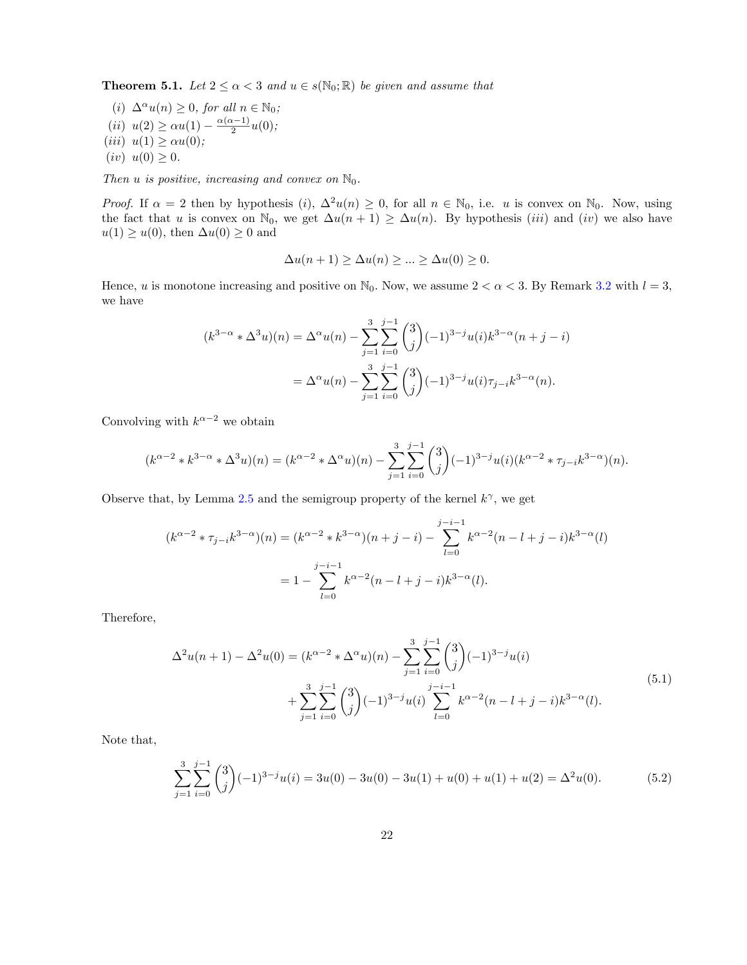<span id="page-21-0"></span>**Theorem 5.1.** *Let*  $2 \le \alpha < 3$  *and*  $u \in s(\mathbb{N}_0; \mathbb{R})$  *be given and assume that* 

(*i*)  $\Delta^{\alpha} u(n) \geq 0$ , for all  $n \in \mathbb{N}_0$ ;  $(iii)$   $u(2) \ge \alpha u(1) - \frac{\alpha(\alpha-1)}{2}u(0);$  $(iii) u(1) \geq \alpha u(0);$  $(iv) u(0) \geq 0.$ 

*Then*  $u$  *is positive, increasing and convex on*  $\mathbb{N}_0$ *.* 

*Proof.* If  $\alpha = 2$  then by hypothesis (*i*),  $\Delta^2 u(n) \geq 0$ , for all  $n \in \mathbb{N}_0$ , i.e. *u* is convex on  $\mathbb{N}_0$ . Now, using the fact that *u* is convex on  $\mathbb{N}_0$ , we get  $\Delta u(n+1) \geq \Delta u(n)$ . By hypothesis *(iii)* and *(iv)* we also have  $u(1) \geq u(0)$ , then  $\Delta u(0) \geq 0$  and

$$
\Delta u(n+1) \ge \Delta u(n) \ge \dots \ge \Delta u(0) \ge 0.
$$

Hence, *u* is monotone increasing and positive on  $\mathbb{N}_0$ . Now, we assume  $2 < \alpha < 3$ . By Remark [3.2](#page-22-1) with  $l = 3$ , we have

$$
(k^{3-\alpha} * \Delta^3 u)(n) = \Delta^{\alpha} u(n) - \sum_{j=1}^3 \sum_{i=0}^{j-1} {3 \choose j} (-1)^{3-j} u(i) k^{3-\alpha} (n+j-i)
$$
  
= 
$$
\Delta^{\alpha} u(n) - \sum_{j=1}^3 \sum_{i=0}^{j-1} {3 \choose j} (-1)^{3-j} u(i) \tau_{j-i} k^{3-\alpha} (n).
$$

Convolving with  $k^{\alpha-2}$  we obtain

$$
(k^{\alpha-2} * k^{3-\alpha} * \Delta^3 u)(n) = (k^{\alpha-2} * \Delta^{\alpha} u)(n) - \sum_{j=1}^3 \sum_{i=0}^{j-1} {3 \choose j} (-1)^{3-j} u(i) (k^{\alpha-2} * \tau_{j-i} k^{3-\alpha})(n).
$$

Observe that, by Lemma [2.5](#page-24-1) and the semigroup property of the kernel  $k^{\gamma}$ , we get

$$
(k^{\alpha-2} * \tau_{j-i} k^{3-\alpha})(n) = (k^{\alpha-2} * k^{3-\alpha})(n+j-i) - \sum_{l=0}^{j-i-1} k^{\alpha-2}(n-l+j-i)k^{3-\alpha}(l)
$$
  
=  $1 - \sum_{l=0}^{j-i-1} k^{\alpha-2}(n-l+j-i)k^{3-\alpha}(l).$ 

<span id="page-21-2"></span>Therefore,

$$
\Delta^2 u(n+1) - \Delta^2 u(0) = (k^{\alpha - 2} * \Delta^{\alpha} u)(n) - \sum_{j=1}^3 \sum_{i=0}^{j-1} {3 \choose j} (-1)^{3-j} u(i) + \sum_{j=1}^3 \sum_{i=0}^{j-1} {3 \choose j} (-1)^{3-j} u(i) \sum_{l=0}^{j-i-1} k^{\alpha - 2} (n - l + j - i) k^{3-\alpha} (l).
$$
\n(5.1)

Note that,

<span id="page-21-1"></span>
$$
\sum_{j=1}^{3} \sum_{i=0}^{j-1} {3 \choose j} (-1)^{3-j} u(i) = 3u(0) - 3u(0) - 3u(1) + u(0) + u(1) + u(2) = \Delta^2 u(0).
$$
 (5.2)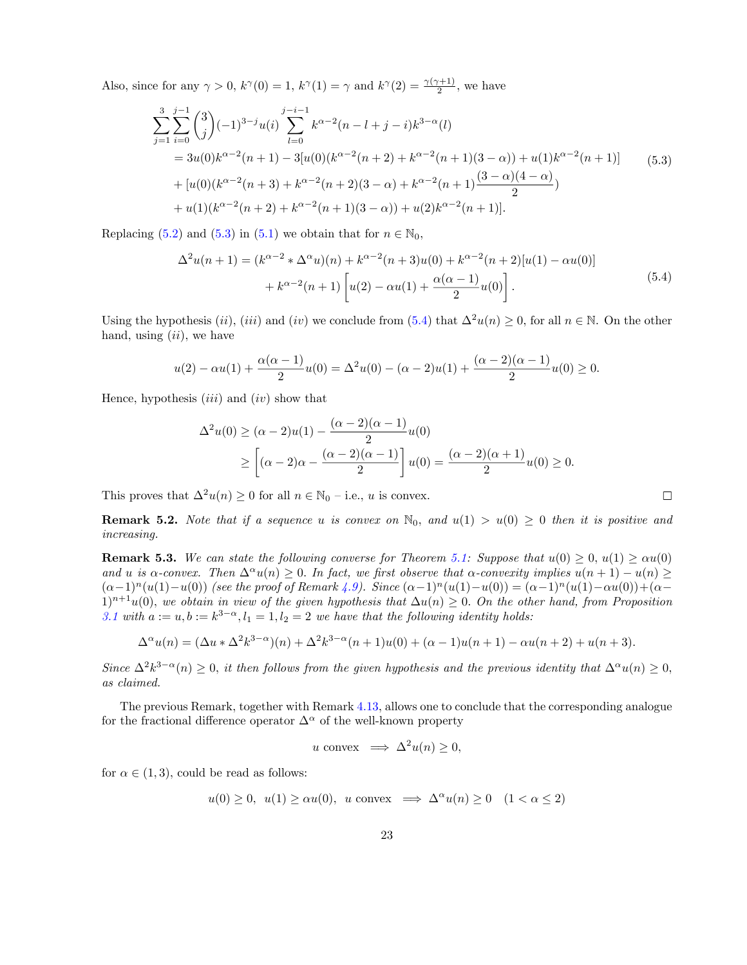Also, since for any  $\gamma > 0$ ,  $k^{\gamma}(0) = 1$ ,  $k^{\gamma}(1) = \gamma$  and  $k^{\gamma}(2) = \frac{\gamma(\gamma+1)}{2}$ , we have

<span id="page-22-2"></span>
$$
\sum_{j=1}^{3} \sum_{i=0}^{j-1} {3 \choose j} (-1)^{3-j} u(i) \sum_{l=0}^{j-i-1} k^{\alpha-2} (n-l+j-i) k^{3-\alpha} (l)
$$
  
= 3u(0)k<sup>\alpha-2</sup>(n + 1) - 3[u(0)(k<sup>\alpha-2</sup>(n + 2) + k<sup>\alpha-2</sup>(n + 1)(3 - \alpha)) + u(1)k<sup>\alpha-2</sup>(n + 1)] (5.3)  
+ [u(0)(k<sup>\alpha-2</sup>(n + 3) + k<sup>\alpha-2</sup>(n + 2)(3 - \alpha) + k<sup>\alpha-2</sup>(n + 1) $\frac{(3 - \alpha)(4 - \alpha)}{2}$ )  
+ u(1)(k<sup>\alpha-2</sup>(n + 2) + k<sup>\alpha-2</sup>(n + 1)(3 - \alpha)) + u(2)k<sup>\alpha-2</sup>(n + 1)].

<span id="page-22-3"></span>Replacing [\(5.2](#page-21-1)) and ([5.3](#page-22-2)) in [\(5.1\)](#page-21-2) we obtain that for  $n \in \mathbb{N}_0$ ,

$$
\Delta^{2}u(n+1) = (k^{\alpha-2} * \Delta^{\alpha}u)(n) + k^{\alpha-2}(n+3)u(0) + k^{\alpha-2}(n+2)[u(1) - \alpha u(0)] + k^{\alpha-2}(n+1) \left[ u(2) - \alpha u(1) + \frac{\alpha(\alpha-1)}{2}u(0) \right].
$$
\n(5.4)

Using the hypothesis (*ii*), (*iii*) and (*iv*) we conclude from ([5.4\)](#page-22-3) that  $\Delta^2 u(n) \geq 0$ , for all  $n \in \mathbb{N}$ . On the other hand, using (*ii*)*,* we have

$$
u(2) - \alpha u(1) + \frac{\alpha(\alpha - 1)}{2}u(0) = \Delta^2 u(0) - (\alpha - 2)u(1) + \frac{(\alpha - 2)(\alpha - 1)}{2}u(0) \ge 0.
$$

Hence, hypothesis (*iii*) and (*iv*) show that

$$
\Delta^2 u(0) \ge (\alpha - 2)u(1) - \frac{(\alpha - 2)(\alpha - 1)}{2}u(0)
$$
  
 
$$
\ge \left[ (\alpha - 2)\alpha - \frac{(\alpha - 2)(\alpha - 1)}{2} \right]u(0) = \frac{(\alpha - 2)(\alpha + 1)}{2}u(0) \ge 0.
$$

This proves that  $\Delta^2 u(n) \geq 0$  for all  $n \in \mathbb{N}_0$  – i.e., *u* is convex.

$$
\Box
$$

<span id="page-22-1"></span>**Remark 5.2.** Note that if a sequence u is convex on  $\mathbb{N}_0$ , and  $u(1) > u(0) \geq 0$  then it is positive and *increasing.*

<span id="page-22-0"></span>**Remark 5.3.** We can state the following converse for Theorem [5.1:](#page-21-0) Suppose that  $u(0) \geq 0$ ,  $u(1) \geq \alpha u(0)$ and u is  $\alpha$ -convex. Then  $\Delta^{\alpha}u(n) \geq 0$ . In fact, we first observe that  $\alpha$ -convexity implies  $u(n+1) - u(n) \geq 0$ .  $(\alpha-1)^n(u(1)-u(0))$  *(see the proof of Remark [4.9](#page-28-2)). Since*  $(\alpha-1)^n(u(1)-u(0)) = (\alpha-1)^n(u(1)-\alpha u(0)) + (\alpha-1)^n(u(1)-\alpha u(0))$  $1)^{n+1}u(0)$ , we obtain in view of the given hypothesis that  $\Delta u(n) \geq 0$ . On the other hand, from Proposition *[3.1](#page-21-0)* with  $a := u, b := k^{3-\alpha}, l_1 = 1, l_2 = 2$  we have that the following identity holds:

$$
\Delta^{\alpha} u(n) = (\Delta u * \Delta^2 k^{3-\alpha})(n) + \Delta^2 k^{3-\alpha}(n+1)u(0) + (\alpha - 1)u(n+1) - \alpha u(n+2) + u(n+3).
$$

Since  $\Delta^2 k^{3-\alpha}(n) \geq 0$ , it then follows from the given hypothesis and the previous identity that  $\Delta^{\alpha} u(n) \geq 0$ , *as claimed.*

The previous Remark, together with Remark [4.13](#page-30-1), allows one to conclude that the corresponding analogue for the fractional difference operator  $\Delta^{\alpha}$  of the well-known property

$$
u \text{ convex} \implies \Delta^2 u(n) \ge 0,
$$

for  $\alpha \in (1, 3)$ , could be read as follows:

$$
u(0) \ge 0, \ u(1) \ge \alpha u(0), \ u \text{ convex} \implies \Delta^{\alpha} u(n) \ge 0 \quad (1 < \alpha \le 2)
$$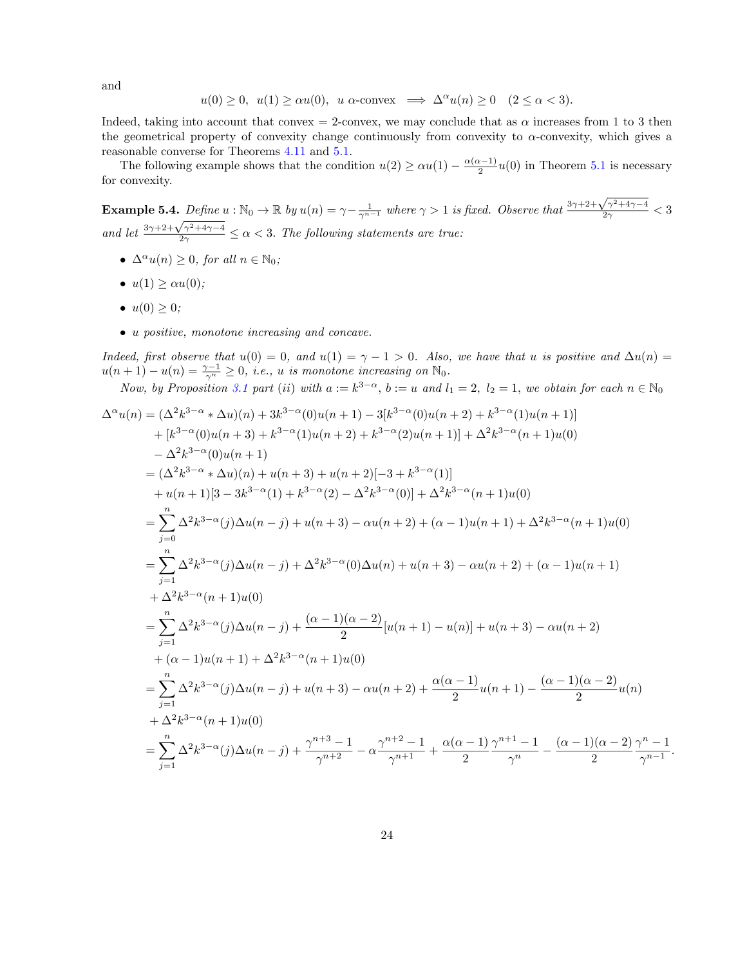and

$$
u(0) \ge 0, \ u(1) \ge \alpha u(0), \ u \alpha\text{-convex} \implies \Delta^{\alpha} u(n) \ge 0 \quad (2 \le \alpha < 3).
$$

Indeed, taking into account that convex = 2-convex, we may conclude that as  $\alpha$  increases from 1 to 3 then the geometrical property of convexity change continuously from convexity to α-convexity, which gives a reasonable converse for Theorems [4.11](#page-28-1) and [5.1](#page-21-0).

The following example shows that the condition  $u(2) \ge \alpha u(1) - \frac{\alpha(\alpha-1)}{2}u(0)$  in Theorem [5.1](#page-21-0) is necessary for convexity.

<span id="page-23-0"></span>**Example 5.4.** *Define*  $u : \mathbb{N}_0 \to \mathbb{R}$  *by*  $u(n) = \gamma - \frac{1}{\gamma^{n-1}}$  *where*  $\gamma > 1$  *is fixed. Observe that*  $\frac{3\gamma + 2 + \sqrt{\gamma^2 + 4\gamma - 4}}{2\gamma} < 3$ *and let*  $\frac{3\gamma + 2 + \sqrt{\gamma^2 + 4\gamma - 4}}{2\gamma} \le \alpha < 3$ . *The following statements are true:* 

- $\Delta^{\alpha}u(n) \geq 0$ *, for all*  $n \in \mathbb{N}_0$ *;*
- $u(1) \geq \alpha u(0)$ ;
- $u(0) \geq 0$ ;
- *• u positive, monotone increasing and concave.*

Indeed, first observe that  $u(0) = 0$ , and  $u(1) = \gamma - 1 > 0$ . Also, we have that u is positive and  $\Delta u(n) =$  $u(n+1) - u(n) = \frac{\gamma - 1}{\gamma^n} \geq 0$ , *i.e.*, *u is monotone increasing on*  $\mathbb{N}_0$ .

Now, by Proposition [3.1](#page-21-0) part (ii) with  $a := k^{3-\alpha}$ ,  $b := u$  and  $l_1 = 2$ ,  $l_2 = 1$ , we obtain for each  $n \in \mathbb{N}_0$ 

$$
\Delta^{\alpha}u(n) = (\Delta^{2}k^{3-\alpha} * \Delta u)(n) + 3k^{3-\alpha}(0)u(n+1) - 3[k^{3-\alpha}(0)u(n+2) + k^{3-\alpha}(1)u(n+1)] + [k^{3-\alpha}(0)u(n+3) + k^{3-\alpha}(1)u(n+2) + k^{3-\alpha}(2)u(n+1)] + \Delta^{2}k^{3-\alpha}(n+1)u(0) -\Delta^{2}k^{3-\alpha}(0)u(n+1) = (\Delta^{2}k^{3-\alpha} * \Delta u)(n) + u(n+3) + u(n+2)[-3 + k^{3-\alpha}(1)] + u(n+1)[3 - 3k^{3-\alpha}(1) + k^{3-\alpha}(2) - \Delta^{2}k^{3-\alpha}(0)] + \Delta^{2}k^{3-\alpha}(n+1)u(0) = \sum_{j=0}^{n} \Delta^{2}k^{3-\alpha}(j)\Delta u(n-j) + u(n+3) - \alpha u(n+2) + (\alpha - 1)u(n+1) + \Delta^{2}k^{3-\alpha}(n+1)u(0) = \sum_{j=1}^{n} \Delta^{2}k^{3-\alpha}(j)\Delta u(n-j) + \Delta^{2}k^{3-\alpha}(0)\Delta u(n) + u(n+3) - \alpha u(n+2) + (\alpha - 1)u(n+1) + \Delta^{2}k^{3-\alpha}(n+1)u(0) = \sum_{j=1}^{n} \Delta^{2}k^{3-\alpha}(j)\Delta u(n-j) + \frac{(\alpha - 1)(\alpha - 2)}{2}[u(n+1) - u(n)] + u(n+3) - \alpha u(n+2) + (\alpha - 1)u(n+1) + \Delta^{2}k^{3-\alpha}(n+1)u(0) = \sum_{j=1}^{n} \Delta^{2}k^{3-\alpha}(j)\Delta u(n-j) + u(n+3) - \alpha u(n+2) + \frac{\alpha(\alpha - 1)}{2}u(n+1) - \frac{(\alpha - 1)(\alpha - 2)}{2}u(n) + \Delta^{2}k^{3-\alpha}(n+1)u(0) = \sum_{j=1}^{n} \Delta^{2}k^{3-\alpha}(j)\Delta u(n-j) + \frac{\gamma^{n+3}-1}{\gamma^{n+2}} - \alpha \frac{\gamma^{n+2}-1}{\gamma^{n+1}} + \frac{\alpha(\alpha - 1)}{2} \frac{\gamma^{n+1}-1}{\gamma^{n}} - \frac{
$$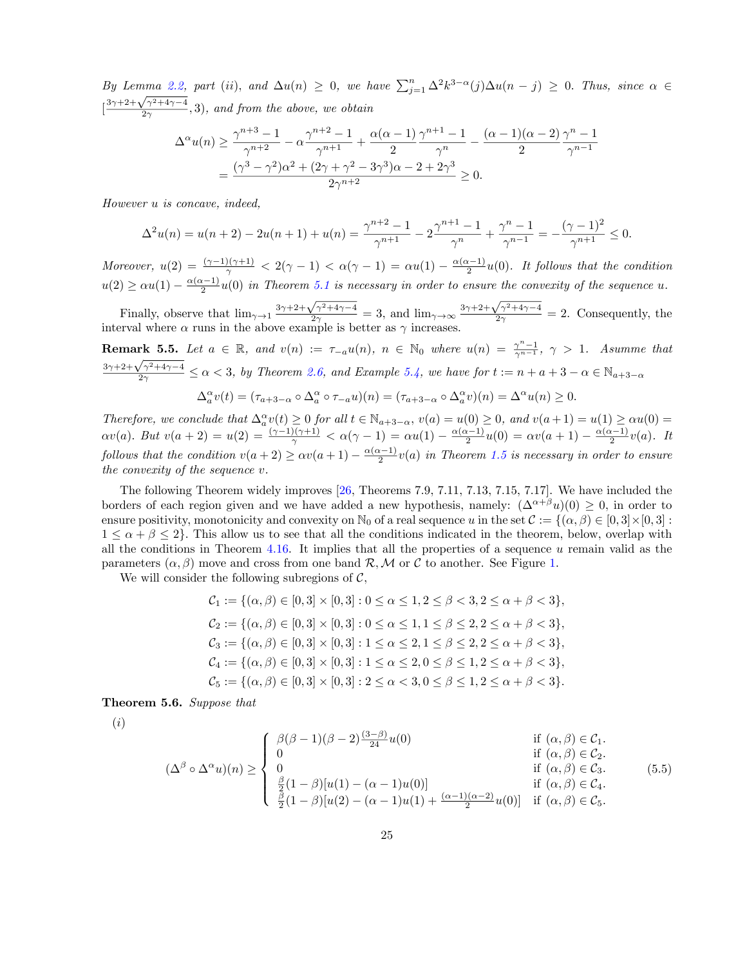By Lemma [2.2](#page-22-1), part (ii), and  $\Delta u(n) \geq 0$ , we have  $\sum_{j=1}^{n} \Delta^{2} k^{3-\alpha}(j) \Delta u(n-j) \geq 0$ . Thus, since  $\alpha \in$  $\left[\frac{3\gamma+2+\sqrt{\gamma^2+4\gamma-4}}{2\gamma},3\right)$ , and from the above, we obtain

$$
\Delta^{\alpha}u(n) \ge \frac{\gamma^{n+3} - 1}{\gamma^{n+2}} - \alpha \frac{\gamma^{n+2} - 1}{\gamma^{n+1}} + \frac{\alpha(\alpha - 1)}{2} \frac{\gamma^{n+1} - 1}{\gamma^n} - \frac{(\alpha - 1)(\alpha - 2)}{2} \frac{\gamma^n - 1}{\gamma^{n-1}}
$$
  
= 
$$
\frac{(\gamma^3 - \gamma^2)\alpha^2 + (2\gamma + \gamma^2 - 3\gamma^3)\alpha - 2 + 2\gamma^3}{2\gamma^{n+2}} \ge 0.
$$

*However u is concave, indeed,*

$$
\Delta^2 u(n) = u(n+2) - 2u(n+1) + u(n) = \frac{\gamma^{n+2} - 1}{\gamma^{n+1}} - 2\frac{\gamma^{n+1} - 1}{\gamma^n} + \frac{\gamma^n - 1}{\gamma^{n-1}} = -\frac{(\gamma - 1)^2}{\gamma^{n+1}} \le 0.
$$

*Moreover,*  $u(2) = \frac{(\gamma - 1)(\gamma + 1)}{\gamma} < 2(\gamma - 1) < \alpha(\gamma - 1) = \alpha u(1) - \frac{\alpha(\alpha - 1)}{2}u(0)$ . It follows that the condition  $u(2) \ge \alpha u(1) - \frac{\alpha(\alpha-1)}{2}u(0)$  in Theorem [5.1](#page-21-0) is necessary in order to ensure the convexity of the sequence u.

Finally, observe that  $\lim_{\gamma\to 1} \frac{3\gamma + 2 + \sqrt{\gamma^2 + 4\gamma - 4}}{2\gamma} = 3$ , and  $\lim_{\gamma\to\infty} \frac{3\gamma + 2 + \sqrt{\gamma^2 + 4\gamma - 4}}{2\gamma} = 2$ . Consequently, the interval where  $\alpha$  runs in the above example is better as  $\gamma$  increases.

<span id="page-24-1"></span>**Remark 5.5.** Let  $a \in \mathbb{R}$ , and  $v(n) := \tau_{-a}u(n)$ ,  $n \in \mathbb{N}_0$  where  $u(n) = \frac{\gamma^{n-1}}{\gamma^{n-1}}$ ,  $\gamma > 1$ . Asumme that  $\frac{3\gamma+2+\sqrt{\gamma^2+4\gamma-4}}{2\gamma} \le \alpha < 3$ , by Theorem [2.6](#page-24-0), and Example [5.4](#page-23-0), we have for  $t := n + a + 3 - \alpha \in \mathbb{N}_{a+3-\alpha}$ 

$$
\Delta_a^{\alpha}v(t)=(\tau_{a+3-\alpha}\circ\Delta_a^{\alpha}\circ\tau_{-a}u)(n)=(\tau_{a+3-\alpha}\circ\Delta_a^{\alpha}v)(n)=\Delta^{\alpha}u(n)\geq 0.
$$

Therefore, we conclude that  $\Delta_{a}^{\alpha}v(t) \geq 0$  for all  $t \in \mathbb{N}_{a+3-\alpha}$ ,  $v(a) = u(0) \geq 0$ , and  $v(a+1) = u(1) \geq \alpha u(0) =$  $\alpha v(a)$ *.*  $But v(a + 2) = u(2) = \frac{(\gamma - 1)(\gamma + 1)}{\gamma} < \alpha(\gamma - 1) = \alpha u(1) - \frac{\alpha(\alpha - 1)}{2}u(0) = \alpha v(a + 1) - \frac{\alpha(\alpha - 1)}{2}v(a)$ *.* It follows that the condition  $v(a+2) \geq \alpha v(a+1) - \frac{\alpha(\alpha-1)}{2}v(a)$  in Theorem [1.5](#page-24-1) is necessary in order to ensure *the convexity of the sequence v.*

The following Theorem widely improves [\[26](#page-34-11), Theorems 7.9, 7.11, 7.13, 7.15, 7.17]. We have included the borders of each region given and we have added a new hypothesis, namely:  $(\Delta^{\alpha+\beta}u)(0) > 0$ , in order to ensure positivity, monotonicity and convexity on  $\mathbb{N}_0$  of a real sequence *u* in the set  $\mathcal{C} := \{(\alpha, \beta) \in [0, 3] \times [0, 3] :$  $1 \leq \alpha + \beta \leq 2$ . This allow us to see that all the conditions indicated in the theorem, below, overlap with all the conditions in Theorem [4.16.](#page-18-0) It implies that all the properties of a sequence *u* remain valid as the parameters  $(\alpha, \beta)$  move and cross from one band  $\mathcal{R}, \mathcal{M}$  or  $\mathcal{C}$  to another. See Figure [1.](#page-4-0)

We will consider the following subregions of  $C$ ,<br> $C = \begin{bmatrix} 1 & 0 & 0 \\ 0 & 0 & 0 \\ 0 & 0 & 0 \end{bmatrix}$ 

$$
C_1 := \{ (\alpha, \beta) \in [0, 3] \times [0, 3] : 0 \le \alpha \le 1, 2 \le \beta < 3, 2 \le \alpha + \beta < 3 \},
$$
\n
$$
C_2 := \{ (\alpha, \beta) \in [0, 3] \times [0, 3] : 0 \le \alpha \le 1, 1 \le \beta \le 2, 2 \le \alpha + \beta < 3 \},
$$
\n
$$
C_3 := \{ (\alpha, \beta) \in [0, 3] \times [0, 3] : 1 \le \alpha \le 2, 1 \le \beta \le 2, 2 \le \alpha + \beta < 3 \},
$$
\n
$$
C_4 := \{ (\alpha, \beta) \in [0, 3] \times [0, 3] : 1 \le \alpha \le 2, 0 \le \beta \le 1, 2 \le \alpha + \beta < 3 \},
$$
\n
$$
C_5 := \{ (\alpha, \beta) \in [0, 3] \times [0, 3] : 2 \le \alpha < 3, 0 \le \beta \le 1, 2 \le \alpha + \beta < 3 \}.
$$

<span id="page-24-0"></span>Theorem 5.6. *Suppose that*

(*i*)

<span id="page-24-2"></span>
$$
(\Delta^{\beta} \circ \Delta^{\alpha} u)(n) \geq \begin{cases} \beta(\beta - 1)(\beta - 2)\frac{(3-\beta)}{24}u(0) & \text{if } (\alpha, \beta) \in \mathcal{C}_1. \\ 0 & \text{if } (\alpha, \beta) \in \mathcal{C}_2. \\ 0 & \text{if } (\alpha, \beta) \in \mathcal{C}_3. \\ \frac{\beta}{2}(1-\beta)[u(1) - (\alpha - 1)u(0)] & \text{if } (\alpha, \beta) \in \mathcal{C}_4. \\ \frac{\beta}{2}(1-\beta)[u(2) - (\alpha - 1)u(1) + \frac{(\alpha - 1)(\alpha - 2)}{2}u(0)] & \text{if } (\alpha, \beta) \in \mathcal{C}_5. \end{cases}
$$
(5.5)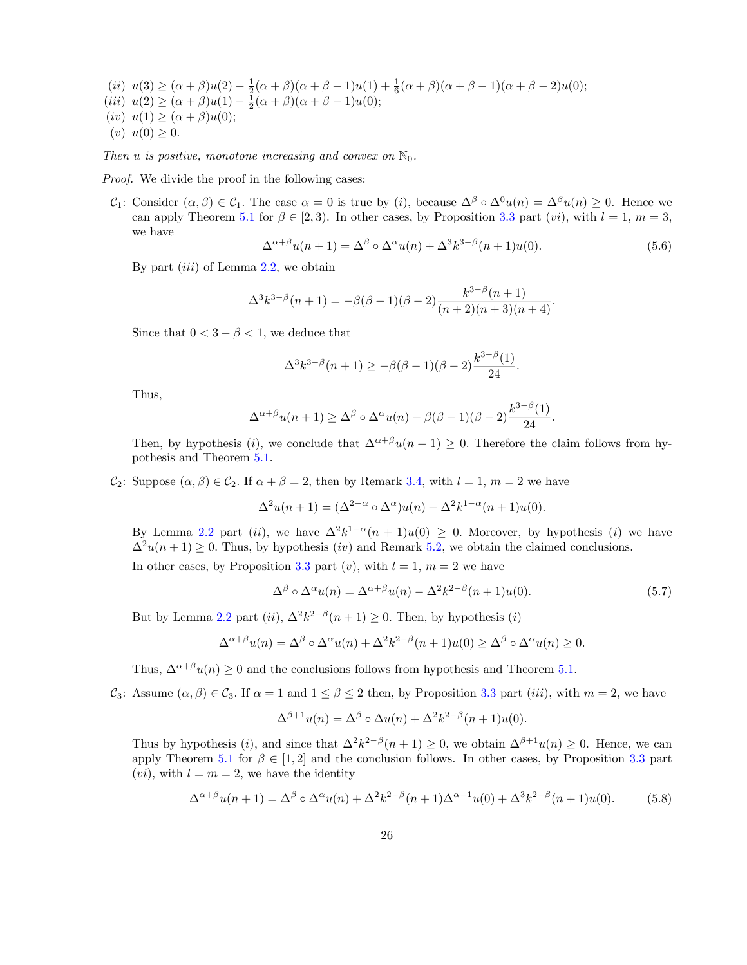(*ii*)  $u(3) \geq (\alpha + \beta)u(2) - \frac{1}{2}(\alpha + \beta)(\alpha + \beta - 1)u(1) + \frac{1}{6}(\alpha + \beta)(\alpha + \beta - 1)(\alpha + \beta - 2)u(0);$  $(iii)$   $u(2) \geq (\alpha + \beta)u(1) - \frac{1}{2}(\alpha + \beta)(\alpha + \beta - 1)u(0);$  $(iv) u(1) \geq (\alpha + \beta)u(0);$  $(v)$   $u(0) \geq 0$ .

*Then u is positive, monotone increasing* and *convex on*  $\mathbb{N}_0$ *.* 

*Proof.* We divide the proof in the following cases:

*C*<sub>1</sub>: Consider  $(\alpha, \beta) \in C_1$ . The case  $\alpha = 0$  is true by (*i*), because  $\Delta^{\beta} \circ \Delta^0 u(n) = \Delta^{\beta} u(n) > 0$ . Hence we can apply Theorem [5.1](#page-21-0) for  $\beta \in [2, 3)$ . In other cases, by Proposition [3.3](#page-22-0) part (*vi*), with  $l = 1, m = 3$ , we have

<span id="page-25-1"></span>
$$
\Delta^{\alpha+\beta}u(n+1) = \Delta^{\beta} \circ \Delta^{\alpha}u(n) + \Delta^3 k^{3-\beta}(n+1)u(0). \tag{5.6}
$$

By part (*iii*) of Lemma [2.2](#page-22-1), we obtain

$$
\Delta^3 k^{3-\beta}(n+1) = -\beta(\beta-1)(\beta-2)\frac{k^{3-\beta}(n+1)}{(n+2)(n+3)(n+4)}.
$$

Since that  $0 < 3 - \beta < 1$ , we deduce that

$$
\Delta^3 k^{3-\beta}(n+1) \ge -\beta(\beta-1)(\beta-2)\frac{k^{3-\beta}(1)}{24}.
$$

Thus,

$$
\Delta^{\alpha+\beta}u(n+1) \ge \Delta^{\beta} \circ \Delta^{\alpha}u(n) - \beta(\beta-1)(\beta-2)\frac{k^{3-\beta}(1)}{24}.
$$

Then, by hypothesis (*i*), we conclude that  $\Delta^{\alpha+\beta}u(n+1) \geq 0$ . Therefore the claim follows from hypothesis and Theorem [5.1](#page-21-0).

*C*<sub>2</sub>: Suppose  $(\alpha, \beta) \in C_2$ . If  $\alpha + \beta = 2$ , then by Remark [3.4,](#page-23-0) with  $l = 1$ ,  $m = 2$  we have

$$
\Delta^2 u(n+1) = (\Delta^{2-\alpha} \circ \Delta^{\alpha})u(n) + \Delta^2 k^{1-\alpha}(n+1)u(0).
$$

By Lemma [2.2](#page-22-1) part (*ii*), we have  $\Delta^2 k^{1-\alpha}(n+1)u(0) \geq 0$ . Moreover, by hypothesis (*i*) we have  $\Delta^2 u(n+1) \geq 0$ . Thus, by hypothesis *(iv)* and Remark [5.2](#page-22-1), we obtain the claimed conclusions.

In other cases, by Proposition [3.3](#page-22-0) part  $(v)$ , with  $l = 1$ ,  $m = 2$  we have

<span id="page-25-2"></span>
$$
\Delta^{\beta} \circ \Delta^{\alpha} u(n) = \Delta^{\alpha+\beta} u(n) - \Delta^2 k^{2-\beta} (n+1) u(0).
$$
 (5.7)

But by Lemma [2.2](#page-22-1) part (*ii*),  $\Delta^2 k^{2-\beta}(n+1) \geq 0$ . Then, by hypothesis (*i*)

$$
\Delta^{\alpha+\beta}u(n) = \Delta^{\beta} \circ \Delta^{\alpha}u(n) + \Delta^2 k^{2-\beta}(n+1)u(0) \ge \Delta^{\beta} \circ \Delta^{\alpha}u(n) \ge 0.
$$

Thus,  $\Delta^{\alpha+\beta}u(n)\geq 0$  and the conclusions follows from hypothesis and Theorem [5.1](#page-21-0).

*C*<sub>3</sub>: Assume  $(\alpha, \beta) \in C_3$ . If  $\alpha = 1$  and  $1 \leq \beta \leq 2$  then, by Proposition [3.3](#page-22-0) part *(iii)*, with  $m = 2$ , we have

$$
\Delta^{\beta+1}u(n) = \Delta^{\beta} \circ \Delta u(n) + \Delta^2 k^{2-\beta}(n+1)u(0).
$$

Thus by hypothesis (*i*), and since that  $\Delta^2 k^{2-\beta}(n+1) \geq 0$ , we obtain  $\Delta^{\beta+1}u(n) \geq 0$ . Hence, we can apply Theorem [5.1](#page-21-0) for  $\beta \in [1,2]$  and the conclusion follows. In other cases, by Proposition [3.3](#page-22-0) part  $(vi)$ , with  $l = m = 2$ , we have the identity

<span id="page-25-0"></span>
$$
\Delta^{\alpha+\beta}u(n+1) = \Delta^{\beta} \circ \Delta^{\alpha}u(n) + \Delta^{2}k^{2-\beta}(n+1)\Delta^{\alpha-1}u(0) + \Delta^{3}k^{2-\beta}(n+1)u(0).
$$
 (5.8)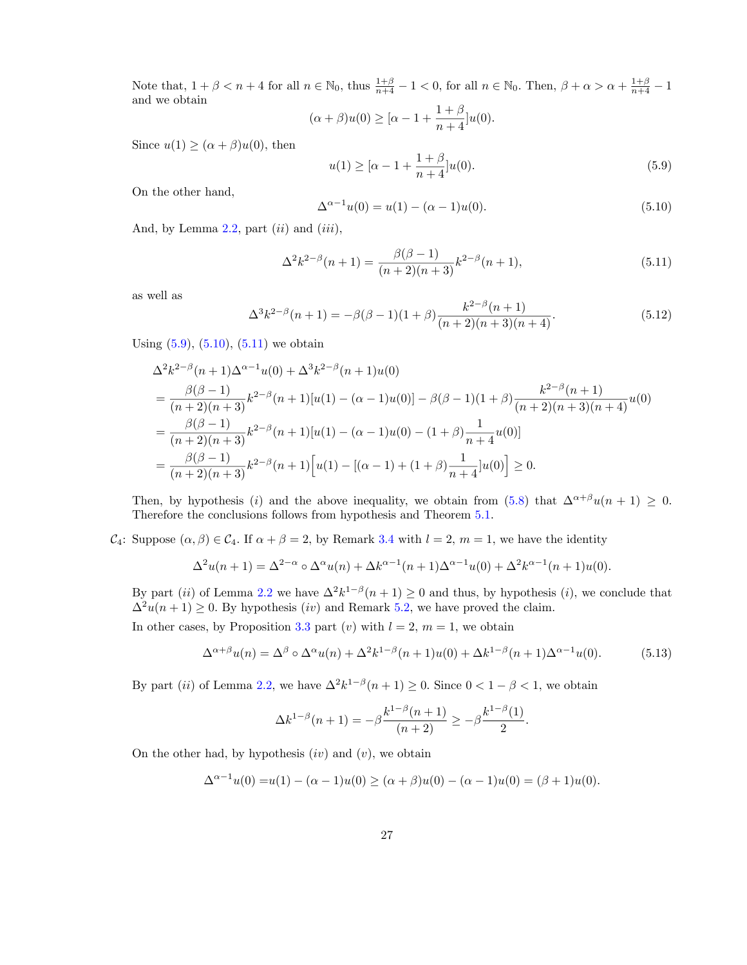Note that,  $1 + \beta < n + 4$  for all  $n \in \mathbb{N}_0$ , thus  $\frac{1+\beta}{n+4} - 1 < 0$ , for all  $n \in \mathbb{N}_0$ . Then,  $\beta + \alpha > \alpha + \frac{1+\beta}{n+4} - 1$ and we obtain  $1 + \beta$ 

$$
(\alpha + \beta)u(0) \geq [\alpha - 1 + \frac{1+\beta}{n+4}]u(0).
$$

Since  $u(1) \geq (\alpha + \beta)u(0)$ , then

<span id="page-26-0"></span>
$$
u(1) \geq [\alpha - 1 + \frac{1+\beta}{n+4}]u(0). \tag{5.9}
$$

On the other hand,

<span id="page-26-1"></span>
$$
\Delta^{\alpha-1}u(0) = u(1) - (\alpha - 1)u(0). \tag{5.10}
$$

And, by Lemma [2.2](#page-22-1), part (*ii*) and (*iii*),

<span id="page-26-2"></span>
$$
\Delta^2 k^{2-\beta}(n+1) = \frac{\beta(\beta-1)}{(n+2)(n+3)} k^{2-\beta}(n+1),\tag{5.11}
$$

as well as

$$
\Delta^3 k^{2-\beta}(n+1) = -\beta(\beta - 1)(1+\beta)\frac{k^{2-\beta}(n+1)}{(n+2)(n+3)(n+4)}.\tag{5.12}
$$

Using  $(5.9)$ ,  $(5.10)$  $(5.10)$ ,  $(5.11)$  $(5.11)$  we obtain

$$
\Delta^{2}k^{2-\beta}(n+1)\Delta^{\alpha-1}u(0) + \Delta^{3}k^{2-\beta}(n+1)u(0)
$$
\n
$$
= \frac{\beta(\beta-1)}{(n+2)(n+3)}k^{2-\beta}(n+1)[u(1) - (\alpha-1)u(0)] - \beta(\beta-1)(1+\beta)\frac{k^{2-\beta}(n+1)}{(n+2)(n+3)(n+4)}u(0)
$$
\n
$$
= \frac{\beta(\beta-1)}{(n+2)(n+3)}k^{2-\beta}(n+1)[u(1) - (\alpha-1)u(0) - (1+\beta)\frac{1}{n+4}u(0)]
$$
\n
$$
= \frac{\beta(\beta-1)}{(n+2)(n+3)}k^{2-\beta}(n+1)[u(1) - [(\alpha-1) + (1+\beta)\frac{1}{n+4}]u(0)] \ge 0.
$$

Then, by hypothesis (*i*) and the above inequality, we obtain from [\(5.8\)](#page-25-0) that  $\Delta^{\alpha+\beta}u(n+1) \geq 0$ . Therefore the conclusions follows from hypothesis and Theorem [5.1](#page-21-0).

*C*<sub>4</sub>: Suppose  $(\alpha, \beta) \in C_4$ . If  $\alpha + \beta = 2$ , by Remark [3.4](#page-23-0) with  $l = 2$ ,  $m = 1$ , we have the identity

$$
\Delta^2 u(n+1) = \Delta^{2-\alpha} \circ \Delta^{\alpha} u(n) + \Delta k^{\alpha-1}(n+1)\Delta^{\alpha-1} u(0) + \Delta^2 k^{\alpha-1}(n+1)u(0).
$$

By part (*ii*) of Lemma [2.2](#page-22-1) we have  $\Delta^2 k^{1-\beta}(n+1) \geq 0$  and thus, by hypothesis (*i*), we conclude that  $\Delta^2 u(n+1) \geq 0$ . By hypothesis *(iv)* and Remark [5.2](#page-22-1), we have proved the claim.

In other cases, by Proposition [3.3](#page-22-0) part  $(v)$  with  $l = 2$ ,  $m = 1$ , we obtain

$$
\Delta^{\alpha+\beta}u(n) = \Delta^{\beta}\circ\Delta^{\alpha}u(n) + \Delta^2k^{1-\beta}(n+1)u(0) + \Delta k^{1-\beta}(n+1)\Delta^{\alpha-1}u(0). \tag{5.13}
$$

By part (*ii*) of Lemma [2.2](#page-22-1), we have  $\Delta^2 k^{1-\beta}(n+1) \geq 0$ . Since  $0 < 1 - \beta < 1$ , we obtain

$$
\Delta k^{1-\beta}(n+1) = -\beta \frac{k^{1-\beta}(n+1)}{(n+2)} \ge -\beta \frac{k^{1-\beta}(1)}{2}.
$$

On the other had, by hypothesis (*iv*) and (*v*)*,* we obtain

$$
\Delta^{\alpha-1}u(0) = u(1) - (\alpha - 1)u(0) \ge (\alpha + \beta)u(0) - (\alpha - 1)u(0) = (\beta + 1)u(0).
$$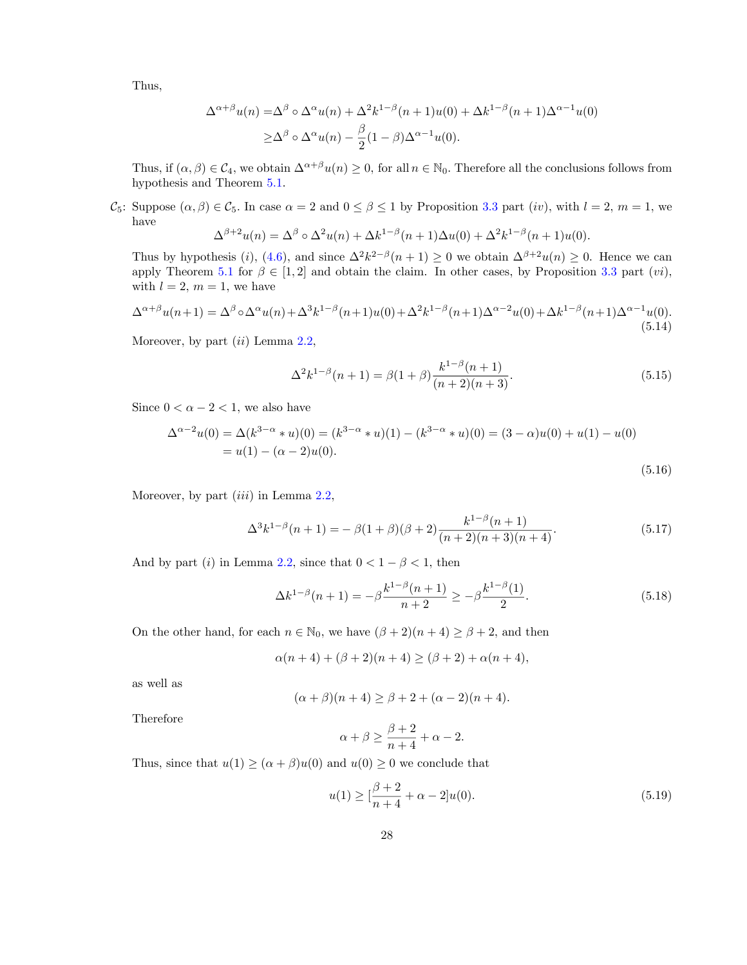Thus,

$$
\Delta^{\alpha+\beta}u(n) = \Delta^{\beta} \circ \Delta^{\alpha}u(n) + \Delta^{2}k^{1-\beta}(n+1)u(0) + \Delta k^{1-\beta}(n+1)\Delta^{\alpha-1}u(0)
$$
  
 
$$
\geq \Delta^{\beta} \circ \Delta^{\alpha}u(n) - \frac{\beta}{2}(1-\beta)\Delta^{\alpha-1}u(0).
$$

Thus, if  $(\alpha, \beta) \in C_4$ , we obtain  $\Delta^{\alpha+\beta}u(n) \geq 0$ , for all  $n \in \mathbb{N}_0$ . Therefore all the conclusions follows from hypothesis and Theorem [5.1.](#page-21-0)

*C*<sub>5</sub>: Suppose  $(\alpha, \beta) \in C_5$ . In case  $\alpha = 2$  and  $0 \le \beta \le 1$  by Proposition [3.3](#page-22-0) part (*iv*), with  $l = 2$ ,  $m = 1$ , we have

$$
\Delta^{\beta+2}u(n) = \Delta^{\beta} \circ \Delta^2 u(n) + \Delta k^{1-\beta}(n+1)\Delta u(0) + \Delta^2 k^{1-\beta}(n+1)u(0).
$$

Thus by hypothesis (*i*), ([4.6\)](#page-18-1), and since  $\Delta^2 k^{2-\beta}(n+1) \geq 0$  we obtain  $\Delta^{\beta+2}u(n) \geq 0$ . Hence we can apply Theorem [5.1](#page-21-0) for  $\beta \in [1,2]$  and obtain the claim. In other cases, by Proposition [3.3](#page-22-0) part (*vi*), with  $l = 2, m = 1$ , we have

<span id="page-27-5"></span>
$$
\Delta^{\alpha+\beta}u(n+1) = \Delta^{\beta} \circ \Delta^{\alpha}u(n) + \Delta^{3}k^{1-\beta}(n+1)u(0) + \Delta^{2}k^{1-\beta}(n+1)\Delta^{\alpha-2}u(0) + \Delta k^{1-\beta}(n+1)\Delta^{\alpha-1}u(0).
$$
\n(5.14)

Moreover, by part (*ii*) Lemma [2.2](#page-22-1),

<span id="page-27-2"></span><span id="page-27-1"></span>
$$
\Delta^2 k^{1-\beta}(n+1) = \beta(1+\beta) \frac{k^{1-\beta}(n+1)}{(n+2)(n+3)}.
$$
\n(5.15)

Since  $0 < \alpha - 2 < 1$ , we also have

$$
\Delta^{\alpha-2}u(0) = \Delta(k^{3-\alpha} * u)(0) = (k^{3-\alpha} * u)(1) - (k^{3-\alpha} * u)(0) = (3-\alpha)u(0) + u(1) - u(0)
$$
  
=  $u(1) - (\alpha - 2)u(0).$  (5.16)

Moreover, by part (*iii*) in Lemma [2.2,](#page-22-1)

$$
\Delta^3 k^{1-\beta}(n+1) = -\beta(1+\beta)(\beta+2)\frac{k^{1-\beta}(n+1)}{(n+2)(n+3)(n+4)}.\tag{5.17}
$$

And by part (*i*) in Lemma [2.2,](#page-22-1) since that  $0 < 1 - \beta < 1$ , then

<span id="page-27-4"></span>
$$
\Delta k^{1-\beta}(n+1) = -\beta \frac{k^{1-\beta}(n+1)}{n+2} \ge -\beta \frac{k^{1-\beta}(1)}{2}.
$$
\n(5.18)

On the other hand, for each  $n \in \mathbb{N}_0$ , we have  $(\beta + 2)(n + 4) \ge \beta + 2$ , and then

$$
\alpha(n+4) + (\beta+2)(n+4) \ge (\beta+2) + \alpha(n+4),
$$

as well as

$$
(\alpha + \beta)(n + 4) \ge \beta + 2 + (\alpha - 2)(n + 4).
$$

Therefore

<span id="page-27-3"></span>
$$
\alpha+\beta\geq \frac{\beta+2}{n+4}+\alpha-2.
$$

Thus, since that  $u(1) \geq (\alpha + \beta)u(0)$  and  $u(0) \geq 0$  we conclude that

<span id="page-27-0"></span>
$$
u(1) \ge \left[\frac{\beta+2}{n+4} + \alpha - 2\right]u(0). \tag{5.19}
$$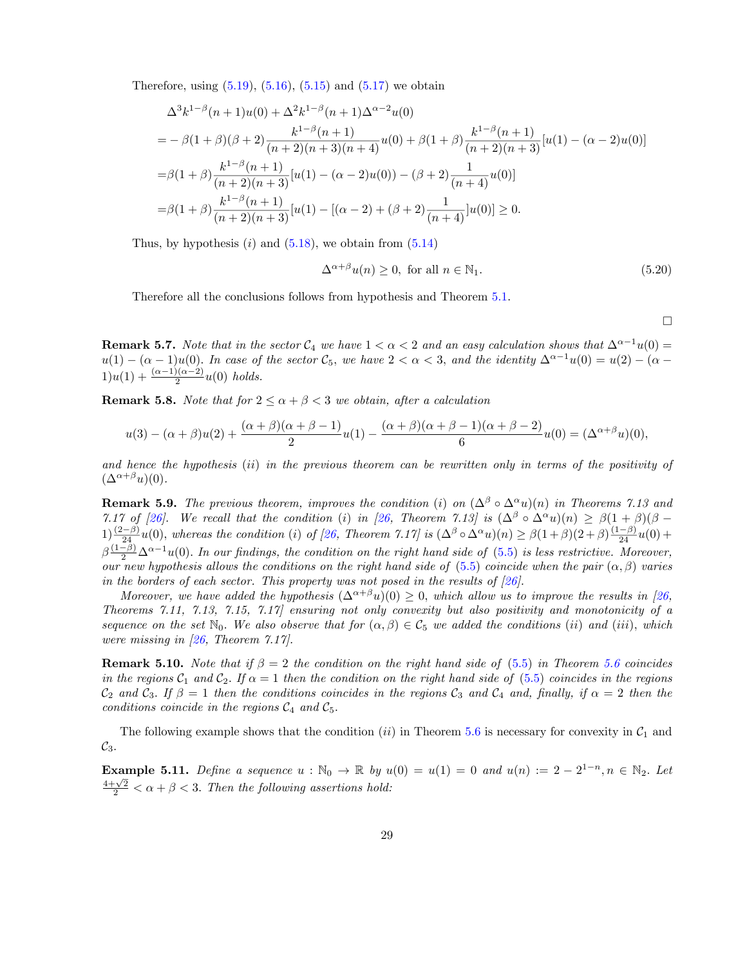Therefore, using  $(5.19)$ ,  $(5.16)$  $(5.16)$ ,  $(5.15)$  $(5.15)$  and  $(5.17)$  $(5.17)$  $(5.17)$  we obtain

$$
\Delta^{3}k^{1-\beta}(n+1)u(0) + \Delta^{2}k^{1-\beta}(n+1)\Delta^{\alpha-2}u(0)
$$
  
=  $-\beta(1+\beta)(\beta+2)\frac{k^{1-\beta}(n+1)}{(n+2)(n+3)(n+4)}u(0) + \beta(1+\beta)\frac{k^{1-\beta}(n+1)}{(n+2)(n+3)}[u(1) - (\alpha-2)u(0)]$   
=  $\beta(1+\beta)\frac{k^{1-\beta}(n+1)}{(n+2)(n+3)}[u(1) - (\alpha-2)u(0)) - (\beta+2)\frac{1}{(n+4)}u(0)]$   
=  $\beta(1+\beta)\frac{k^{1-\beta}(n+1)}{(n+2)(n+3)}[u(1) - [(\alpha-2) + (\beta+2)\frac{1}{(n+4)}]u(0)] \ge 0.$ 

Thus, by hypothesis  $(i)$  and  $(5.18)$  $(5.18)$ , we obtain from  $(5.14)$  $(5.14)$  $(5.14)$ 

$$
\Delta^{\alpha+\beta}u(n) \ge 0, \text{ for all } n \in \mathbb{N}_1. \tag{5.20}
$$

Therefore all the conclusions follows from hypothesis and Theorem [5.1](#page-21-0).

 $\Box$ 

<span id="page-28-0"></span>**Remark 5.7.** *Note that in the sector*  $C_4$  *we have*  $1 < \alpha < 2$  *and an easy calculation shows that*  $\Delta^{\alpha-1}u(0) =$  $u(1) - (\alpha - 1)u(0)$ . In case of the sector  $\mathcal{C}_5$ , we have  $2 < \alpha < 3$ , and the identity  $\Delta^{\alpha-1}u(0) = u(2) - (\alpha - 1)u(0)$  $1)u(1) + \frac{(\alpha-1)(\alpha-2)}{2}u(0)$  *holds.* 

<span id="page-28-3"></span>**Remark 5.8.** *Note that for*  $2 \le \alpha + \beta < 3$  *we obtain, after a calculation* 

$$
u(3) - (\alpha + \beta)u(2) + \frac{(\alpha + \beta)(\alpha + \beta - 1)}{2}u(1) - \frac{(\alpha + \beta)(\alpha + \beta - 1)(\alpha + \beta - 2)}{6}u(0) = (\Delta^{\alpha + \beta}u)(0),
$$

and hence the hypothesis (ii) in the previous theorem can be rewritten only in terms of the positivity of  $(\Delta^{\alpha+\beta}u)(0)$ .

<span id="page-28-2"></span>**Remark 5.9.** *The previous theorem, improves the condition* (*i*) *on*  $(\Delta^{\beta} \circ \Delta^{\alpha} u)(n)$  *in Theorems* 7.13 *and* 7.17 of [\[26](#page-34-11)]. We recall that the condition (i) in [26, Theorem 7.13] is  $(\Delta^{\beta} \circ \Delta^{\alpha} u)(n) \geq \beta(1+\beta)(\beta-\beta)$  $1) \frac{(2-\beta)}{24}u(0)$ , whereas the condition (*i*) of [\[26](#page-34-11), Theorem 7.17] is  $(\Delta^{\beta} \circ \Delta^{\alpha} u)(n) \geq \beta(1+\beta)(2+\beta)\frac{(1-\beta)}{24}u(0) +$  $\beta\frac{(1-\beta)}{2}\Delta^{\alpha-1}u(0)$ . In our findings, the condition on the right hand side of [\(5.5\)](#page-24-2) is less restrictive. Moreover, our new hypothesis allows the conditions on the right hand side of [\(5.5](#page-24-2)) coincide when the pair  $(\alpha, \beta)$  varies *in the borders of each sector. This property was not posed in the results of [[26\]](#page-34-11).*

Moreover, we have added the hypothesis  $(\Delta^{\alpha+\beta}u)(0) \geq 0$ , which allow us to improve the results in [[26,](#page-34-11) *Theorems 7.11, 7.13, 7.15, 7.17] ensuring not only convexity but also positivity and monotonicity of a* sequence on the set  $\mathbb{N}_0$ . We also observe that for  $(\alpha, \beta) \in C_5$  we added the conditions (ii) and (iii), which *were missing in [[26,](#page-34-11) Theorem 7.17].*

**Remark 5.10.** *Note that* if  $\beta = 2$  *the condition on the right hand side of* [\(5.5\)](#page-24-2) *in Theorem* [5.6](#page-24-0) *coincides* in the regions  $C_1$  and  $C_2$ . If  $\alpha = 1$  then the condition on the right hand side of ([5.5\)](#page-24-2) coincides in the regions  $\mathcal{C}_2$  and  $\mathcal{C}_3$ . If  $\beta = 1$  then the conditions coincides in the regions  $\mathcal{C}_3$  and  $\mathcal{C}_4$  and, finally, if  $\alpha = 2$  then the *conditions coincide in the regions*  $C_4$  *and*  $C_5$ *.* 

The following example shows that the condition  $(ii)$  in Theorem [5.6](#page-24-0) is necessary for convexity in  $C_1$  and *C*3*.*

<span id="page-28-1"></span>**Example 5.11.** *Define a sequence*  $u : \mathbb{N}_0 \to \mathbb{R}$  *by*  $u(0) = u(1) = 0$  *and*  $u(n) := 2 - 2^{1-n}, n \in \mathbb{N}_2$ . Let  $\frac{4+\sqrt{2}}{2}<\alpha+\beta<3$ . Then the following assertions hold: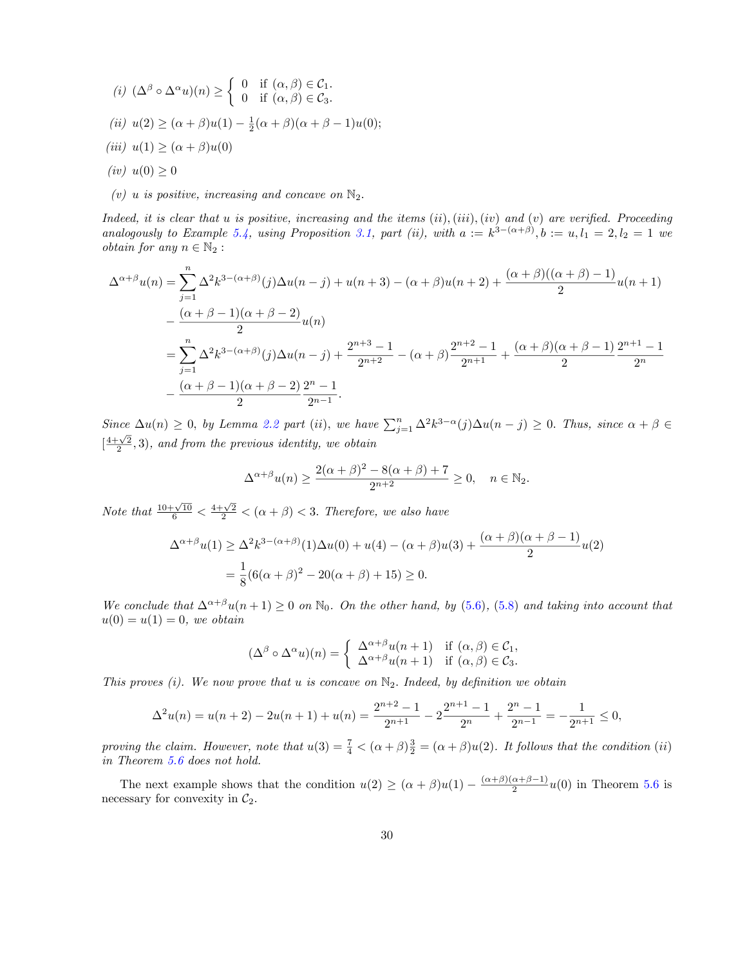(i) 
$$
(\Delta^{\beta} \circ \Delta^{\alpha} u)(n) \ge \begin{cases} 0 & \text{if } (\alpha, \beta) \in C_1. \\ 0 & \text{if } (\alpha, \beta) \in C_3. \end{cases}
$$
  
\n(ii)  $u(2) \ge (\alpha + \beta)u(1) - \frac{1}{2}(\alpha + \beta)(\alpha + \beta - 1)u(0);$   
\n(iii)  $u(1) \ge (\alpha + \beta)u(0)$   
\n(iv)  $u(0) \ge 0$ 

(*v*) *u is positive, increasing and concave on*  $\mathbb{N}_2$ .

Indeed, it is clear that u is positive, increasing and the items  $(ii), (iii), (iv)$  and  $(v)$  are verified. Proceeding analogously to Example [5.4,](#page-23-0) using Proposition [3.1](#page-21-0), part (ii), with  $a := k^{3-(\alpha+\beta)}$ ,  $b := u, l_1 = 2, l_2 = 1$  we *obtain for any*  $n \in \mathbb{N}_2$ :

$$
\Delta^{\alpha+\beta}u(n) = \sum_{j=1}^{n} \Delta^{2}k^{3-(\alpha+\beta)}(j)\Delta u(n-j) + u(n+3) - (\alpha+\beta)u(n+2) + \frac{(\alpha+\beta)((\alpha+\beta)-1)}{2}u(n+1)
$$
  

$$
-\frac{(\alpha+\beta-1)(\alpha+\beta-2)}{2}u(n)
$$
  

$$
=\sum_{j=1}^{n} \Delta^{2}k^{3-(\alpha+\beta)}(j)\Delta u(n-j) + \frac{2^{n+3}-1}{2^{n+2}} - (\alpha+\beta)\frac{2^{n+2}-1}{2^{n+1}} + \frac{(\alpha+\beta)(\alpha+\beta-1)}{2}\frac{2^{n+1}-1}{2^{n}} - \frac{(\alpha+\beta-1)(\alpha+\beta-2)}{2}\frac{2^{n}-1}{2^{n-1}}.
$$

Since  $\Delta u(n) \geq 0$ , by Lemma [2.2](#page-22-1) part (ii), we have  $\sum_{j=1}^{n} \Delta^2 k^{3-\alpha}(j) \Delta u(n-j) \geq 0$ . Thus, since  $\alpha + \beta \in$  $\left[\frac{4+\sqrt{2}}{2},3\right)$ , and from the previous identity, we obtain

$$
\Delta^{\alpha+\beta}u(n) \ge \frac{2(\alpha+\beta)^2 - 8(\alpha+\beta) + 7}{2^{n+2}} \ge 0, \quad n \in \mathbb{N}_2.
$$

*Note that*  $\frac{10+\sqrt{10}}{6} < \frac{4+\sqrt{2}}{2} < (\alpha+\beta) < 3$ *. Therefore, we also have* 

$$
\Delta^{\alpha+\beta}u(1) \ge \Delta^2 k^{3-(\alpha+\beta)}(1)\Delta u(0) + u(4) - (\alpha+\beta)u(3) + \frac{(\alpha+\beta)(\alpha+\beta-1)}{2}u(2)
$$
  
=  $\frac{1}{8}(6(\alpha+\beta)^2 - 20(\alpha+\beta) + 15) \ge 0.$ 

We conclude that  $\Delta^{\alpha+\beta}u(n+1) \geq 0$  on  $\mathbb{N}_0$ . On the other hand, by ([5.6\)](#page-25-1), ([5.8\)](#page-25-0) and taking into account that  $u(0) = u(1) = 0$ *, we obtain* 

$$
(\Delta^{\beta} \circ \Delta^{\alpha} u)(n) = \begin{cases} \Delta^{\alpha+\beta} u(n+1) & \text{if } (\alpha, \beta) \in C_1, \\ \Delta^{\alpha+\beta} u(n+1) & \text{if } (\alpha, \beta) \in C_3. \end{cases}
$$

*This proves (i). We now prove that u is concave on* N2*. Indeed, by definition we obtain*

$$
\Delta^2 u(n) = u(n+2) - 2u(n+1) + u(n) = \frac{2^{n+2} - 1}{2^{n+1}} - 2\frac{2^{n+1} - 1}{2^n} + \frac{2^n - 1}{2^{n-1}} = -\frac{1}{2^{n+1}} \le 0,
$$

*proving* the claim. However, note that  $u(3) = \frac{7}{4} < (\alpha + \beta)\frac{3}{2} = (\alpha + \beta)u(2)$ . It follows that the condition (*ii*) *in Theorem [5.6](#page-24-0) does not hold.*

The next example shows that the condition  $u(2) \geq (\alpha + \beta)u(1) - \frac{(\alpha+\beta)(\alpha+\beta-1)}{2}u(0)$  in Theorem [5.6](#page-24-0) is necessary for convexity in  $C_2$ .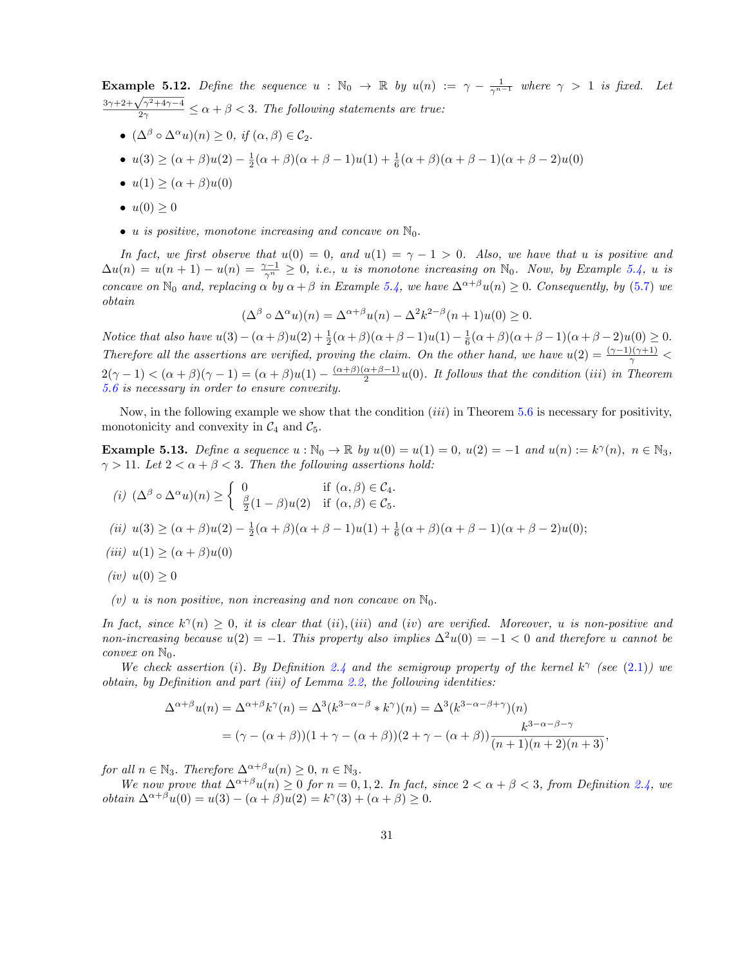<span id="page-30-0"></span>Example 5.12. *Define the sequence*  $u : \mathbb{N}_0 \to \mathbb{R}$  by  $u(n) := \gamma - \frac{1}{\gamma^{n-1}}$  where  $\gamma > 1$  is fixed. Let  $\frac{3\gamma+2+\sqrt{\gamma^2+4\gamma-4}}{2\gamma} \leq \alpha+\beta < 3$ . The following statements are true:

- $(\Delta^{\beta} \circ \Delta^{\alpha} u)(n) \geq 0$ , *if*  $(\alpha, \beta) \in C_2$ .
- *u*(3) ≥ (α + β)*u*(2)  $\frac{1}{2}$ (α + β)(α + β 1)*u*(1) +  $\frac{1}{6}$ (α + β)(α + β 1)(α + β 2)*u*(0)
- $u(1) > (\alpha + \beta)u(0)$
- $u(0) \geq 0$
- *u is positive, monotone increasing and concave on*  $\mathbb{N}_0$ .

In fact, we first observe that  $u(0) = 0$ , and  $u(1) = \gamma - 1 > 0$ . Also, we have that u is positive and  $\Delta u(n) = u(n+1) - u(n) = \frac{\gamma-1}{\gamma^n} \geq 0$ , i.e., u is monotone increasing on  $\mathbb{N}_0$ . Now, by Example [5.4](#page-23-0), u is *concave on*  $\mathbb{N}_0$  *and, replacing*  $\alpha$  *by*  $\alpha + \beta$  *in Example* [5.4](#page-23-0)*, we have*  $\Delta^{\alpha+\beta}u(n) \geq 0$ *. Consequently, by* ([5.7\)](#page-25-2) *we obtain*

$$
(\Delta^{\beta} \circ \Delta^{\alpha} u)(n) = \Delta^{\alpha+\beta} u(n) - \Delta^2 k^{2-\beta} (n+1) u(0) \ge 0.
$$

*Notice that also have*  $u(3) - (\alpha + \beta)u(2) + \frac{1}{2}(\alpha + \beta)(\alpha + \beta - 1)u(1) - \frac{1}{6}(\alpha + \beta)(\alpha + \beta - 1)(\alpha + \beta - 2)u(0) \ge 0$ . Therefore all the assertions are verified, proving the claim. On the other hand, we have  $u(2) = \frac{(\gamma - 1)(\gamma + 1)}{\gamma}$  $2(\gamma - 1) < (\alpha + \beta)(\gamma - 1) = (\alpha + \beta)u(1) - \frac{(\alpha + \beta)(\alpha + \beta - 1)}{2}u(0)$ . It follows that the condition (*iii*) in Theorem *[5.6](#page-24-0) is necessary in order to ensure convexity.*

Now, in the following example we show that the condition (*iii*) in Theorem [5.6](#page-24-0) is necessary for positivity, monotonicity and convexity in  $C_4$  and  $C_5$ .

<span id="page-30-1"></span>**Example 5.13.** *Define a sequence*  $u : \mathbb{N}_0 \to \mathbb{R}$  *by*  $u(0) = u(1) = 0$ *,*  $u(2) = -1$  *and*  $u(n) := k^{\gamma}(n)$ *,*  $n \in \mathbb{N}_3$ *,*  $\gamma > 11$ *. Let*  $2 < \alpha + \beta < 3$ *. Then the following assertions hold:* 

(i) 
$$
(\Delta^{\beta} \circ \Delta^{\alpha} u)(n) \ge \begin{cases} 0 & \text{if } (\alpha, \beta) \in C_4. \\ \frac{\beta}{2}(1-\beta)u(2) & \text{if } (\alpha, \beta) \in C_5. \end{cases}
$$
  
\n(ii)  $u(3) \ge (\alpha + \beta)u(2) - \frac{1}{2}(\alpha + \beta)(\alpha + \beta - 1)u(1) + \frac{1}{6}(\alpha + \beta)(\alpha + \beta - 1)(\alpha + \beta - 2)u(0);$   
\n(iii)  $u(1) \ge (\alpha + \beta)u(0)$ 

$$
(iv) \ u(0) \ge 0
$$

*(v) u is non positive, non increasing* and *non concave on*  $\mathbb{N}_0$ .

In fact, since  $k^{\gamma}(n) \geq 0$ , it is clear that (ii), (iii) and (iv) are verified. Moreover, u is non-positive and *non-increasing because*  $u(2) = -1$ *. This property also implies*  $\Delta^2 u(0) = -1 < 0$  *and therefore u cannot be convex on*  $\mathbb{N}_0$ *.* 

We check assertion (i). By Definition [2.4](#page-23-0) and the semigroup property of the kernel  $k^{\gamma}$  (see ([2.1\)](#page-6-0)) we *obtain, by Definition and part (iii) of Lemma [2.2,](#page-22-1) the following identities:*

$$
\Delta^{\alpha+\beta}u(n) = \Delta^{\alpha+\beta}k^{\gamma}(n) = \Delta^3(k^{3-\alpha-\beta} * k^{\gamma})(n) = \Delta^3(k^{3-\alpha-\beta+\gamma})(n)
$$
  
= 
$$
(\gamma - (\alpha+\beta))(1+\gamma - (\alpha+\beta))(2+\gamma - (\alpha+\beta))\frac{k^{3-\alpha-\beta-\gamma}}{(n+1)(n+2)(n+3)},
$$

*for all*  $n \in \mathbb{N}_3$ *. Therefore*  $\Delta^{\alpha+\beta}u(n) \geq 0$ ,  $n \in \mathbb{N}_3$ *.* 

We now prove that  $\Delta^{\alpha+\beta}u(n)\geq 0$  for  $n=0,1,2$ . In fact, since  $2<\alpha+\beta<3$ , from Definition [2.4](#page-23-0), we  $obtain \Delta^{\alpha+\beta}u(0) = u(3) - (\alpha+\beta)u(2) = k^{\gamma}(3) + (\alpha+\beta) \ge 0.$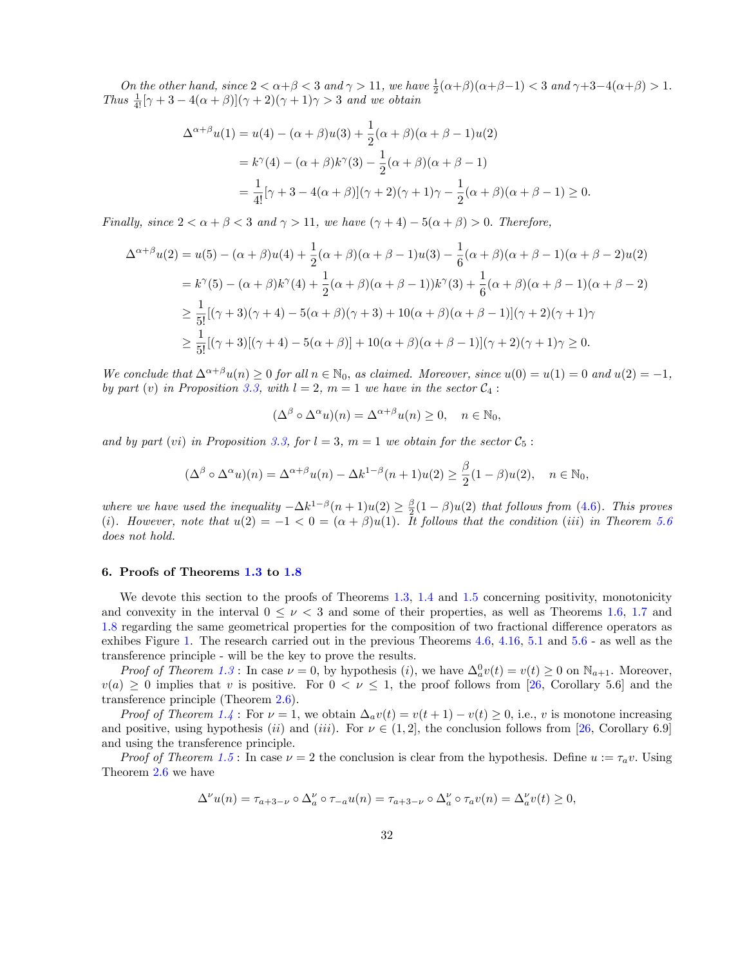*On the other hand,*  $\text{since } 2 < \alpha + \beta < 3$  *and*  $\gamma > 11$ *, we have*  $\frac{1}{2}(\alpha+\beta)(\alpha+\beta-1) < 3$  *and*  $\gamma+3-4(\alpha+\beta) > 1$ *. Thus*  $\frac{1}{4!}[\gamma + 3 - 4(\alpha + \beta)](\gamma + 2)(\gamma + 1)\gamma > 3$  *and we obtain* 

$$
\Delta^{\alpha+\beta}u(1) = u(4) - (\alpha+\beta)u(3) + \frac{1}{2}(\alpha+\beta)(\alpha+\beta-1)u(2)
$$
  
=  $k^{\gamma}(4) - (\alpha+\beta)k^{\gamma}(3) - \frac{1}{2}(\alpha+\beta)(\alpha+\beta-1)$   
=  $\frac{1}{4!}[\gamma+3-4(\alpha+\beta)](\gamma+2)(\gamma+1)\gamma - \frac{1}{2}(\alpha+\beta)(\alpha+\beta-1) \ge 0.$ 

*Finally, since*  $2 < \alpha + \beta < 3$  *and*  $\gamma > 11$ *, we have*  $(\gamma + 4) - 5(\alpha + \beta) > 0$ *. Therefore,* 

$$
\Delta^{\alpha+\beta}u(2) = u(5) - (\alpha+\beta)u(4) + \frac{1}{2}(\alpha+\beta)(\alpha+\beta-1)u(3) - \frac{1}{6}(\alpha+\beta)(\alpha+\beta-1)(\alpha+\beta-2)u(2)
$$
  
=  $k^{\gamma}(5) - (\alpha+\beta)k^{\gamma}(4) + \frac{1}{2}(\alpha+\beta)(\alpha+\beta-1)k^{\gamma}(3) + \frac{1}{6}(\alpha+\beta)(\alpha+\beta-1)(\alpha+\beta-2)$   

$$
\geq \frac{1}{5!}[(\gamma+3)(\gamma+4) - 5(\alpha+\beta)(\gamma+3) + 10(\alpha+\beta)(\alpha+\beta-1)](\gamma+2)(\gamma+1)\gamma
$$
  

$$
\geq \frac{1}{5!}[(\gamma+3)[(\gamma+4) - 5(\alpha+\beta)] + 10(\alpha+\beta)(\alpha+\beta-1)](\gamma+2)(\gamma+1)\gamma \geq 0.
$$

We conclude that  $\Delta^{\alpha+\beta}u(n)\geq 0$  for all  $n\in\mathbb{N}_0$ , as claimed. Moreover, since  $u(0)=u(1)=0$  and  $u(2)=-1$ , *by part* (*v*) *in Proposition* [3.3](#page-22-0), *with*  $l = 2$ ,  $m = 1$  *we have in the sector*  $C_4$ :

$$
(\Delta^{\beta} \circ \Delta^{\alpha} u)(n) = \Delta^{\alpha+\beta} u(n) \ge 0, \quad n \in \mathbb{N}_0,
$$

*and by part* (*vi*) *in Proposition* [3.3,](#page-22-0) *for*  $l = 3$ ,  $m = 1$  *we obtain for the sector*  $C_5$ :

$$
(\Delta^{\beta} \circ \Delta^{\alpha} u)(n) = \Delta^{\alpha+\beta} u(n) - \Delta k^{1-\beta} (n+1) u(2) \ge \frac{\beta}{2} (1-\beta) u(2), \quad n \in \mathbb{N}_0,
$$

*where we have used the inequality*  $-\Delta k^{1-\beta}(n+1)u(2) \ge \frac{\beta}{2}(1-\beta)u(2)$  *that follows from* [\(4.6](#page-18-1))*. This proves* (i). However, note that  $u(2) = -1 < 0 = (\alpha + \beta)u(1)$ . It follows that the condition (iii) in Theorem [5.6](#page-24-0) *does not hold.*

### <span id="page-31-0"></span>6. Proofs of Theorems [1.3](#page-22-0) to [1.8](#page-28-3)

We devote this section to the proofs of Theorems [1.3,](#page-22-0) [1.4](#page-23-0) and [1.5](#page-24-1) concerning positivity, monotonicity and convexity in the interval  $0 \leq \nu < 3$  and some of their properties, as well as Theorems [1.6,](#page-24-0) [1.7](#page-28-0) and [1.8](#page-28-3) regarding the same geometrical properties for the composition of two fractional difference operators as exhibes Figure [1.](#page-4-0) The research carried out in the previous Theorems [4.6](#page-24-0), [4.16,](#page-18-0) [5.1](#page-21-0) and [5.6](#page-24-0) - as well as the transference principle - will be the key to prove the results.

*Proof of Theorem [1.3](#page-22-0)*: In case  $\nu = 0$ , by hypothesis (*i*), we have  $\Delta_a^0 v(t) = v(t) \ge 0$  on  $\mathbb{N}_{a+1}$ . Moreover,  $v(a) \geq 0$  implies that *v* is positive. For  $0 < \nu \leq 1$ , the proof follows from [\[26,](#page-34-11) Corollary 5.6] and the transference principle (Theorem [2.6\)](#page-24-0).

*Proof of Theorem* [1.4](#page-23-0): For  $\nu = 1$ , we obtain  $\Delta_a v(t) = v(t+1) - v(t) \ge 0$ , i.e., *v* is monotone increasing and positive, using hypothesis (*ii*) and (*iii*). For  $\nu \in (1,2]$ , the conclusion follows from [[26,](#page-34-11) Corollary 6.9] and using the transference principle.

*Proof* of Theorem [1.5](#page-24-1): In case  $\nu = 2$  the conclusion is clear from the hypothesis. Define  $u := \tau_a v$ . Using Theorem [2.6](#page-24-0) we have

$$
\Delta^{\nu}u(n)=\tau_{a+3-\nu}\circ\Delta^{\nu}_{a}\circ\tau_{-a}u(n)=\tau_{a+3-\nu}\circ\Delta^{\nu}_{a}\circ\tau_{a}v(n)=\Delta^{\nu}_{a}v(t)\geq 0,
$$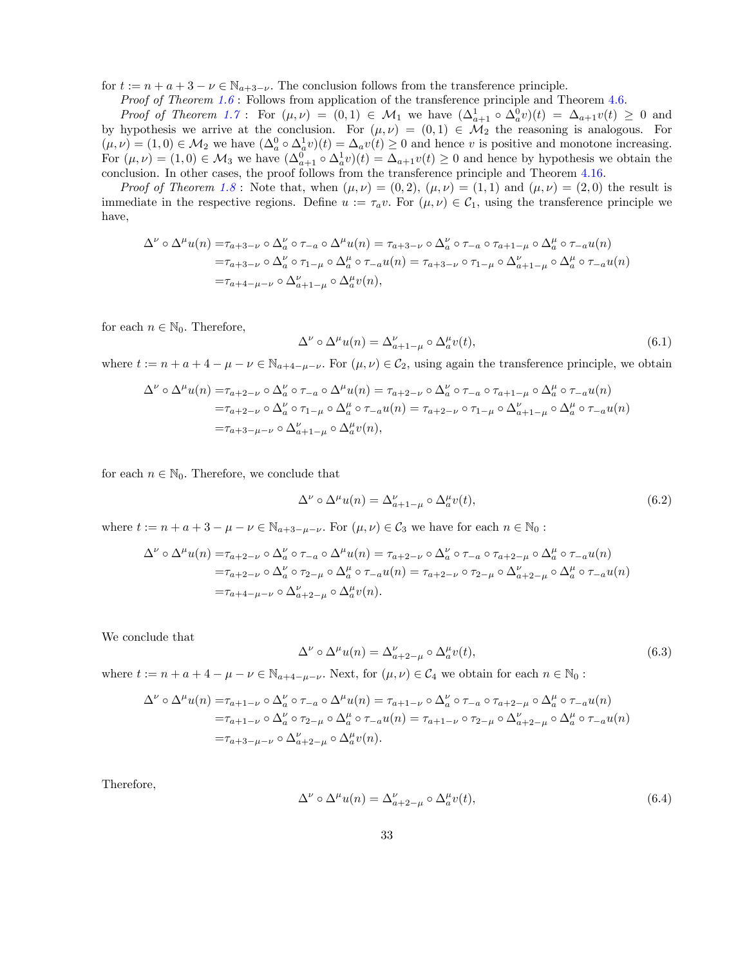for  $t := n + a + 3 - \nu \in \mathbb{N}_{a+3-\nu}$ . The conclusion follows from the transference principle.

*Proof of Theorem [1.6](#page-24-0)* : Follows from application of the transference principle and Theorem [4.6.](#page-24-0)

*Proof of Theorem* [1.7](#page-28-0): For  $(\mu, \nu) = (0, 1) \in \mathcal{M}_1$  we have  $(\Delta_{a+1}^1 \circ \Delta_a^0 v)(t) = \Delta_{a+1} v(t) \geq 0$  and by hypothesis we arrive at the conclusion. For  $(\mu, \nu) = (0, 1) \in \mathcal{M}_2$  the reasoning is analogous. For  $(\mu, \nu) = (1, 0) \in \mathcal{M}_2$  we have  $(\Delta_a^0 \circ \Delta_a^1 v)(t) = \Delta_a v(t) \geq 0$  and hence *v* is positive and monotone increasing. For  $(\mu, \nu) = (1, 0) \in \mathcal{M}_3$  we have  $(\Delta_{a+1}^0 \circ \Delta_a^1 v)(t) = \Delta_{a+1} v(t) \geq 0$  and hence by hypothesis we obtain the conclusion. In other cases, the proof follows from the transference principle and Theorem [4.16](#page-18-0).

*Proof* of Theorem [1.8](#page-28-3): Note that, when  $(\mu, \nu) = (0, 2)$ ,  $(\mu, \nu) = (1, 1)$  and  $(\mu, \nu) = (2, 0)$  the result is immediate in the respective regions. Define  $u := \tau_a v$ . For  $(\mu, \nu) \in C_1$ , using the transference principle we have,

$$
\Delta^{\nu} \circ \Delta^{\mu} u(n) = \tau_{a+3-\nu} \circ \Delta^{\nu} _a \circ \tau_{-a} \circ \Delta^{\mu} u(n) = \tau_{a+3-\nu} \circ \Delta^{\nu} _a \circ \tau_{-a} \circ \tau_{a+1-\mu} \circ \Delta^{\mu} _a \circ \tau_{-a} u(n)
$$
  
\n
$$
= \tau_{a+3-\nu} \circ \Delta^{\nu} _a \circ \tau_{1-\mu} \circ \Delta^{\mu} _a \circ \tau_{-a} u(n) = \tau_{a+3-\nu} \circ \tau_{1-\mu} \circ \Delta^{\nu} _{a+1-\mu} \circ \Delta^{\mu} _a \circ \tau_{-a} u(n)
$$
  
\n
$$
= \tau_{a+4-\mu-\nu} \circ \Delta^{\nu} _{a+1-\mu} \circ \Delta^{\mu} _a v(n),
$$

for each  $n \in \mathbb{N}_0$ . Therefore,

<span id="page-32-0"></span>
$$
\Delta^{\nu} \circ \Delta^{\mu} u(n) = \Delta_{a+1-\mu}^{\nu} \circ \Delta_a^{\mu} v(t), \tag{6.1}
$$

where  $t := n + a + 4 - \mu - \nu \in \mathbb{N}_{a+a-\mu-\nu}$ . For  $(\mu, \nu) \in C_2$ , using again the transference principle, we obtain

$$
\Delta^{\nu} \circ \Delta^{\mu} u(n) = \tau_{a+2-\nu} \circ \Delta^{\nu} _{a} \circ \tau_{-a} \circ \Delta^{\mu} u(n) = \tau_{a+2-\nu} \circ \Delta^{\nu} _{a} \circ \tau_{-a} \circ \tau_{a+1-\mu} \circ \Delta^{\mu} _{a} \circ \tau_{-a} u(n)
$$
  
\n
$$
= \tau_{a+2-\nu} \circ \Delta^{\nu} _{a} \circ \tau_{1-\mu} \circ \Delta^{\mu} _{a} \circ \tau_{-a} u(n) = \tau_{a+2-\nu} \circ \tau_{1-\mu} \circ \Delta^{\nu} _{a+1-\mu} \circ \Delta^{\mu} _{a} \circ \tau_{-a} u(n)
$$
  
\n
$$
= \tau_{a+3-\mu-\nu} \circ \Delta^{\nu} _{a+1-\mu} \circ \Delta^{\mu} _{a} v(n),
$$

for each  $n \in \mathbb{N}_0$ . Therefore, we conclude that

$$
\Delta^{\nu} \circ \Delta^{\mu} u(n) = \Delta_{a+1-\mu}^{\nu} \circ \Delta_a^{\mu} v(t), \qquad (6.2)
$$

where  $t := n + a + 3 - \mu - \nu \in \mathbb{N}_{a+3-\mu-\nu}$ . For  $(\mu, \nu) \in \mathcal{C}_3$  we have for each  $n \in \mathbb{N}_0$ :

$$
\Delta^{\nu} \circ \Delta^{\mu} u(n) = \tau_{a+2-\nu} \circ \Delta^{\nu} _a \circ \tau_{-a} \circ \Delta^{\mu} u(n) = \tau_{a+2-\nu} \circ \Delta^{\nu} _a \circ \tau_{-a} \circ \tau_{a+2-\mu} \circ \Delta^{\mu} _a \circ \tau_{-a} u(n)
$$
  
\n
$$
= \tau_{a+2-\nu} \circ \Delta^{\nu} _a \circ \tau_{2-\mu} \circ \Delta^{\mu} _a \circ \tau_{-a} u(n) = \tau_{a+2-\nu} \circ \tau_{2-\mu} \circ \Delta^{\nu} _{a+2-\mu} \circ \Delta^{\mu} _a \circ \tau_{-a} u(n)
$$
  
\n
$$
= \tau_{a+4-\mu-\nu} \circ \Delta^{\nu} _{a+2-\mu} \circ \Delta^{\mu} _a v(n).
$$

We conclude that

$$
\Delta^{\nu} \circ \Delta^{\mu} u(n) = \Delta^{\nu}_{a+2-\mu} \circ \Delta^{\mu}_{a} v(t), \tag{6.3}
$$

where  $t := n + a + 4 - \mu - \nu \in \mathbb{N}_{a+4-\mu-\nu}$ . Next, for  $(\mu, \nu) \in C_4$  we obtain for each  $n \in \mathbb{N}_0$ :

$$
\Delta^{\nu} \circ \Delta^{\mu} u(n) = \tau_{a+1-\nu} \circ \Delta^{\nu} _{a} \circ \tau_{-a} \circ \Delta^{\mu} u(n) = \tau_{a+1-\nu} \circ \Delta^{\nu} _{a} \circ \tau_{-a} \circ \tau_{a+2-\mu} \circ \Delta^{\mu} _{a} \circ \tau_{-a} u(n)
$$
  
\n
$$
= \tau_{a+1-\nu} \circ \Delta^{\nu} _{a} \circ \tau_{2-\mu} \circ \Delta^{\mu} _{a} \circ \tau_{-a} u(n) = \tau_{a+1-\nu} \circ \tau_{2-\mu} \circ \Delta^{\nu} _{a+2-\mu} \circ \Delta^{\mu} _{a} \circ \tau_{-a} u(n)
$$
  
\n
$$
= \tau_{a+3-\mu-\nu} \circ \Delta^{\nu} _{a+2-\mu} \circ \Delta^{\mu} _{a} v(n).
$$

Therefore,

$$
\Delta^{\nu} \circ \Delta^{\mu} u(n) = \Delta^{\nu}_{a+2-\mu} \circ \Delta^{\mu}_{a} v(t), \tag{6.4}
$$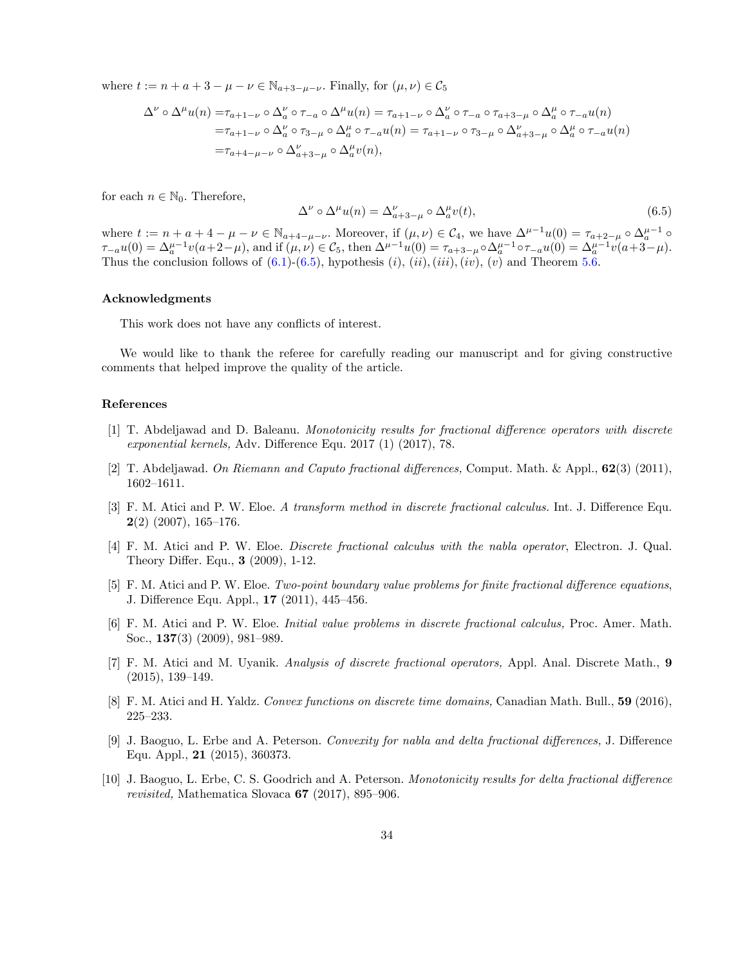where  $t := n + a + 3 - \mu - \nu \in \mathbb{N}_{a+3-\mu-\nu}$ . Finally, for  $(\mu, \nu) \in \mathcal{C}_5$ 

$$
\Delta^{\nu} \circ \Delta^{\mu} u(n) = \tau_{a+1-\nu} \circ \Delta^{\nu} _{a} \circ \tau_{-a} \circ \Delta^{\mu} u(n) = \tau_{a+1-\nu} \circ \Delta^{\nu} _{a} \circ \tau_{-a} \circ \tau_{a+3-\mu} \circ \Delta^{\mu} _{a} \circ \tau_{-a} u(n)
$$
  
\n
$$
= \tau_{a+1-\nu} \circ \Delta^{\nu} _{a} \circ \tau_{3-\mu} \circ \Delta^{\mu} _{a} \circ \tau_{-a} u(n) = \tau_{a+1-\nu} \circ \tau_{3-\mu} \circ \Delta^{\nu} _{a+3-\mu} \circ \Delta^{\mu} _{a} \circ \tau_{-a} u(n)
$$
  
\n
$$
= \tau_{a+4-\mu-\nu} \circ \Delta^{\nu} _{a+3-\mu} \circ \Delta^{\mu} _{a} v(n),
$$

for each  $n \in \mathbb{N}_0$ . Therefore,

<span id="page-33-10"></span>
$$
\Delta^{\nu} \circ \Delta^{\mu} u(n) = \Delta^{\nu}_{a+3-\mu} \circ \Delta^{\mu}_{a} v(t), \qquad (6.5)
$$

where  $t := n + a + 4 - \mu - \nu \in \mathbb{N}_{a+4-\mu-\nu}$ . Moreover, if  $(\mu, \nu) \in C_4$ , we have  $\Delta^{\mu-1}u(0) = \tau_{a+2-\mu} \circ \Delta_a^{\mu-1} \circ$  $\tau_{-a}u(0) = \Delta_{a}^{\mu-1}v(a+2-\mu)$ , and if  $(\mu,\nu) \in C_5$ , then  $\Delta^{\mu-1}u(0) = \tau_{a+3-\mu} \circ \Delta_a^{\mu-1} \circ \tau_{-a}u(0) = \Delta_a^{\mu-1}v(a+3-\mu)$ . Thus the conclusion follows of  $(6.1)-(6.5)$  $(6.1)-(6.5)$  $(6.1)-(6.5)$  $(6.1)-(6.5)$  $(6.1)-(6.5)$ , hypothesis  $(i)$ ,  $(ii)$ ,  $(iii)$ ,  $(iv)$ ,  $(v)$  and Theorem [5.6.](#page-24-0)

### Acknowledgments

This work does not have any conflicts of interest.

We would like to thank the referee for carefully reading our manuscript and for giving constructive comments that helped improve the quality of the article.

### References

- <span id="page-33-4"></span>[1] T. Abdeljawad and D. Baleanu. *Monotonicity results for fractional di*ff*erence operators with discrete exponential kernels,* Adv. Difference Equ. 2017 (1) (2017), 78.
- <span id="page-33-0"></span>[2] T. Abdeljawad. *On Riemann and Caputo fractional di*ff*erences,* Comput. Math. & Appl., 62(3) (2011), 1602–1611.
- <span id="page-33-1"></span>[3] F. M. Atici and P. W. Eloe. *A transform method in discrete fractional calculus.* Int. J. Difference Equ.  $2(2)$  (2007), 165-176.
- <span id="page-33-2"></span>[4] F. M. Atici and P. W. Eloe. *Discrete fractional calculus with the nabla operator*, Electron. J. Qual. Theory Differ. Equ., 3 (2009), 1-12.
- <span id="page-33-3"></span>[5] F. M. Atici and P. W. Eloe. *Two-point boundary value problems for finite fractional di*ff*erence equations*, J. Difference Equ. Appl., 17 (2011), 445–456.
- <span id="page-33-5"></span>[6] F. M. Atici and P. W. Eloe. *Initial value problems in discrete fractional calculus,* Proc. Amer. Math. Soc., 137(3) (2009), 981–989.
- <span id="page-33-7"></span>[7] F. M. Atici and M. Uyanik. *Analysis of discrete fractional operators,* Appl. Anal. Discrete Math., 9 (2015), 139–149.
- <span id="page-33-8"></span>[8] F. M. Atici and H. Yaldz. *Convex functions on discrete time domains,* Canadian Math. Bull., 59 (2016), 225–233.
- <span id="page-33-9"></span>[9] J. Baoguo, L. Erbe and A. Peterson. *Convexity for nabla and delta fractional di*ff*erences,* J. Difference Equ. Appl., 21 (2015), 360373.
- <span id="page-33-6"></span>[10] J. Baoguo, L. Erbe, C. S. Goodrich and A. Peterson. *Monotonicity results for delta fractional di*ff*erence revisited,* Mathematica Slovaca 67 (2017), 895–906.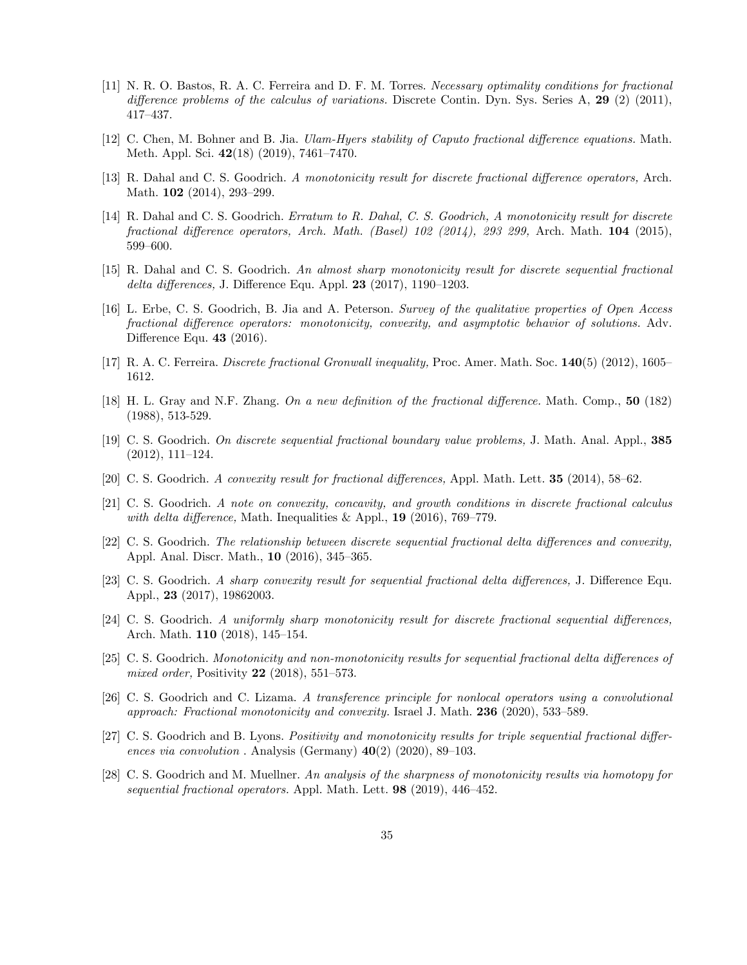- <span id="page-34-1"></span>[11] N. R. O. Bastos, R. A. C. Ferreira and D. F. M. Torres. *Necessary optimality conditions for fractional di*ff*erence problems of the calculus of variations.* Discrete Contin. Dyn. Sys. Series A, 29 (2) (2011), 417–437.
- <span id="page-34-2"></span>[12] C. Chen, M. Bohner and B. Jia. *Ulam-Hyers stability of Caputo fractional di*ff*erence equations.* Math. Meth. Appl. Sci. 42(18) (2019), 7461–7470.
- <span id="page-34-4"></span>[13] R. Dahal and C. S. Goodrich. *A monotonicity result for discrete fractional di*ff*erence operators,* Arch. Math. 102 (2014), 293-299.
- <span id="page-34-5"></span>[14] R. Dahal and C. S. Goodrich. *Erratum to R. Dahal, C. S. Goodrich, A monotonicity result for discrete fractional di*ff*erence operators, Arch. Math. (Basel) 102 (2014), 293 299,* Arch. Math. 104 (2015), 599–600.
- <span id="page-34-8"></span>[15] R. Dahal and C. S. Goodrich. *An almost sharp monotonicity result for discrete sequential fractional delta di*ff*erences,* J. Difference Equ. Appl. 23 (2017), 1190–1203.
- <span id="page-34-6"></span>[16] L. Erbe, C. S. Goodrich, B. Jia and A. Peterson. *Survey of the qualitative properties of Open Access fractional di*ff*erence operators: monotonicity, convexity, and asymptotic behavior of solutions.* Adv. Difference Equ. 43 (2016).
- <span id="page-34-3"></span>[17] R. A. C. Ferreira. *Discrete fractional Gronwall inequality,* Proc. Amer. Math. Soc. 140(5) (2012), 1605– 1612.
- <span id="page-34-0"></span>[18] H. L. Gray and N.F. Zhang. *On a new definition of the fractional di*ff*erence.* Math. Comp., 50 (182) (1988), 513-529.
- <span id="page-34-9"></span>[19] C. S. Goodrich. *On discrete sequential fractional boundary value problems,* J. Math. Anal. Appl., 385 (2012), 111–124.
- <span id="page-34-7"></span>[20] C. S. Goodrich. *A convexity result for fractional di*ff*erences,* Appl. Math. Lett. 35 (2014), 58–62.
- <span id="page-34-12"></span>[21] C. S. Goodrich. *A note on convexity, concavity, and growth conditions in discrete fractional calculus with delta difference*, Math. Inequalities  $\&$  Appl., **19** (2016), 769–779.
- <span id="page-34-16"></span>[22] C. S. Goodrich. *The relationship between discrete sequential fractional delta di*ff*erences and convexity,* Appl. Anal. Discr. Math., 10 (2016), 345–365.
- <span id="page-34-17"></span>[23] C. S. Goodrich. *A sharp convexity result for sequential fractional delta di*ff*erences,* J. Difference Equ. Appl., 23 (2017), 19862003.
- <span id="page-34-10"></span>[24] C. S. Goodrich. *A uniformly sharp monotonicity result for discrete fractional sequential di*ff*erences,* Arch. Math. 110 (2018), 145–154.
- <span id="page-34-14"></span>[25] C. S. Goodrich. *Monotonicity and non-monotonicity results for sequential fractional delta di*ff*erences of mixed order,* Positivity 22 (2018), 551–573.
- <span id="page-34-11"></span>[26] C. S. Goodrich and C. Lizama. *A transference principle for nonlocal operators using a convolutional approach: Fractional monotonicity and convexity.* Israel J. Math. 236 (2020), 533–589.
- <span id="page-34-13"></span>[27] C. S. Goodrich and B. Lyons. *Positivity and monotonicity results for triple sequential fractional di*ff*erences via convolution* . Analysis (Germany) 40(2) (2020), 89–103.
- <span id="page-34-15"></span>[28] C. S. Goodrich and M. Muellner. *An analysis of the sharpness of monotonicity results via homotopy for sequential fractional operators.* Appl. Math. Lett. 98 (2019), 446–452.